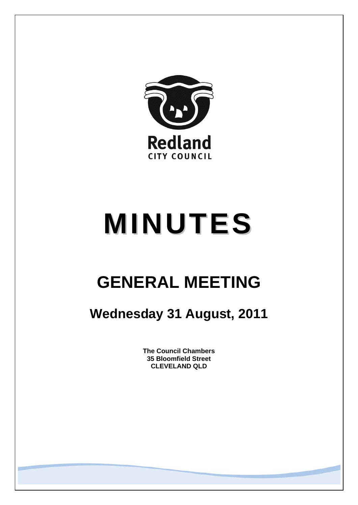

# **MINUTES**

## **GENERAL MEETING**

### **Wednesday 31 August, 2011**

**The Council Chambers 35 Bloomfield Street CLEVELAND QLD**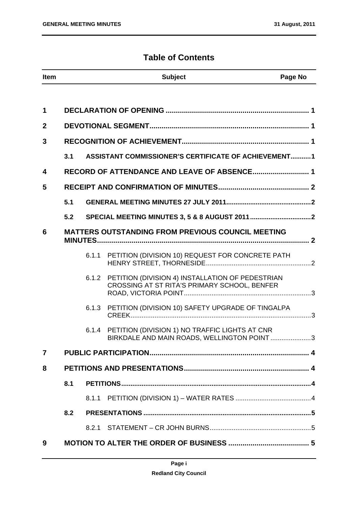#### **Table of Contents**

| <b>Item</b>             |     |       | <b>Subject</b>                                                                                         | Page No |
|-------------------------|-----|-------|--------------------------------------------------------------------------------------------------------|---------|
|                         |     |       |                                                                                                        |         |
| 1                       |     |       |                                                                                                        |         |
| $\mathbf{2}$            |     |       |                                                                                                        |         |
| 3                       |     |       |                                                                                                        |         |
|                         | 3.1 |       | <b>ASSISTANT COMMISSIONER'S CERTIFICATE OF ACHIEVEMENT1</b>                                            |         |
| $\overline{\mathbf{4}}$ |     |       |                                                                                                        |         |
| 5                       |     |       |                                                                                                        |         |
|                         | 5.1 |       |                                                                                                        |         |
|                         | 5.2 |       |                                                                                                        |         |
| 6                       |     |       | <b>MATTERS OUTSTANDING FROM PREVIOUS COUNCIL MEETING</b>                                               |         |
|                         |     | 6.1.1 | PETITION (DIVISION 10) REQUEST FOR CONCRETE PATH                                                       |         |
|                         |     |       | 6.1.2 PETITION (DIVISION 4) INSTALLATION OF PEDESTRIAN<br>CROSSING AT ST RITA'S PRIMARY SCHOOL, BENFER |         |
|                         |     | 6.1.3 | PETITION (DIVISION 10) SAFETY UPGRADE OF TINGALPA                                                      |         |
|                         |     |       | 6.1.4 PETITION (DIVISION 1) NO TRAFFIC LIGHTS AT CNR<br>BIRKDALE AND MAIN ROADS, WELLINGTON POINT      | $.3\,$  |
| $\overline{7}$          |     |       |                                                                                                        |         |
| 8                       |     |       |                                                                                                        |         |
|                         | 8.1 |       |                                                                                                        |         |
|                         |     | 8.1.1 |                                                                                                        |         |
|                         | 8.2 |       |                                                                                                        |         |
|                         |     |       |                                                                                                        |         |
| 9                       |     |       |                                                                                                        |         |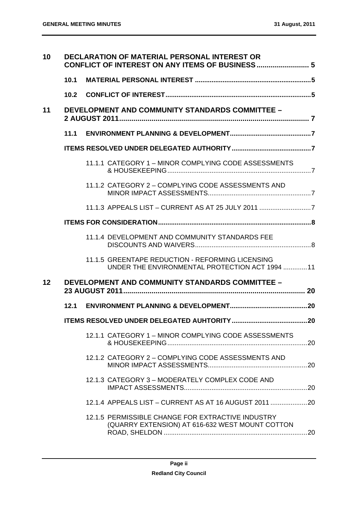| 10 |      | <b>DECLARATION OF MATERIAL PERSONAL INTEREST OR</b>                                                  |  |
|----|------|------------------------------------------------------------------------------------------------------|--|
|    | 10.1 |                                                                                                      |  |
|    |      |                                                                                                      |  |
| 11 |      | <b>DEVELOPMENT AND COMMUNITY STANDARDS COMMITTEE -</b>                                               |  |
|    |      |                                                                                                      |  |
|    |      |                                                                                                      |  |
|    |      | 11.1.1 CATEGORY 1 - MINOR COMPLYING CODE ASSESSMENTS                                                 |  |
|    |      | 11.1.2 CATEGORY 2 - COMPLYING CODE ASSESSMENTS AND                                                   |  |
|    |      | 11.1.3 APPEALS LIST - CURRENT AS AT 25 JULY 2011 7                                                   |  |
|    |      |                                                                                                      |  |
|    |      | 11.1.4 DEVELOPMENT AND COMMUNITY STANDARDS FEE                                                       |  |
|    |      | 11.1.5 GREENTAPE REDUCTION - REFORMING LICENSING<br>UNDER THE ENVIRONMENTAL PROTECTION ACT 1994 11   |  |
| 12 |      | <b>DEVELOPMENT AND COMMUNITY STANDARDS COMMITTEE -</b>                                               |  |
|    |      |                                                                                                      |  |
|    |      |                                                                                                      |  |
|    |      | 12.1.1 CATEGORY 1 - MINOR COMPLYING CODE ASSESSMENTS                                                 |  |
|    |      | 12.1.2 CATEGORY 2 - COMPLYING CODE ASSESSMENTS AND                                                   |  |
|    |      | 12.1.3 CATEGORY 3 - MODERATELY COMPLEX CODE AND                                                      |  |
|    |      | 12.1.4 APPEALS LIST - CURRENT AS AT 16 AUGUST 2011 20                                                |  |
|    |      | 12.1.5 PERMISSIBLE CHANGE FOR EXTRACTIVE INDUSTRY<br>(QUARRY EXTENSION) AT 616-632 WEST MOUNT COTTON |  |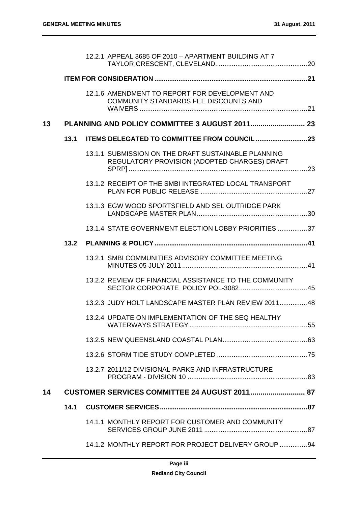|    |      | 12.2.1 APPEAL 3685 OF 2010 - APARTMENT BUILDING AT 7                                                |  |
|----|------|-----------------------------------------------------------------------------------------------------|--|
|    |      |                                                                                                     |  |
|    |      | 12.1.6 AMENDMENT TO REPORT FOR DEVELOPMENT AND<br>COMMUNITY STANDARDS FEE DISCOUNTS AND             |  |
| 13 |      |                                                                                                     |  |
|    | 13.1 |                                                                                                     |  |
|    |      | 13.1.1 SUBMISSION ON THE DRAFT SUSTAINABLE PLANNING<br>REGULATORY PROVISION (ADOPTED CHARGES) DRAFT |  |
|    |      | 13.1.2 RECEIPT OF THE SMBI INTEGRATED LOCAL TRANSPORT                                               |  |
|    |      | 13.1.3 EGW WOOD SPORTSFIELD AND SEL OUTRIDGE PARK                                                   |  |
|    |      | 13.1.4 STATE GOVERNMENT ELECTION LOBBY PRIORITIES 37                                                |  |
|    | 13.2 |                                                                                                     |  |
|    |      | 13.2.1 SMBI COMMUNITIES ADVISORY COMMITTEE MEETING                                                  |  |
|    |      | 13.2.2 REVIEW OF FINANCIAL ASSISTANCE TO THE COMMUNITY                                              |  |
|    |      | 13.2.3 JUDY HOLT LANDSCAPE MASTER PLAN REVIEW 2011 48                                               |  |
|    |      | 13.2.4 UPDATE ON IMPLEMENTATION OF THE SEQ HEALTHY                                                  |  |
|    |      |                                                                                                     |  |
|    |      |                                                                                                     |  |
|    |      | 13.2.7 2011/12 DIVISIONAL PARKS AND INFRASTRUCTURE                                                  |  |
| 14 |      | CUSTOMER SERVICES COMMITTEE 24 AUGUST 2011 87                                                       |  |
|    | 14.1 |                                                                                                     |  |
|    |      | 14.1.1 MONTHLY REPORT FOR CUSTOMER AND COMMUNITY                                                    |  |
|    |      | 14.1.2 MONTHLY REPORT FOR PROJECT DELIVERY GROUP  94                                                |  |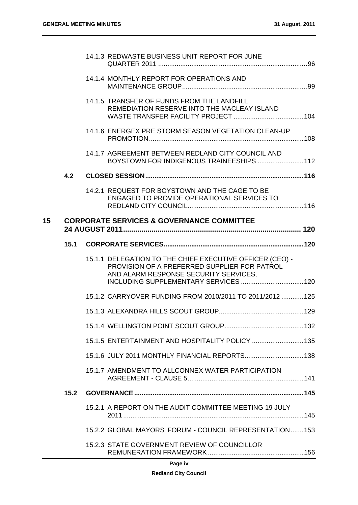|    |      | 14.1.3 REDWASTE BUSINESS UNIT REPORT FOR JUNE                                                                                                                                              |  |
|----|------|--------------------------------------------------------------------------------------------------------------------------------------------------------------------------------------------|--|
|    |      | 14.1.4 MONTHLY REPORT FOR OPERATIONS AND                                                                                                                                                   |  |
|    |      | 14.1.5 TRANSFER OF FUNDS FROM THE LANDFILL<br>REMEDIATION RESERVE INTO THE MACLEAY ISLAND                                                                                                  |  |
|    |      | 14.1.6 ENERGEX PRE STORM SEASON VEGETATION CLEAN-UP                                                                                                                                        |  |
|    |      | 14.1.7 AGREEMENT BETWEEN REDLAND CITY COUNCIL AND<br>BOYSTOWN FOR INDIGENOUS TRAINEESHIPS  112                                                                                             |  |
|    | 4.2  |                                                                                                                                                                                            |  |
|    |      | 14.2.1 REQUEST FOR BOYSTOWN AND THE CAGE TO BE<br>ENGAGED TO PROVIDE OPERATIONAL SERVICES TO                                                                                               |  |
| 15 |      | <b>CORPORATE SERVICES &amp; GOVERNANCE COMMITTEE</b>                                                                                                                                       |  |
|    |      |                                                                                                                                                                                            |  |
|    |      | 15.1.1 DELEGATION TO THE CHIEF EXECUTIVE OFFICER (CEO) -<br>PROVISION OF A PREFERRED SUPPLIER FOR PATROL<br>AND ALARM RESPONSE SECURITY SERVICES,<br>INCLUDING SUPPLEMENTARY SERVICES  120 |  |
|    |      | 15.1.2 CARRYOVER FUNDING FROM 2010/2011 TO 2011/2012  125                                                                                                                                  |  |
|    |      |                                                                                                                                                                                            |  |
|    |      |                                                                                                                                                                                            |  |
|    |      | 15.1.5 ENTERTAINMENT AND HOSPITALITY POLICY  135                                                                                                                                           |  |
|    |      |                                                                                                                                                                                            |  |
|    |      | 15.1.6 JULY 2011 MONTHLY FINANCIAL REPORTS 138                                                                                                                                             |  |
|    |      | 15.1.7 AMENDMENT TO ALLCONNEX WATER PARTICIPATION                                                                                                                                          |  |
|    | 15.2 |                                                                                                                                                                                            |  |
|    |      | 15.2.1 A REPORT ON THE AUDIT COMMITTEE MEETING 19 JULY                                                                                                                                     |  |
|    |      | 15.2.2 GLOBAL MAYORS' FORUM - COUNCIL REPRESENTATION153                                                                                                                                    |  |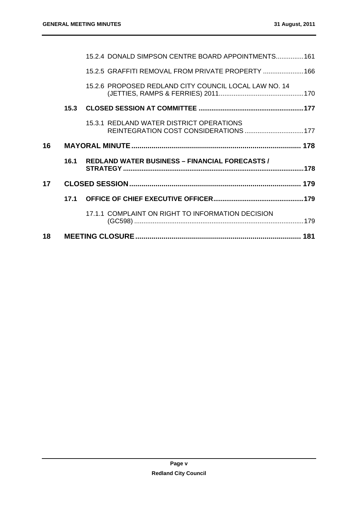|    |      | 15.2.4 DONALD SIMPSON CENTRE BOARD APPOINTMENTS 161                               |  |
|----|------|-----------------------------------------------------------------------------------|--|
|    |      | 15.2.5 GRAFFITI REMOVAL FROM PRIVATE PROPERTY  166                                |  |
|    |      | 15.2.6 PROPOSED REDLAND CITY COUNCIL LOCAL LAW NO. 14                             |  |
|    | 15.3 |                                                                                   |  |
|    |      | 15.3.1 REDLAND WATER DISTRICT OPERATIONS<br>REINTEGRATION COST CONSIDERATIONS 177 |  |
| 16 |      |                                                                                   |  |
|    | 16.1 | <b>REDLAND WATER BUSINESS - FINANCIAL FORECASTS /</b>                             |  |
| 17 |      |                                                                                   |  |
|    | 17.1 |                                                                                   |  |
|    |      | 17.1.1 COMPLAINT ON RIGHT TO INFORMATION DECISION                                 |  |
| 18 |      |                                                                                   |  |
|    |      |                                                                                   |  |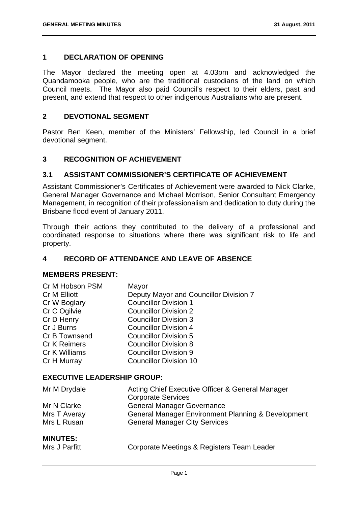#### **1 DECLARATION OF OPENING**

The Mayor declared the meeting open at 4.03pm and acknowledged the Quandamooka people, who are the traditional custodians of the land on which Council meets. The Mayor also paid Council's respect to their elders, past and present, and extend that respect to other indigenous Australians who are present.

#### **2 DEVOTIONAL SEGMENT**

Pastor Ben Keen, member of the Ministers' Fellowship, led Council in a brief devotional segment.

#### **3 RECOGNITION OF ACHIEVEMENT**

#### **3.1 ASSISTANT COMMISSIONER'S CERTIFICATE OF ACHIEVEMENT**

Assistant Commissioner's Certificates of Achievement were awarded to Nick Clarke, General Manager Governance and Michael Morrison, Senior Consultant Emergency Management, in recognition of their professionalism and dedication to duty during the Brisbane flood event of January 2011.

Through their actions they contributed to the delivery of a professional and coordinated response to situations where there was significant risk to life and property.

#### **4 RECORD OF ATTENDANCE AND LEAVE OF ABSENCE**

#### **MEMBERS PRESENT:**

| Cr M Hobson PSM     | Mayor                                  |
|---------------------|----------------------------------------|
| Cr M Elliott        | Deputy Mayor and Councillor Division 7 |
| Cr W Boglary        | <b>Councillor Division 1</b>           |
| Cr C Ogilvie        | <b>Councillor Division 2</b>           |
| Cr D Henry          | <b>Councillor Division 3</b>           |
| Cr J Burns          | <b>Councillor Division 4</b>           |
| Cr B Townsend       | <b>Councillor Division 5</b>           |
| <b>Cr K Reimers</b> | <b>Councillor Division 8</b>           |
| Cr K Williams       | <b>Councillor Division 9</b>           |
| Cr H Murray         | <b>Councillor Division 10</b>          |

#### **EXECUTIVE LEADERSHIP GROUP:**

| Mr M Drydale    | Acting Chief Executive Officer & General Manager<br><b>Corporate Services</b> |
|-----------------|-------------------------------------------------------------------------------|
| Mr N Clarke     | <b>General Manager Governance</b>                                             |
| Mrs T Averay    | General Manager Environment Planning & Development                            |
| Mrs L Rusan     | <b>General Manager City Services</b>                                          |
| <b>MINUTES:</b> |                                                                               |

| Mrs J Parfitt | Corporate Meetings & Registers Team Leader |
|---------------|--------------------------------------------|
|---------------|--------------------------------------------|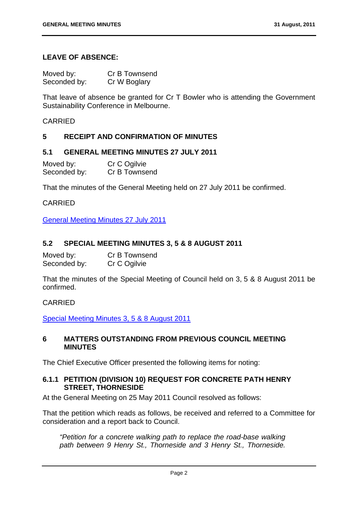#### **LEAVE OF ABSENCE:**

| Moved by:    | Cr B Townsend |
|--------------|---------------|
| Seconded by: | Cr W Boglary  |

That leave of absence be granted for Cr T Bowler who is attending the Government Sustainability Conference in Melbourne.

#### CARRIED

#### **5 RECEIPT AND CONFIRMATION OF MINUTES**

#### **5.1 GENERAL MEETING MINUTES 27 JULY 2011**

| Moved by:    | Cr C Ogilvie  |
|--------------|---------------|
| Seconded by: | Cr B Townsend |

That the minutes of the General Meeting held on 27 July 2011 be confirmed.

CARRIED

General Meeting Minutes 27 July 2011

#### **5.2 SPECIAL MEETING MINUTES 3, 5 & 8 AUGUST 2011**

| Moved by:    | Cr B Townsend |
|--------------|---------------|
| Seconded by: | Cr C Ogilvie  |

That the minutes of the Special Meeting of Council held on 3, 5 & 8 August 2011 be confirmed.

#### CARRIED

Special Meeting Minutes 3, 5 & 8 August 2011

#### **6 MATTERS OUTSTANDING FROM PREVIOUS COUNCIL MEETING MINUTES**

The Chief Executive Officer presented the following items for noting:

#### **6.1.1 PETITION (DIVISION 10) REQUEST FOR CONCRETE PATH HENRY STREET, THORNESIDE**

At the General Meeting on 25 May 2011 Council resolved as follows:

That the petition which reads as follows, be received and referred to a Committee for consideration and a report back to Council.

*"Petition for a concrete walking path to replace the road-base walking path between 9 Henry St., Thorneside and 3 Henry St., Thorneside.*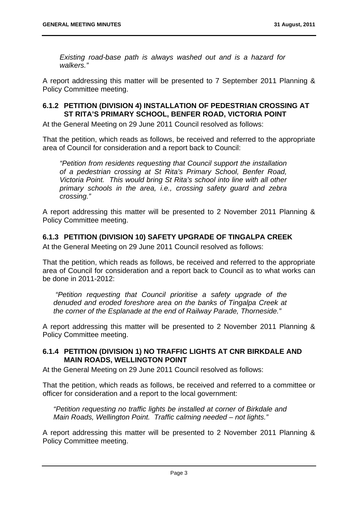*Existing road-base path is always washed out and is a hazard for walkers."* 

A report addressing this matter will be presented to 7 September 2011 Planning & Policy Committee meeting.

#### **6.1.2 PETITION (DIVISION 4) INSTALLATION OF PEDESTRIAN CROSSING AT ST RITA'S PRIMARY SCHOOL, BENFER ROAD, VICTORIA POINT**

At the General Meeting on 29 June 2011 Council resolved as follows:

That the petition, which reads as follows, be received and referred to the appropriate area of Council for consideration and a report back to Council:

*"Petition from residents requesting that Council support the installation of a pedestrian crossing at St Rita's Primary School, Benfer Road, Victoria Point. This would bring St Rita's school into line with all other primary schools in the area, i.e., crossing safety guard and zebra crossing."* 

A report addressing this matter will be presented to 2 November 2011 Planning & Policy Committee meeting.

#### **6.1.3 PETITION (DIVISION 10) SAFETY UPGRADE OF TINGALPA CREEK**

At the General Meeting on 29 June 2011 Council resolved as follows:

That the petition, which reads as follows, be received and referred to the appropriate area of Council for consideration and a report back to Council as to what works can be done in 2011-2012:

 *"Petition requesting that Council prioritise a safety upgrade of the denuded and eroded foreshore area on the banks of Tingalpa Creek at the corner of the Esplanade at the end of Railway Parade, Thorneside."* 

A report addressing this matter will be presented to 2 November 2011 Planning & Policy Committee meeting.

#### **6.1.4 PETITION (DIVISION 1) NO TRAFFIC LIGHTS AT CNR BIRKDALE AND MAIN ROADS, WELLINGTON POINT**

At the General Meeting on 29 June 2011 Council resolved as follows:

That the petition, which reads as follows, be received and referred to a committee or officer for consideration and a report to the local government:

*"Petition requesting no traffic lights be installed at corner of Birkdale and Main Roads, Wellington Point. Traffic calming needed – not lights."* 

A report addressing this matter will be presented to 2 November 2011 Planning & Policy Committee meeting.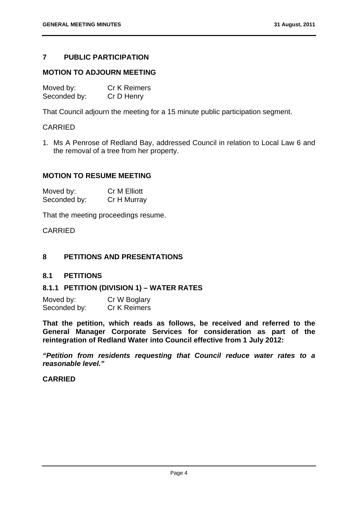#### **7 PUBLIC PARTICIPATION**

#### **MOTION TO ADJOURN MEETING**

| Moved by:    | <b>Cr K Reimers</b> |
|--------------|---------------------|
| Seconded by: | Cr D Henry          |

That Council adjourn the meeting for a 15 minute public participation segment.

#### CARRIED

1. Ms A Penrose of Redland Bay, addressed Council in relation to Local Law 6 and the removal of a tree from her property.

#### **MOTION TO RESUME MEETING**

| Moved by:    | <b>Cr M Elliott</b> |
|--------------|---------------------|
| Seconded by: | Cr H Murray         |

That the meeting proceedings resume.

CARRIED

#### **8 PETITIONS AND PRESENTATIONS**

#### **8.1 PETITIONS**

#### **8.1.1 PETITION (DIVISION 1) – WATER RATES**

| Moved by:    | Cr W Boglary |
|--------------|--------------|
| Seconded by: | Cr K Reimers |

**That the petition, which reads as follows, be received and referred to the General Manager Corporate Services for consideration as part of the reintegration of Redland Water into Council effective from 1 July 2012:** 

*"Petition from residents requesting that Council reduce water rates to a reasonable level."* 

#### **CARRIED**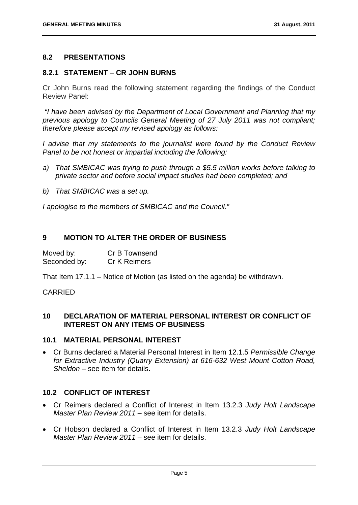#### **8.2 PRESENTATIONS**

#### **8.2.1 STATEMENT – CR JOHN BURNS**

Cr John Burns read the following statement regarding the findings of the Conduct Review Panel:

 *"I have been advised by the Department of Local Government and Planning that my previous apology to Councils General Meeting of 27 July 2011 was not compliant; therefore please accept my revised apology as follows:* 

*I advise that my statements to the journalist were found by the Conduct Review Panel to be not honest or impartial including the following:* 

- *a) That SMBICAC was trying to push through a \$5.5 million works before talking to private sector and before social impact studies had been completed; and*
- *b) That SMBICAC was a set up.*

*I apologise to the members of SMBICAC and the Council."* 

#### **9 MOTION TO ALTER THE ORDER OF BUSINESS**

| Moved by:    | Cr B Townsend       |
|--------------|---------------------|
| Seconded by: | <b>Cr K Reimers</b> |

That Item 17.1.1 – Notice of Motion (as listed on the agenda) be withdrawn.

#### CARRIED

#### **10 DECLARATION OF MATERIAL PERSONAL INTEREST OR CONFLICT OF INTEREST ON ANY ITEMS OF BUSINESS**

#### **10.1 MATERIAL PERSONAL INTEREST**

 Cr Burns declared a Material Personal Interest in Item 12.1.5 *Permissible Change for Extractive Industry (Quarry Extension) at 616-632 West Mount Cotton Road, Sheldon* – see item for details.

#### **10.2 CONFLICT OF INTEREST**

- Cr Reimers declared a Conflict of Interest in Item 13.2.3 *Judy Holt Landscape Master Plan Review 2011* – see item for details.
- Cr Hobson declared a Conflict of Interest in Item 13.2.3 *Judy Holt Landscape Master Plan Review 2011* – see item for details.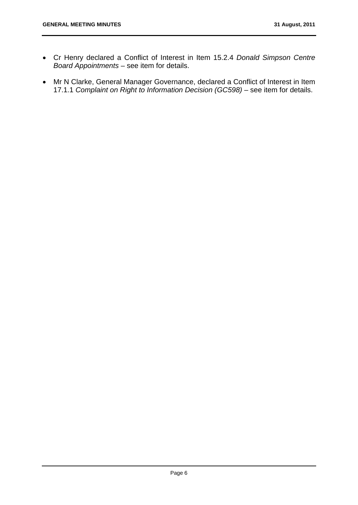- Cr Henry declared a Conflict of Interest in Item 15.2.4 *Donald Simpson Centre Board Appointments* – see item for details.
- Mr N Clarke, General Manager Governance, declared a Conflict of Interest in Item 17.1.1 *Complaint on Right to Information Decision (GC598)* – see item for details.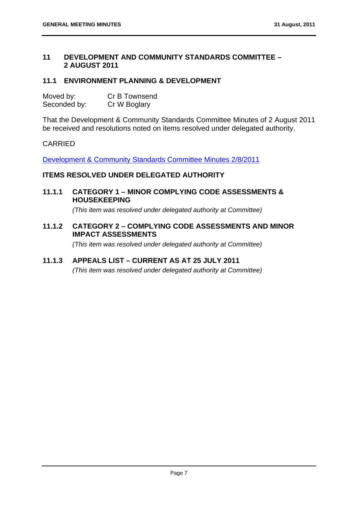#### **11 DEVELOPMENT AND COMMUNITY STANDARDS COMMITTEE – 2 AUGUST 2011**

#### **11.1 ENVIRONMENT PLANNING & DEVELOPMENT**

| Moved by:    | Cr B Townsend |
|--------------|---------------|
| Seconded by: | Cr W Boglary  |

That the Development & Community Standards Committee Minutes of 2 August 2011 be received and resolutions noted on items resolved under delegated authority.

#### CARRIED

Development & Community Standards Committee Minutes 2/8/2011

#### **ITEMS RESOLVED UNDER DELEGATED AUTHORITY**

**11.1.1 CATEGORY 1 – MINOR COMPLYING CODE ASSESSMENTS & HOUSEKEEPING** 

 *(This item was resolved under delegated authority at Committee)* 

**11.1.2 CATEGORY 2 – COMPLYING CODE ASSESSMENTS AND MINOR IMPACT ASSESSMENTS** 

 *(This item was resolved under delegated authority at Committee)* 

#### **11.1.3 APPEALS LIST – CURRENT AS AT 25 JULY 2011**

 *(This item was resolved under delegated authority at Committee)*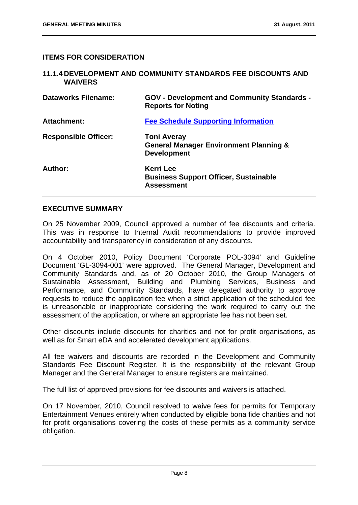#### **ITEMS FOR CONSIDERATION**

#### **11.1.4 DEVELOPMENT AND COMMUNITY STANDARDS FEE DISCOUNTS AND WAIVERS Dataworks Filename: GOV - Development and Community Standards - Reports for Noting Attachment: Fee Schedule Supporting Information Responsible Officer: Toni Averay General Manager Environment Planning & Development Author: Kerri Lee Business Support Officer, Sustainable Assessment**

#### **EXECUTIVE SUMMARY**

On 25 November 2009, Council approved a number of fee discounts and criteria. This was in response to Internal Audit recommendations to provide improved accountability and transparency in consideration of any discounts.

On 4 October 2010, Policy Document 'Corporate POL-3094' and Guideline Document 'GL-3094-001' were approved. The General Manager, Development and Community Standards and, as of 20 October 2010, the Group Managers of Sustainable Assessment, Building and Plumbing Services, Business and Performance, and Community Standards, have delegated authority to approve requests to reduce the application fee when a strict application of the scheduled fee is unreasonable or inappropriate considering the work required to carry out the assessment of the application, or where an appropriate fee has not been set.

Other discounts include discounts for charities and not for profit organisations, as well as for Smart eDA and accelerated development applications.

All fee waivers and discounts are recorded in the Development and Community Standards Fee Discount Register. It is the responsibility of the relevant Group Manager and the General Manager to ensure registers are maintained.

The full list of approved provisions for fee discounts and waivers is attached.

On 17 November, 2010, Council resolved to waive fees for permits for Temporary Entertainment Venues entirely when conducted by eligible bona fide charities and not for profit organisations covering the costs of these permits as a community service obligation.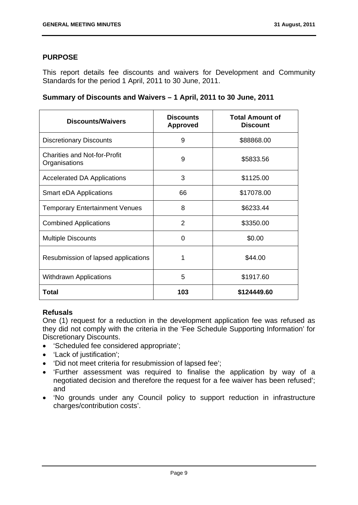#### **PURPOSE**

This report details fee discounts and waivers for Development and Community Standards for the period 1 April, 2011 to 30 June, 2011.

|  | Summary of Discounts and Waivers - 1 April, 2011 to 30 June, 2011 |  |  |  |  |
|--|-------------------------------------------------------------------|--|--|--|--|
|--|-------------------------------------------------------------------|--|--|--|--|

| <b>Discounts/Waivers</b>                             | <b>Discounts</b><br><b>Approved</b> | <b>Total Amount of</b><br><b>Discount</b> |
|------------------------------------------------------|-------------------------------------|-------------------------------------------|
| <b>Discretionary Discounts</b>                       | 9                                   | \$88868.00                                |
| <b>Charities and Not-for-Profit</b><br>Organisations | 9                                   | \$5833.56                                 |
| <b>Accelerated DA Applications</b>                   | 3                                   | \$1125.00                                 |
| <b>Smart eDA Applications</b>                        | 66                                  | \$17078.00                                |
| <b>Temporary Entertainment Venues</b>                | 8                                   | \$6233.44                                 |
| <b>Combined Applications</b>                         | $\overline{2}$                      | \$3350.00                                 |
| <b>Multiple Discounts</b>                            | $\Omega$                            | \$0.00                                    |
| Resubmission of lapsed applications                  | 1                                   | \$44.00                                   |
| <b>Withdrawn Applications</b>                        | 5                                   | \$1917.60                                 |
| Total                                                | 103                                 | \$124449.60                               |

#### **Refusals**

One (1) request for a reduction in the development application fee was refused as they did not comply with the criteria in the 'Fee Schedule Supporting Information' for Discretionary Discounts.

- 'Scheduled fee considered appropriate';
- 'Lack of justification';
- 'Did not meet criteria for resubmission of lapsed fee';
- 'Further assessment was required to finalise the application by way of a negotiated decision and therefore the request for a fee waiver has been refused'; and
- 'No grounds under any Council policy to support reduction in infrastructure charges/contribution costs'.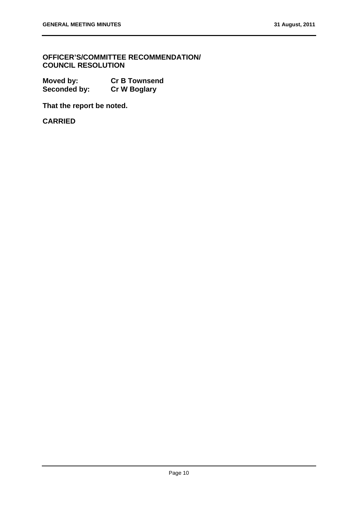**OFFICER'S/COMMITTEE RECOMMENDATION/ COUNCIL RESOLUTION** 

**Moved by: Cr B Townsend Seconded by: Cr W Boglary** 

**That the report be noted.** 

**CARRIED**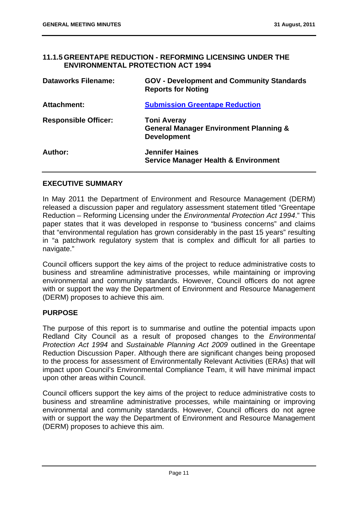#### **11.1.5 GREENTAPE REDUCTION - REFORMING LICENSING UNDER THE ENVIRONMENTAL PROTECTION ACT 1994**

| <b>Dataworks Filename:</b>  | <b>GOV - Development and Community Standards</b><br><b>Reports for Noting</b>                 |
|-----------------------------|-----------------------------------------------------------------------------------------------|
| Attachment:                 | <b>Submission Greentape Reduction</b>                                                         |
| <b>Responsible Officer:</b> | <b>Toni Averay</b><br><b>General Manager Environment Planning &amp;</b><br><b>Development</b> |
| Author:                     | <b>Jennifer Haines</b><br><b>Service Manager Health &amp; Environment</b>                     |

#### **EXECUTIVE SUMMARY**

In May 2011 the Department of Environment and Resource Management (DERM) released a discussion paper and regulatory assessment statement titled "Greentape Reduction – Reforming Licensing under the *Environmental Protection Act 1994*." This paper states that it was developed in response to "business concerns" and claims that "environmental regulation has grown considerably in the past 15 years" resulting in "a patchwork regulatory system that is complex and difficult for all parties to navigate."

Council officers support the key aims of the project to reduce administrative costs to business and streamline administrative processes, while maintaining or improving environmental and community standards. However, Council officers do not agree with or support the way the Department of Environment and Resource Management (DERM) proposes to achieve this aim.

#### **PURPOSE**

The purpose of this report is to summarise and outline the potential impacts upon Redland City Council as a result of proposed changes to the *Environmental Protection Act 1994* and *Sustainable Planning Act 2009* outlined in the Greentape Reduction Discussion Paper. Although there are significant changes being proposed to the process for assessment of Environmentally Relevant Activities (ERAs) that will impact upon Council's Environmental Compliance Team, it will have minimal impact upon other areas within Council.

Council officers support the key aims of the project to reduce administrative costs to business and streamline administrative processes, while maintaining or improving environmental and community standards. However, Council officers do not agree with or support the way the Department of Environment and Resource Management (DERM) proposes to achieve this aim.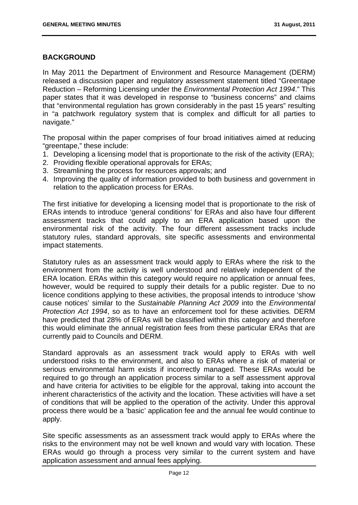#### **BACKGROUND**

In May 2011 the Department of Environment and Resource Management (DERM) released a discussion paper and regulatory assessment statement titled "Greentape Reduction – Reforming Licensing under the *Environmental Protection Act 1994*." This paper states that it was developed in response to "business concerns" and claims that "environmental regulation has grown considerably in the past 15 years" resulting in "a patchwork regulatory system that is complex and difficult for all parties to navigate."

The proposal within the paper comprises of four broad initiatives aimed at reducing "greentape," these include:

- 1. Developing a licensing model that is proportionate to the risk of the activity (ERA);
- 2. Providing flexible operational approvals for ERAs;
- 3. Streamlining the process for resources approvals; and
- 4. Improving the quality of information provided to both business and government in relation to the application process for ERAs.

The first initiative for developing a licensing model that is proportionate to the risk of ERAs intends to introduce 'general conditions' for ERAs and also have four different assessment tracks that could apply to an ERA application based upon the environmental risk of the activity. The four different assessment tracks include statutory rules, standard approvals, site specific assessments and environmental impact statements.

Statutory rules as an assessment track would apply to ERAs where the risk to the environment from the activity is well understood and relatively independent of the ERA location. ERAs within this category would require no application or annual fees, however, would be required to supply their details for a public register. Due to no licence conditions applying to these activities, the proposal intends to introduce 'show cause notices' similar to the *Sustainable Planning Act 2009* into the *Environmental Protection Act 1994*, so as to have an enforcement tool for these activities*.* DERM have predicted that 28% of ERAs will be classified within this category and therefore this would eliminate the annual registration fees from these particular ERAs that are currently paid to Councils and DERM.

Standard approvals as an assessment track would apply to ERAs with well understood risks to the environment, and also to ERAs where a risk of material or serious environmental harm exists if incorrectly managed. These ERAs would be required to go through an application process similar to a self assessment approval and have criteria for activities to be eligible for the approval, taking into account the inherent characteristics of the activity and the location. These activities will have a set of conditions that will be applied to the operation of the activity. Under this approval process there would be a 'basic' application fee and the annual fee would continue to apply.

Site specific assessments as an assessment track would apply to ERAs where the risks to the environment may not be well known and would vary with location. These ERAs would go through a process very similar to the current system and have application assessment and annual fees applying.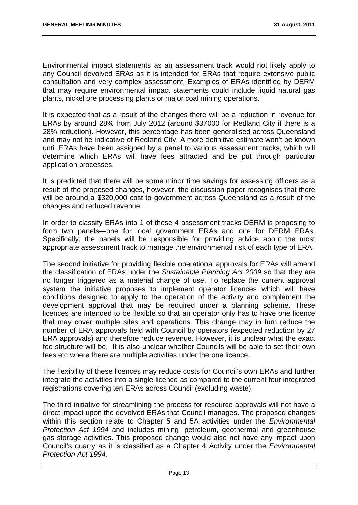Environmental impact statements as an assessment track would not likely apply to any Council devolved ERAs as it is intended for ERAs that require extensive public consultation and very complex assessment. Examples of ERAs identified by DERM that may require environmental impact statements could include liquid natural gas plants, nickel ore processing plants or major coal mining operations.

It is expected that as a result of the changes there will be a reduction in revenue for ERAs by around 28% from July 2012 (around \$37000 for Redland City if there is a 28% reduction). However, this percentage has been generalised across Queensland and may not be indicative of Redland City. A more definitive estimate won't be known until ERAs have been assigned by a panel to various assessment tracks, which will determine which ERAs will have fees attracted and be put through particular application processes.

It is predicted that there will be some minor time savings for assessing officers as a result of the proposed changes, however, the discussion paper recognises that there will be around a \$320,000 cost to government across Queensland as a result of the changes and reduced revenue.

In order to classify ERAs into 1 of these 4 assessment tracks DERM is proposing to form two panels—one for local government ERAs and one for DERM ERAs. Specifically, the panels will be responsible for providing advice about the most appropriate assessment track to manage the environmental risk of each type of ERA.

The second initiative for providing flexible operational approvals for ERAs will amend the classification of ERAs under the *Sustainable Planning Act 2009* so that they are no longer triggered as a material change of use. To replace the current approval system the initiative proposes to implement operator licences which will have conditions designed to apply to the operation of the activity and complement the development approval that may be required under a planning scheme. These licences are intended to be flexible so that an operator only has to have one licence that may cover multiple sites and operations. This change may in turn reduce the number of ERA approvals held with Council by operators (expected reduction by 27 ERA approvals) and therefore reduce revenue. However, it is unclear what the exact fee structure will be. It is also unclear whether Councils will be able to set their own fees etc where there are multiple activities under the one licence.

The flexibility of these licences may reduce costs for Council's own ERAs and further integrate the activities into a single licence as compared to the current four integrated registrations covering ten ERAs across Council (excluding waste).

The third initiative for streamlining the process for resource approvals will not have a direct impact upon the devolved ERAs that Council manages. The proposed changes within this section relate to Chapter 5 and 5A activities under the *Environmental Protection Act 1994* and includes mining, petroleum, geothermal and greenhouse gas storage activities. This proposed change would also not have any impact upon Council's quarry as it is classified as a Chapter 4 Activity under the *Environmental Protection Act 1994.*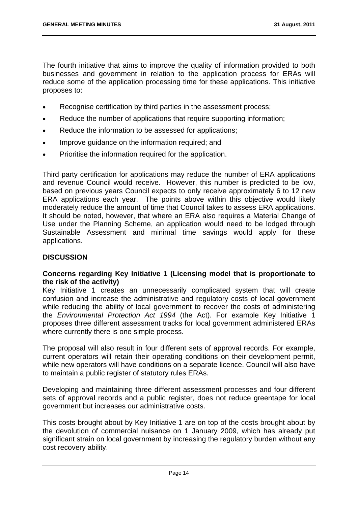The fourth initiative that aims to improve the quality of information provided to both businesses and government in relation to the application process for ERAs will reduce some of the application processing time for these applications. This initiative proposes to:

- Recognise certification by third parties in the assessment process;
- Reduce the number of applications that require supporting information;
- Reduce the information to be assessed for applications;
- Improve quidance on the information required; and
- Prioritise the information required for the application.

Third party certification for applications may reduce the number of ERA applications and revenue Council would receive. However, this number is predicted to be low, based on previous years Council expects to only receive approximately 6 to 12 new ERA applications each year. The points above within this objective would likely moderately reduce the amount of time that Council takes to assess ERA applications. It should be noted, however, that where an ERA also requires a Material Change of Use under the Planning Scheme, an application would need to be lodged through Sustainable Assessment and minimal time savings would apply for these applications.

#### **DISCUSSION**

#### **Concerns regarding Key Initiative 1 (Licensing model that is proportionate to the risk of the activity)**

Key Initiative 1 creates an unnecessarily complicated system that will create confusion and increase the administrative and regulatory costs of local government while reducing the ability of local government to recover the costs of administering the *Environmental Protection Act 1994* (the Act). For example Key Initiative 1 proposes three different assessment tracks for local government administered ERAs where currently there is one simple process.

The proposal will also result in four different sets of approval records. For example, current operators will retain their operating conditions on their development permit, while new operators will have conditions on a separate licence. Council will also have to maintain a public register of statutory rules ERAs.

Developing and maintaining three different assessment processes and four different sets of approval records and a public register, does not reduce greentape for local government but increases our administrative costs.

This costs brought about by Key Initiative 1 are on top of the costs brought about by the devolution of commercial nuisance on 1 January 2009, which has already put significant strain on local government by increasing the regulatory burden without any cost recovery ability.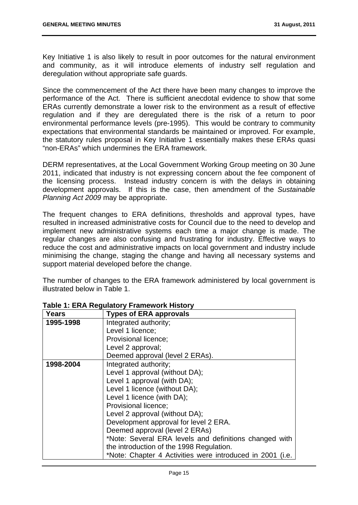Key Initiative 1 is also likely to result in poor outcomes for the natural environment and community, as it will introduce elements of industry self regulation and deregulation without appropriate safe guards.

Since the commencement of the Act there have been many changes to improve the performance of the Act. There is sufficient anecdotal evidence to show that some ERAs currently demonstrate a lower risk to the environment as a result of effective regulation and if they are deregulated there is the risk of a return to poor environmental performance levels (pre-1995). This would be contrary to community expectations that environmental standards be maintained or improved. For example, the statutory rules proposal in Key Initiative 1 essentially makes these ERAs quasi "non-ERAs" which undermines the ERA framework.

DERM representatives, at the Local Government Working Group meeting on 30 June 2011, indicated that industry is not expressing concern about the fee component of the licensing process. Instead industry concern is with the delays in obtaining development approvals. If this is the case, then amendment of the *Sustainable Planning Act 2009* may be appropriate.

The frequent changes to ERA definitions, thresholds and approval types, have resulted in increased administrative costs for Council due to the need to develop and implement new administrative systems each time a major change is made. The regular changes are also confusing and frustrating for industry. Effective ways to reduce the cost and administrative impacts on local government and industry include minimising the change, staging the change and having all necessary systems and support material developed before the change.

The number of changes to the ERA framework administered by local government is illustrated below in Table 1.

| <b>Years</b> | <b>Types of ERA approvals</b>                             |
|--------------|-----------------------------------------------------------|
| 1995-1998    | Integrated authority;                                     |
|              | Level 1 licence;                                          |
|              | Provisional licence;                                      |
|              | Level 2 approval;                                         |
|              | Deemed approval (level 2 ERAs).                           |
| 1998-2004    | Integrated authority;                                     |
|              | Level 1 approval (without DA);                            |
|              | Level 1 approval (with DA);                               |
|              | Level 1 licence (without DA);                             |
|              | Level 1 licence (with DA);                                |
|              | <b>Provisional licence;</b>                               |
|              | Level 2 approval (without DA);                            |
|              | Development approval for level 2 ERA.                     |
|              | Deemed approval (level 2 ERAs)                            |
|              | *Note: Several ERA levels and definitions changed with    |
|              | the introduction of the 1998 Regulation.                  |
|              | *Note: Chapter 4 Activities were introduced in 2001 (i.e. |

#### **Table 1: ERA Regulatory Framework History**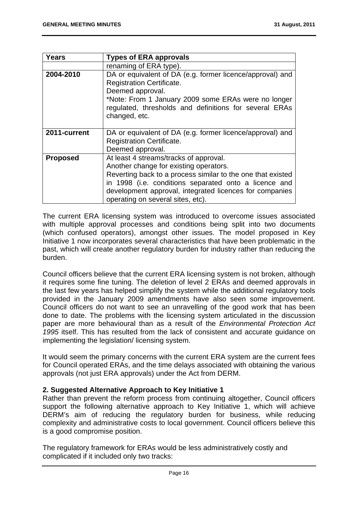| <b>Years</b>    | <b>Types of ERA approvals</b>                                                                                                                                                                                                                                                                            |
|-----------------|----------------------------------------------------------------------------------------------------------------------------------------------------------------------------------------------------------------------------------------------------------------------------------------------------------|
|                 | renaming of ERA type).                                                                                                                                                                                                                                                                                   |
| 2004-2010       | DA or equivalent of DA (e.g. former licence/approval) and<br><b>Registration Certificate.</b><br>Deemed approval.<br>*Note: From 1 January 2009 some ERAs were no longer<br>regulated, thresholds and definitions for several ERAs<br>changed, etc.                                                      |
| 2011-current    | DA or equivalent of DA (e.g. former licence/approval) and<br><b>Registration Certificate.</b><br>Deemed approval.                                                                                                                                                                                        |
| <b>Proposed</b> | At least 4 streams/tracks of approval.<br>Another change for existing operators.<br>Reverting back to a process similar to the one that existed<br>in 1998 (i.e. conditions separated onto a licence and<br>development approval, integrated licences for companies<br>operating on several sites, etc). |

The current ERA licensing system was introduced to overcome issues associated with multiple approval processes and conditions being split into two documents (which confused operators), amongst other issues. The model proposed in Key Initiative 1 now incorporates several characteristics that have been problematic in the past, which will create another regulatory burden for industry rather than reducing the burden.

Council officers believe that the current ERA licensing system is not broken, although it requires some fine tuning. The deletion of level 2 ERAs and deemed approvals in the last few years has helped simplify the system while the additional regulatory tools provided in the January 2009 amendments have also seen some improvement. Council officers do not want to see an unravelling of the good work that has been done to date. The problems with the licensing system articulated in the discussion paper are more behavioural than as a result of the *Environmental Protection Act 1995* itself. This has resulted from the lack of consistent and accurate guidance on implementing the legislation/ licensing system.

It would seem the primary concerns with the current ERA system are the current fees for Council operated ERAs, and the time delays associated with obtaining the various approvals (not just ERA approvals) under the Act from DERM.

#### **2. Suggested Alternative Approach to Key Initiative 1**

Rather than prevent the reform process from continuing altogether, Council officers support the following alternative approach to Key Initiative 1, which will achieve DERM's aim of reducing the regulatory burden for business, while reducing complexity and administrative costs to local government. Council officers believe this is a good compromise position.

The regulatory framework for ERAs would be less administratively costly and complicated if it included only two tracks: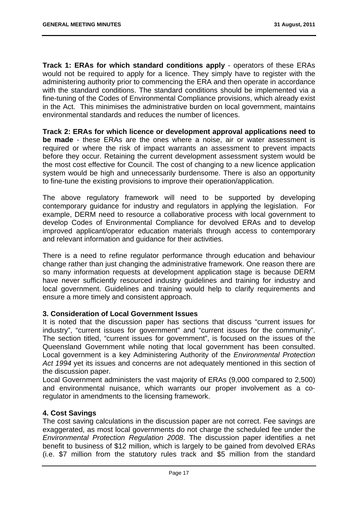**Track 1: ERAs for which standard conditions apply** - operators of these ERAs would not be required to apply for a licence. They simply have to register with the administering authority prior to commencing the ERA and then operate in accordance with the standard conditions. The standard conditions should be implemented via a fine-tuning of the Codes of Environmental Compliance provisions, which already exist in the Act. This minimises the administrative burden on local government, maintains environmental standards and reduces the number of licences.

**Track 2: ERAs for which licence or development approval applications need to be made** - these ERAs are the ones where a noise, air or water assessment is required or where the risk of impact warrants an assessment to prevent impacts before they occur. Retaining the current development assessment system would be the most cost effective for Council. The cost of changing to a new licence application system would be high and unnecessarily burdensome. There is also an opportunity to fine-tune the existing provisions to improve their operation/application.

The above regulatory framework will need to be supported by developing contemporary guidance for industry and regulators in applying the legislation. For example, DERM need to resource a collaborative process with local government to develop Codes of Environmental Compliance for devolved ERAs and to develop improved applicant/operator education materials through access to contemporary and relevant information and guidance for their activities.

There is a need to refine regulator performance through education and behaviour change rather than just changing the administrative framework. One reason there are so many information requests at development application stage is because DERM have never sufficiently resourced industry guidelines and training for industry and local government. Guidelines and training would help to clarify requirements and ensure a more timely and consistent approach.

#### **3. Consideration of Local Government Issues**

It is noted that the discussion paper has sections that discuss "current issues for industry", "current issues for government" and "current issues for the community". The section titled, "current issues for government", is focused on the issues of the Queensland Government while noting that local government has been consulted. Local government is a key Administering Authority of the *Environmental Protection Act 1994* yet its issues and concerns are not adequately mentioned in this section of the discussion paper.

Local Government administers the vast majority of ERAs (9,000 compared to 2,500) and environmental nuisance, which warrants our proper involvement as a coregulator in amendments to the licensing framework.

#### **4. Cost Savings**

The cost saving calculations in the discussion paper are not correct. Fee savings are exaggerated, as most local governments do not charge the scheduled fee under the *Environmental Protection Regulation 2008*. The discussion paper identifies a net benefit to business of \$12 million, which is largely to be gained from devolved ERAs (i.e. \$7 million from the statutory rules track and \$5 million from the standard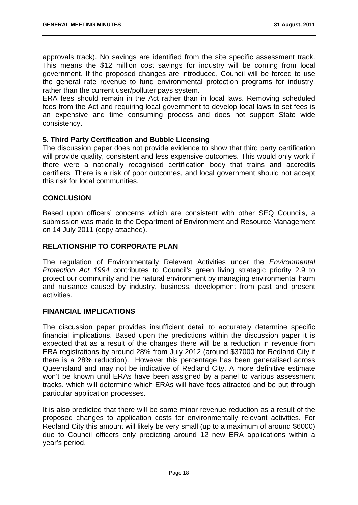approvals track). No savings are identified from the site specific assessment track. This means the \$12 million cost savings for industry will be coming from local government. If the proposed changes are introduced, Council will be forced to use the general rate revenue to fund environmental protection programs for industry, rather than the current user/polluter pays system.

ERA fees should remain in the Act rather than in local laws. Removing scheduled fees from the Act and requiring local government to develop local laws to set fees is an expensive and time consuming process and does not support State wide consistency.

#### **5. Third Party Certification and Bubble Licensing**

The discussion paper does not provide evidence to show that third party certification will provide quality, consistent and less expensive outcomes. This would only work if there were a nationally recognised certification body that trains and accredits certifiers. There is a risk of poor outcomes, and local government should not accept this risk for local communities.

#### **CONCLUSION**

Based upon officers' concerns which are consistent with other SEQ Councils, a submission was made to the Department of Environment and Resource Management on 14 July 2011 (copy attached).

#### **RELATIONSHIP TO CORPORATE PLAN**

The regulation of Environmentally Relevant Activities under the *Environmental Protection Act 1994* contributes to Council's green living strategic priority 2.9 to protect our community and the natural environment by managing environmental harm and nuisance caused by industry, business, development from past and present activities.

#### **FINANCIAL IMPLICATIONS**

The discussion paper provides insufficient detail to accurately determine specific financial implications. Based upon the predictions within the discussion paper it is expected that as a result of the changes there will be a reduction in revenue from ERA registrations by around 28% from July 2012 (around \$37000 for Redland City if there is a 28% reduction). However this percentage has been generalised across Queensland and may not be indicative of Redland City. A more definitive estimate won't be known until ERAs have been assigned by a panel to various assessment tracks, which will determine which ERAs will have fees attracted and be put through particular application processes.

It is also predicted that there will be some minor revenue reduction as a result of the proposed changes to application costs for environmentally relevant activities. For Redland City this amount will likely be very small (up to a maximum of around \$6000) due to Council officers only predicting around 12 new ERA applications within a year's period.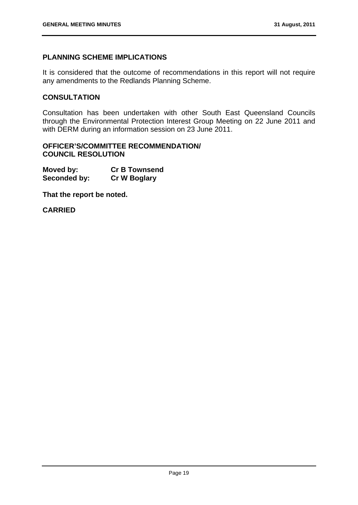#### **PLANNING SCHEME IMPLICATIONS**

It is considered that the outcome of recommendations in this report will not require any amendments to the Redlands Planning Scheme.

#### **CONSULTATION**

Consultation has been undertaken with other South East Queensland Councils through the Environmental Protection Interest Group Meeting on 22 June 2011 and with DERM during an information session on 23 June 2011.

#### **OFFICER'S/COMMITTEE RECOMMENDATION/ COUNCIL RESOLUTION**

| Moved by:    | <b>Cr B Townsend</b> |
|--------------|----------------------|
| Seconded by: | <b>Cr W Boglary</b>  |

**That the report be noted.** 

**CARRIED**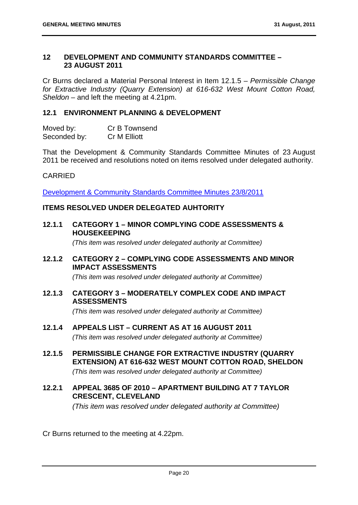#### **12 DEVELOPMENT AND COMMUNITY STANDARDS COMMITTEE – 23 AUGUST 2011**

Cr Burns declared a Material Personal Interest in Item 12.1.5 – *Permissible Change for Extractive Industry (Quarry Extension) at 616-632 West Mount Cotton Road, Sheldon* – and left the meeting at 4.21pm.

#### **12.1 ENVIRONMENT PLANNING & DEVELOPMENT**

| Moved by:    | Cr B Townsend |
|--------------|---------------|
| Seconded by: | Cr M Elliott  |

That the Development & Community Standards Committee Minutes of 23 August 2011 be received and resolutions noted on items resolved under delegated authority.

#### CARRIED

Development & Community Standards Committee Minutes 23/8/2011

#### **ITEMS RESOLVED UNDER DELEGATED AUHTORITY**

**12.1.1 CATEGORY 1 – MINOR COMPLYING CODE ASSESSMENTS & HOUSEKEEPING** 

 *(This item was resolved under delegated authority at Committee)* 

**12.1.2 CATEGORY 2 – COMPLYING CODE ASSESSMENTS AND MINOR IMPACT ASSESSMENTS** 

 *(This item was resolved under delegated authority at Committee)* 

**12.1.3 CATEGORY 3 – MODERATELY COMPLEX CODE AND IMPACT ASSESSMENTS** 

 *(This item was resolved under delegated authority at Committee)* 

- **12.1.4 APPEALS LIST CURRENT AS AT 16 AUGUST 2011**   *(This item was resolved under delegated authority at Committee)*
- **12.1.5 PERMISSIBLE CHANGE FOR EXTRACTIVE INDUSTRY (QUARRY EXTENSION) AT 616-632 WEST MOUNT COTTON ROAD, SHELDON**

 *(This item was resolved under delegated authority at Committee)* 

**12.2.1 APPEAL 3685 OF 2010 – APARTMENT BUILDING AT 7 TAYLOR CRESCENT, CLEVELAND** 

 *(This item was resolved under delegated authority at Committee)* 

Cr Burns returned to the meeting at 4.22pm.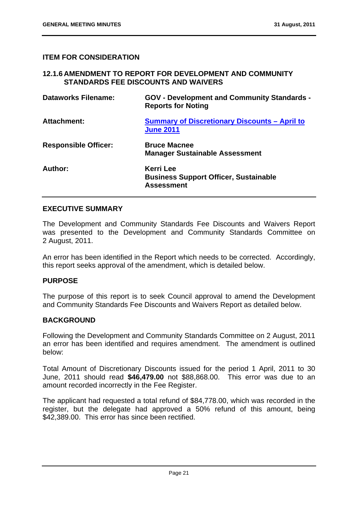#### **ITEM FOR CONSIDERATION**

#### **12.1.6 AMENDMENT TO REPORT FOR DEVELOPMENT AND COMMUNITY STANDARDS FEE DISCOUNTS AND WAIVERS**

| <b>Dataworks Filename:</b>  | <b>GOV - Development and Community Standards -</b><br><b>Reports for Noting</b>       |
|-----------------------------|---------------------------------------------------------------------------------------|
| <b>Attachment:</b>          | <b>Summary of Discretionary Discounts - April to</b><br><b>June 2011</b>              |
| <b>Responsible Officer:</b> | <b>Bruce Macnee</b><br><b>Manager Sustainable Assessment</b>                          |
| Author:                     | <b>Kerri Lee</b><br><b>Business Support Officer, Sustainable</b><br><b>Assessment</b> |

#### **EXECUTIVE SUMMARY**

The Development and Community Standards Fee Discounts and Waivers Report was presented to the Development and Community Standards Committee on 2 August, 2011.

An error has been identified in the Report which needs to be corrected. Accordingly, this report seeks approval of the amendment, which is detailed below.

#### **PURPOSE**

The purpose of this report is to seek Council approval to amend the Development and Community Standards Fee Discounts and Waivers Report as detailed below.

#### **BACKGROUND**

Following the Development and Community Standards Committee on 2 August, 2011 an error has been identified and requires amendment. The amendment is outlined below:

Total Amount of Discretionary Discounts issued for the period 1 April, 2011 to 30 June, 2011 should read **\$46,479.00** not \$88,868.00. This error was due to an amount recorded incorrectly in the Fee Register.

The applicant had requested a total refund of \$84,778.00, which was recorded in the register, but the delegate had approved a 50% refund of this amount, being \$42,389.00. This error has since been rectified.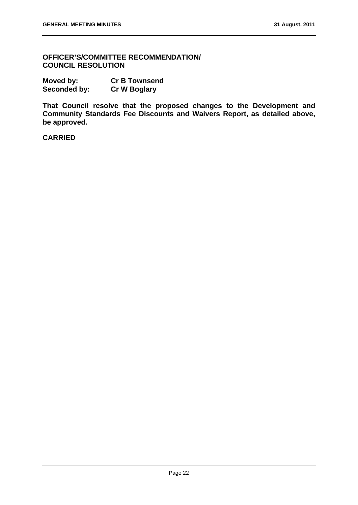**OFFICER'S/COMMITTEE RECOMMENDATION/ COUNCIL RESOLUTION** 

| Moved by:    | <b>Cr B Townsend</b> |
|--------------|----------------------|
| Seconded by: | <b>Cr W Boglary</b>  |

**That Council resolve that the proposed changes to the Development and Community Standards Fee Discounts and Waivers Report, as detailed above, be approved.** 

**CARRIED**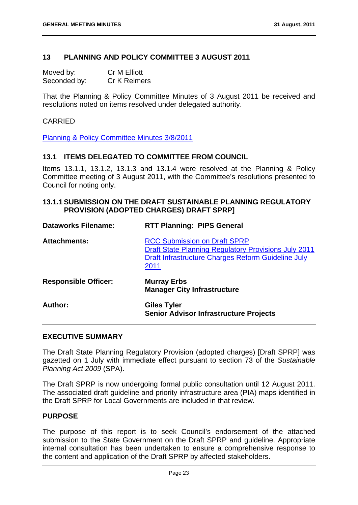#### **13 PLANNING AND POLICY COMMITTEE 3 AUGUST 2011**

Moved by: Cr M Elliott Seconded by: Cr K Reimers

That the Planning & Policy Committee Minutes of 3 August 2011 be received and resolutions noted on items resolved under delegated authority.

#### CARRIED

Planning & Policy Committee Minutes 3/8/2011

#### **13.1 ITEMS DELEGATED TO COMMITTEE FROM COUNCIL**

Items 13.1.1, 13.1.2, 13.1.3 and 13.1.4 were resolved at the Planning & Policy Committee meeting of 3 August 2011, with the Committee's resolutions presented to Council for noting only.

#### **13.1.1 SUBMISSION ON THE DRAFT SUSTAINABLE PLANNING REGULATORY PROVISION (ADOPTED CHARGES) DRAFT SPRP]**

| <b>Dataworks Filename:</b>  | <b>RTT Planning: PIPS General</b>                                                                                                                                |
|-----------------------------|------------------------------------------------------------------------------------------------------------------------------------------------------------------|
| <b>Attachments:</b>         | <b>RCC Submission on Draft SPRP</b><br><b>Draft State Planning Regulatory Provisions July 2011</b><br>Draft Infrastructure Charges Reform Guideline July<br>2011 |
| <b>Responsible Officer:</b> | <b>Murray Erbs</b><br><b>Manager City Infrastructure</b>                                                                                                         |
| Author:                     | <b>Giles Tyler</b><br><b>Senior Advisor Infrastructure Projects</b>                                                                                              |

#### **EXECUTIVE SUMMARY**

The Draft State Planning Regulatory Provision (adopted charges) [Draft SPRP] was gazetted on 1 July with immediate effect pursuant to section 73 of the *Sustainable Planning Act 2009* (SPA).

The Draft SPRP is now undergoing formal public consultation until 12 August 2011. The associated draft guideline and priority infrastructure area (PIA) maps identified in the Draft SPRP for Local Governments are included in that review.

#### **PURPOSE**

The purpose of this report is to seek Council's endorsement of the attached submission to the State Government on the Draft SPRP and guideline. Appropriate internal consultation has been undertaken to ensure a comprehensive response to the content and application of the Draft SPRP by affected stakeholders.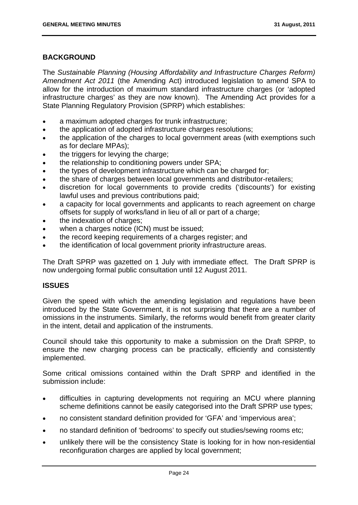#### **BACKGROUND**

The *Sustainable Planning (Housing Affordability and Infrastructure Charges Reform) Amendment Act 2011* (the Amending Act) introduced legislation to amend SPA to allow for the introduction of maximum standard infrastructure charges (or 'adopted infrastructure charges' as they are now known). The Amending Act provides for a State Planning Regulatory Provision (SPRP) which establishes:

- a maximum adopted charges for trunk infrastructure;
- the application of adopted infrastructure charges resolutions:
- the application of the charges to local government areas (with exemptions such as for declare MPAs);
- the triggers for levying the charge;
- the relationship to conditioning powers under SPA;
- the types of development infrastructure which can be charged for;
- the share of charges between local governments and distributor-retailers;
- discretion for local governments to provide credits ('discounts') for existing lawful uses and previous contributions paid;
- a capacity for local governments and applicants to reach agreement on charge offsets for supply of works/land in lieu of all or part of a charge;
- the indexation of charges:
- when a charges notice (ICN) must be issued;
- the record keeping requirements of a charges register; and
- the identification of local government priority infrastructure areas.

The Draft SPRP was gazetted on 1 July with immediate effect. The Draft SPRP is now undergoing formal public consultation until 12 August 2011.

#### **ISSUES**

Given the speed with which the amending legislation and regulations have been introduced by the State Government, it is not surprising that there are a number of omissions in the instruments. Similarly, the reforms would benefit from greater clarity in the intent, detail and application of the instruments.

Council should take this opportunity to make a submission on the Draft SPRP, to ensure the new charging process can be practically, efficiently and consistently implemented.

Some critical omissions contained within the Draft SPRP and identified in the submission include:

- difficulties in capturing developments not requiring an MCU where planning scheme definitions cannot be easily categorised into the Draft SPRP use types;
- no consistent standard definition provided for 'GFA' and 'impervious area';
- no standard definition of 'bedrooms' to specify out studies/sewing rooms etc;
- unlikely there will be the consistency State is looking for in how non-residential reconfiguration charges are applied by local government;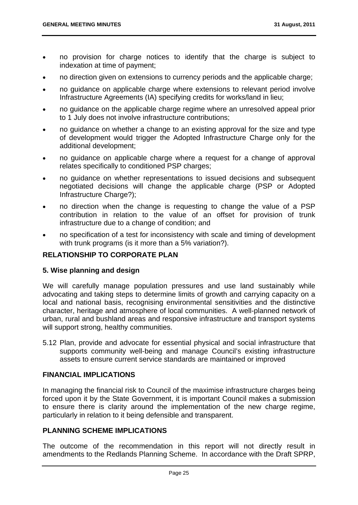- no provision for charge notices to identify that the charge is subject to indexation at time of payment;
- no direction given on extensions to currency periods and the applicable charge;
- no guidance on applicable charge where extensions to relevant period involve Infrastructure Agreements (IA) specifying credits for works/land in lieu;
- no guidance on the applicable charge regime where an unresolved appeal prior to 1 July does not involve infrastructure contributions;
- no guidance on whether a change to an existing approval for the size and type of development would trigger the Adopted Infrastructure Charge only for the additional development;
- no guidance on applicable charge where a request for a change of approval relates specifically to conditioned PSP charges;
- no guidance on whether representations to issued decisions and subsequent negotiated decisions will change the applicable charge (PSP or Adopted Infrastructure Charge?);
- no direction when the change is requesting to change the value of a PSP contribution in relation to the value of an offset for provision of trunk infrastructure due to a change of condition; and
- no specification of a test for inconsistency with scale and timing of development with trunk programs (is it more than a 5% variation?).

#### **RELATIONSHIP TO CORPORATE PLAN**

#### **5. Wise planning and design**

We will carefully manage population pressures and use land sustainably while advocating and taking steps to determine limits of growth and carrying capacity on a local and national basis, recognising environmental sensitivities and the distinctive character, heritage and atmosphere of local communities. A well-planned network of urban, rural and bushland areas and responsive infrastructure and transport systems will support strong, healthy communities.

5.12 Plan, provide and advocate for essential physical and social infrastructure that supports community well-being and manage Council's existing infrastructure assets to ensure current service standards are maintained or improved

#### **FINANCIAL IMPLICATIONS**

In managing the financial risk to Council of the maximise infrastructure charges being forced upon it by the State Government, it is important Council makes a submission to ensure there is clarity around the implementation of the new charge regime, particularly in relation to it being defensible and transparent.

#### **PLANNING SCHEME IMPLICATIONS**

The outcome of the recommendation in this report will not directly result in amendments to the Redlands Planning Scheme. In accordance with the Draft SPRP,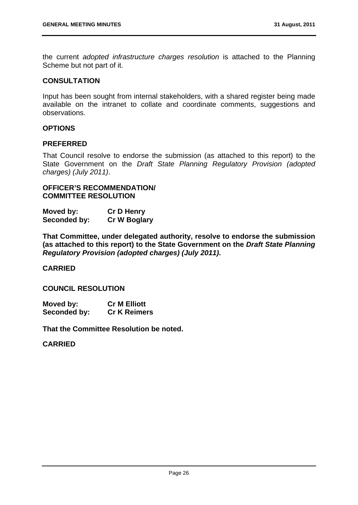the current *adopted infrastructure charges resolution* is attached to the Planning Scheme but not part of it.

#### **CONSULTATION**

Input has been sought from internal stakeholders, with a shared register being made available on the intranet to collate and coordinate comments, suggestions and observations.

#### **OPTIONS**

#### **PREFERRED**

That Council resolve to endorse the submission (as attached to this report) to the State Government on the *Draft State Planning Regulatory Provision (adopted charges) (July 2011)*.

#### **OFFICER'S RECOMMENDATION/ COMMITTEE RESOLUTION**

| Moved by:    | <b>Cr D Henry</b>   |
|--------------|---------------------|
| Seconded by: | <b>Cr W Boglary</b> |

**That Committee, under delegated authority, resolve to endorse the submission (as attached to this report) to the State Government on the** *Draft State Planning Regulatory Provision (adopted charges) (July 2011)***.** 

#### **CARRIED**

#### **COUNCIL RESOLUTION**

| Moved by:    | <b>Cr M Elliott</b> |
|--------------|---------------------|
| Seconded by: | <b>Cr K Reimers</b> |

**That the Committee Resolution be noted.** 

#### **CARRIED**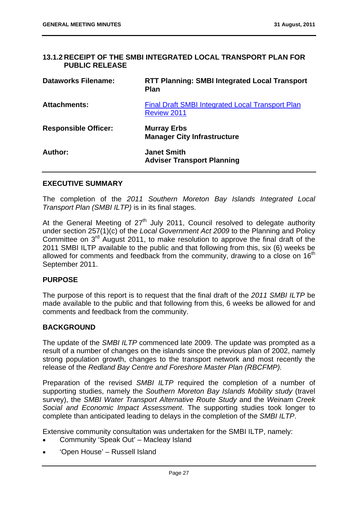#### **13.1.2 RECEIPT OF THE SMBI INTEGRATED LOCAL TRANSPORT PLAN FOR PUBLIC RELEASE**

| <b>Dataworks Filename:</b>  | <b>RTT Planning: SMBI Integrated Local Transport</b><br><b>Plan</b>           |
|-----------------------------|-------------------------------------------------------------------------------|
| <b>Attachments:</b>         | <b>Final Draft SMBI Integrated Local Transport Plan</b><br><b>Review 2011</b> |
| <b>Responsible Officer:</b> | <b>Murray Erbs</b><br><b>Manager City Infrastructure</b>                      |
| Author:                     | <b>Janet Smith</b><br><b>Adviser Transport Planning</b>                       |

#### **EXECUTIVE SUMMARY**

The completion of the *2011 Southern Moreton Bay Islands Integrated Local Transport Plan (SMBI ILTP)* is in its final stages.

At the General Meeting of  $27<sup>th</sup>$  July 2011, Council resolved to delegate authority under section 257(1)(c) of the *Local Government Act 2009* to the Planning and Policy Committee on  $3<sup>rd</sup>$  August 2011, to make resolution to approve the final draft of the 2011 SMBI ILTP available to the public and that following from this, six (6) weeks be allowed for comments and feedback from the community, drawing to a close on  $16<sup>th</sup>$ September 2011.

#### **PURPOSE**

The purpose of this report is to request that the final draft of the *2011 SMBI ILTP* be made available to the public and that following from this, 6 weeks be allowed for and comments and feedback from the community.

#### **BACKGROUND**

The update of the *SMBI ILTP* commenced late 2009. The update was prompted as a result of a number of changes on the islands since the previous plan of 2002, namely strong population growth, changes to the transport network and most recently the release of the *Redland Bay Centre and Foreshore Master Plan (RBCFMP).*

Preparation of the revised *SMBI ILTP* required the completion of a number of supporting studies, namely the *Southern Moreton Bay Islands Mobility study* (travel survey), the *SMBI Water Transport Alternative Route Study* and the *Weinam Creek Social and Economic Impact Assessment*. The supporting studies took longer to complete than anticipated leading to delays in the completion of the *SMBI ILTP*.

Extensive community consultation was undertaken for the SMBI ILTP, namely:

- Community 'Speak Out' Macleay Island
- 'Open House' Russell Island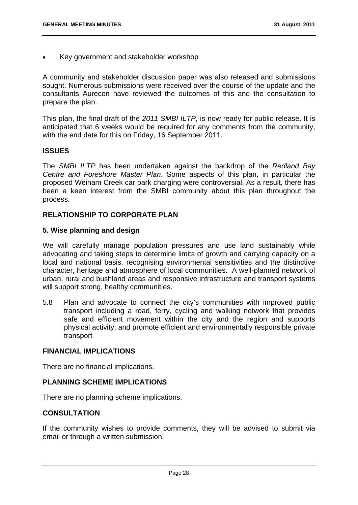Key government and stakeholder workshop

A community and stakeholder discussion paper was also released and submissions sought. Numerous submissions were received over the course of the update and the consultants Aurecon have reviewed the outcomes of this and the consultation to prepare the plan.

This plan, the final draft of the *2011 SMBI ILTP*, is now ready for public release. It is anticipated that 6 weeks would be required for any comments from the community, with the end date for this on Friday, 16 September 2011.

#### **ISSUES**

The *SMBI ILTP* has been undertaken against the backdrop of the *Redland Bay Centre and Foreshore Master Plan*. Some aspects of this plan, in particular the proposed Weinam Creek car park charging were controversial. As a result, there has been a keen interest from the SMBI community about this plan throughout the process.

#### **RELATIONSHIP TO CORPORATE PLAN**

#### **5. Wise planning and design**

We will carefully manage population pressures and use land sustainably while advocating and taking steps to determine limits of growth and carrying capacity on a local and national basis, recognising environmental sensitivities and the distinctive character, heritage and atmosphere of local communities. A well-planned network of urban, rural and bushland areas and responsive infrastructure and transport systems will support strong, healthy communities.

5.8 Plan and advocate to connect the city's communities with improved public transport including a road, ferry, cycling and walking network that provides safe and efficient movement within the city and the region and supports physical activity; and promote efficient and environmentally responsible private transport

#### **FINANCIAL IMPLICATIONS**

There are no financial implications.

#### **PLANNING SCHEME IMPLICATIONS**

There are no planning scheme implications.

#### **CONSULTATION**

If the community wishes to provide comments, they will be advised to submit via email or through a written submission.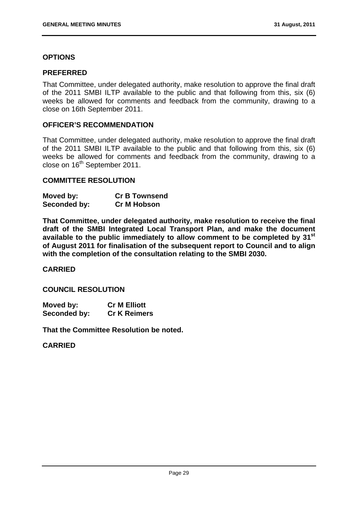#### **OPTIONS**

#### **PREFERRED**

That Committee, under delegated authority, make resolution to approve the final draft of the 2011 SMBI ILTP available to the public and that following from this, six (6) weeks be allowed for comments and feedback from the community, drawing to a close on 16th September 2011.

#### **OFFICER'S RECOMMENDATION**

That Committee, under delegated authority, make resolution to approve the final draft of the 2011 SMBI ILTP available to the public and that following from this, six (6) weeks be allowed for comments and feedback from the community, drawing to a close on 16<sup>th</sup> September 2011.

#### **COMMITTEE RESOLUTION**

| Moved by:    | <b>Cr B Townsend</b> |
|--------------|----------------------|
| Seconded by: | <b>Cr M Hobson</b>   |

**That Committee, under delegated authority, make resolution to receive the final draft of the SMBI Integrated Local Transport Plan, and make the document available to the public immediately to allow comment to be completed by 31st of August 2011 for finalisation of the subsequent report to Council and to align with the completion of the consultation relating to the SMBI 2030.** 

#### **CARRIED**

#### **COUNCIL RESOLUTION**

| Moved by:    | <b>Cr M Elliott</b> |
|--------------|---------------------|
| Seconded by: | <b>Cr K Reimers</b> |

**That the Committee Resolution be noted.** 

#### **CARRIED**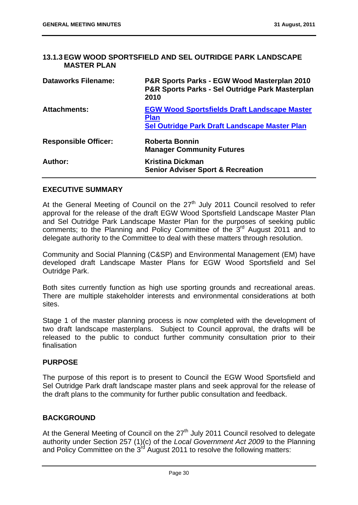#### **13.1.3 EGW WOOD SPORTSFIELD AND SEL OUTRIDGE PARK LANDSCAPE MASTER PLAN**

| <b>Dataworks Filename:</b>  | P&R Sports Parks - EGW Wood Masterplan 2010<br>P&R Sports Parks - Sel Outridge Park Masterplan<br>2010              |
|-----------------------------|---------------------------------------------------------------------------------------------------------------------|
| <b>Attachments:</b>         | <b>EGW Wood Sportsfields Draft Landscape Master</b><br><b>Plan</b><br>Sel Outridge Park Draft Landscape Master Plan |
| <b>Responsible Officer:</b> | <b>Roberta Bonnin</b><br><b>Manager Community Futures</b>                                                           |
| Author:                     | <b>Kristina Dickman</b><br><b>Senior Adviser Sport &amp; Recreation</b>                                             |

#### **EXECUTIVE SUMMARY**

At the General Meeting of Council on the  $27<sup>th</sup>$  July 2011 Council resolved to refer approval for the release of the draft EGW Wood Sportsfield Landscape Master Plan and Sel Outridge Park Landscape Master Plan for the purposes of seeking public comments; to the Planning and Policy Committee of the  $3<sup>rd</sup>$  August 2011 and to delegate authority to the Committee to deal with these matters through resolution.

Community and Social Planning (C&SP) and Environmental Management (EM) have developed draft Landscape Master Plans for EGW Wood Sportsfield and Sel Outridge Park.

Both sites currently function as high use sporting grounds and recreational areas. There are multiple stakeholder interests and environmental considerations at both sites.

Stage 1 of the master planning process is now completed with the development of two draft landscape masterplans. Subject to Council approval, the drafts will be released to the public to conduct further community consultation prior to their finalisation

#### **PURPOSE**

The purpose of this report is to present to Council the EGW Wood Sportsfield and Sel Outridge Park draft landscape master plans and seek approval for the release of the draft plans to the community for further public consultation and feedback.

#### **BACKGROUND**

At the General Meeting of Council on the 27<sup>th</sup> July 2011 Council resolved to delegate authority under Section 257 (1)(c) of the *Local Government Act 2009* to the Planning and Policy Committee on the  $3<sup>rd</sup>$  August 2011 to resolve the following matters: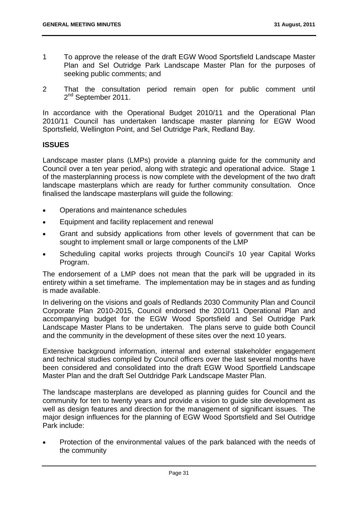- 1 To approve the release of the draft EGW Wood Sportsfield Landscape Master Plan and Sel Outridge Park Landscape Master Plan for the purposes of seeking public comments; and
- 2 That the consultation period remain open for public comment until 2<sup>nd</sup> September 2011.

In accordance with the Operational Budget 2010/11 and the Operational Plan 2010/11 Council has undertaken landscape master planning for EGW Wood Sportsfield, Wellington Point, and Sel Outridge Park, Redland Bay.

# **ISSUES**

Landscape master plans (LMPs) provide a planning guide for the community and Council over a ten year period, along with strategic and operational advice. Stage 1 of the masterplanning process is now complete with the development of the two draft landscape masterplans which are ready for further community consultation. Once finalised the landscape masterplans will guide the following:

- Operations and maintenance schedules
- Equipment and facility replacement and renewal
- Grant and subsidy applications from other levels of government that can be sought to implement small or large components of the LMP
- Scheduling capital works projects through Council's 10 year Capital Works Program.

The endorsement of a LMP does not mean that the park will be upgraded in its entirety within a set timeframe. The implementation may be in stages and as funding is made available.

In delivering on the visions and goals of Redlands 2030 Community Plan and Council Corporate Plan 2010-2015, Council endorsed the 2010/11 Operational Plan and accompanying budget for the EGW Wood Sportsfield and Sel Outridge Park Landscape Master Plans to be undertaken. The plans serve to guide both Council and the community in the development of these sites over the next 10 years.

Extensive background information, internal and external stakeholder engagement and technical studies compiled by Council officers over the last several months have been considered and consolidated into the draft EGW Wood Sportfield Landscape Master Plan and the draft Sel Outdridge Park Landscape Master Plan.

The landscape masterplans are developed as planning guides for Council and the community for ten to twenty years and provide a vision to guide site development as well as design features and direction for the management of significant issues. The major design influences for the planning of EGW Wood Sportsfield and Sel Outridge Park include:

 Protection of the environmental values of the park balanced with the needs of the community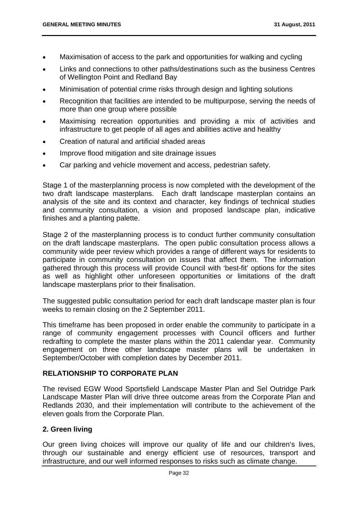- Maximisation of access to the park and opportunities for walking and cycling
- Links and connections to other paths/destinations such as the business Centres of Wellington Point and Redland Bay
- Minimisation of potential crime risks through design and lighting solutions
- Recognition that facilities are intended to be multipurpose, serving the needs of more than one group where possible
- Maximising recreation opportunities and providing a mix of activities and infrastructure to get people of all ages and abilities active and healthy
- Creation of natural and artificial shaded areas
- Improve flood mitigation and site drainage issues
- Car parking and vehicle movement and access, pedestrian safety.

Stage 1 of the masterplanning process is now completed with the development of the two draft landscape masterplans. Each draft landscape masterplan contains an analysis of the site and its context and character, key findings of technical studies and community consultation, a vision and proposed landscape plan, indicative finishes and a planting palette.

Stage 2 of the masterplanning process is to conduct further community consultation on the draft landscape masterplans. The open public consultation process allows a community wide peer review which provides a range of different ways for residents to participate in community consultation on issues that affect them. The information gathered through this process will provide Council with 'best-fit' options for the sites as well as highlight other unforeseen opportunities or limitations of the draft landscape masterplans prior to their finalisation.

The suggested public consultation period for each draft landscape master plan is four weeks to remain closing on the 2 September 2011.

This timeframe has been proposed in order enable the community to participate in a range of community engagement processes with Council officers and further redrafting to complete the master plans within the 2011 calendar year. Community engagement on three other landscape master plans will be undertaken in September/October with completion dates by December 2011.

# **RELATIONSHIP TO CORPORATE PLAN**

The revised EGW Wood Sportsfield Landscape Master Plan and Sel Outridge Park Landscape Master Plan will drive three outcome areas from the Corporate Plan and Redlands 2030, and their implementation will contribute to the achievement of the eleven goals from the Corporate Plan.

# **2. Green living**

Our green living choices will improve our quality of life and our children's lives, through our sustainable and energy efficient use of resources, transport and infrastructure, and our well informed responses to risks such as climate change.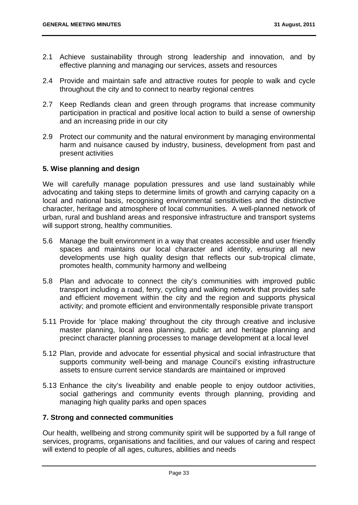- 2.1 Achieve sustainability through strong leadership and innovation, and by effective planning and managing our services, assets and resources
- 2.4 Provide and maintain safe and attractive routes for people to walk and cycle throughout the city and to connect to nearby regional centres
- 2.7 Keep Redlands clean and green through programs that increase community participation in practical and positive local action to build a sense of ownership and an increasing pride in our city
- 2.9 Protect our community and the natural environment by managing environmental harm and nuisance caused by industry, business, development from past and present activities

# **5. Wise planning and design**

We will carefully manage population pressures and use land sustainably while advocating and taking steps to determine limits of growth and carrying capacity on a local and national basis, recognising environmental sensitivities and the distinctive character, heritage and atmosphere of local communities. A well-planned network of urban, rural and bushland areas and responsive infrastructure and transport systems will support strong, healthy communities.

- 5.6 Manage the built environment in a way that creates accessible and user friendly spaces and maintains our local character and identity, ensuring all new developments use high quality design that reflects our sub-tropical climate, promotes health, community harmony and wellbeing
- 5.8 Plan and advocate to connect the city's communities with improved public transport including a road, ferry, cycling and walking network that provides safe and efficient movement within the city and the region and supports physical activity; and promote efficient and environmentally responsible private transport
- 5.11 Provide for 'place making' throughout the city through creative and inclusive master planning, local area planning, public art and heritage planning and precinct character planning processes to manage development at a local level
- 5.12 Plan, provide and advocate for essential physical and social infrastructure that supports community well-being and manage Council's existing infrastructure assets to ensure current service standards are maintained or improved
- 5.13 Enhance the city's liveability and enable people to enjoy outdoor activities, social gatherings and community events through planning, providing and managing high quality parks and open spaces

# **7. Strong and connected communities**

Our health, wellbeing and strong community spirit will be supported by a full range of services, programs, organisations and facilities, and our values of caring and respect will extend to people of all ages, cultures, abilities and needs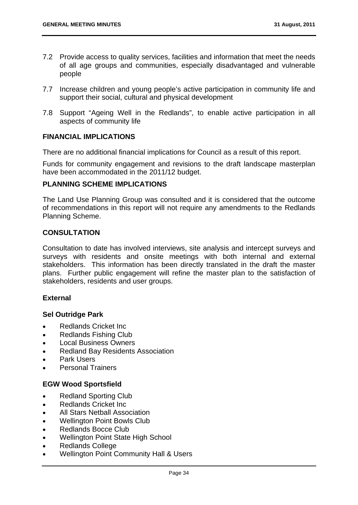- 7.2 Provide access to quality services, facilities and information that meet the needs of all age groups and communities, especially disadvantaged and vulnerable people
- 7.7 Increase children and young people's active participation in community life and support their social, cultural and physical development
- 7.8 Support "Ageing Well in the Redlands", to enable active participation in all aspects of community life

# **FINANCIAL IMPLICATIONS**

There are no additional financial implications for Council as a result of this report.

Funds for community engagement and revisions to the draft landscape masterplan have been accommodated in the 2011/12 budget.

# **PLANNING SCHEME IMPLICATIONS**

The Land Use Planning Group was consulted and it is considered that the outcome of recommendations in this report will not require any amendments to the Redlands Planning Scheme.

# **CONSULTATION**

Consultation to date has involved interviews, site analysis and intercept surveys and surveys with residents and onsite meetings with both internal and external stakeholders. This information has been directly translated in the draft the master plans. Further public engagement will refine the master plan to the satisfaction of stakeholders, residents and user groups.

#### **External**

#### **Sel Outridge Park**

- Redlands Cricket Inc.
- Redlands Fishing Club
- Local Business Owners
- Redland Bay Residents Association
- Park Users
- Personal Trainers

# **EGW Wood Sportsfield**

- Redland Sporting Club
- Redlands Cricket Inc
- All Stars Netball Association
- Wellington Point Bowls Club
- Redlands Bocce Club
- Wellington Point State High School
- Redlands College
- Wellington Point Community Hall & Users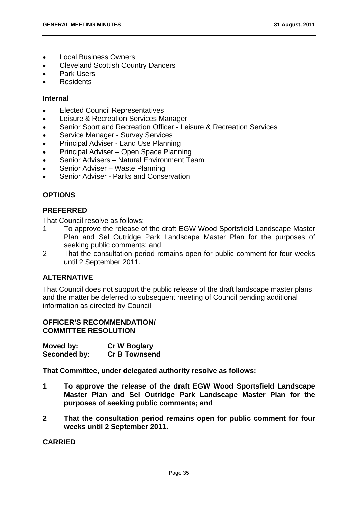- Local Business Owners
- Cleveland Scottish Country Dancers
- Park Users
- **Residents**

# **Internal**

- Elected Council Representatives
- Leisure & Recreation Services Manager
- Senior Sport and Recreation Officer Leisure & Recreation Services
- Service Manager Survey Services
- Principal Adviser Land Use Planning
- Principal Adviser Open Space Planning
- Senior Advisers Natural Environment Team
- Senior Adviser Waste Planning
- Senior Adviser Parks and Conservation

# **OPTIONS**

# **PREFERRED**

That Council resolve as follows:

- 1 To approve the release of the draft EGW Wood Sportsfield Landscape Master Plan and Sel Outridge Park Landscape Master Plan for the purposes of seeking public comments; and
- 2 That the consultation period remains open for public comment for four weeks until 2 September 2011.

# **ALTERNATIVE**

That Council does not support the public release of the draft landscape master plans and the matter be deferred to subsequent meeting of Council pending additional information as directed by Council

# **OFFICER'S RECOMMENDATION/ COMMITTEE RESOLUTION**

**Moved by: Cr W Boglary Seconded by: Cr B Townsend** 

**That Committee, under delegated authority resolve as follows:** 

- **1 To approve the release of the draft EGW Wood Sportsfield Landscape Master Plan and Sel Outridge Park Landscape Master Plan for the purposes of seeking public comments; and**
- **2 That the consultation period remains open for public comment for four weeks until 2 September 2011.**

**CARRIED**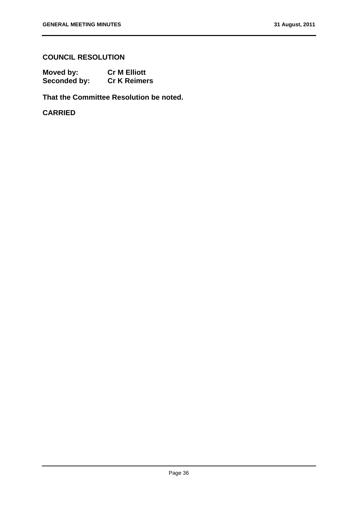# **COUNCIL RESOLUTION**

| Moved by:    | <b>Cr M Elliott</b> |
|--------------|---------------------|
| Seconded by: | <b>Cr K Reimers</b> |

**That the Committee Resolution be noted.** 

**CARRIED**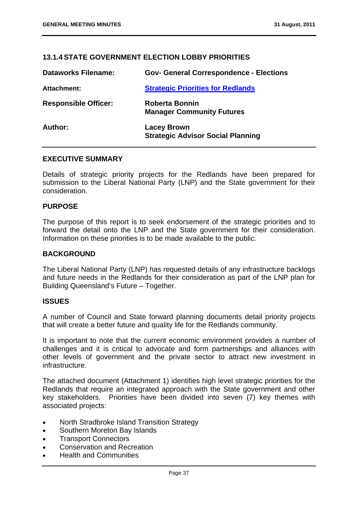# **13.1.4 STATE GOVERNMENT ELECTION LOBBY PRIORITIES**

| <b>Dataworks Filename:</b>  | <b>Gov- General Correspondence - Elections</b>                 |
|-----------------------------|----------------------------------------------------------------|
| <b>Attachment:</b>          | <b>Strategic Priorities for Redlands</b>                       |
| <b>Responsible Officer:</b> | <b>Roberta Bonnin</b><br><b>Manager Community Futures</b>      |
| Author:                     | <b>Lacey Brown</b><br><b>Strategic Advisor Social Planning</b> |

#### **EXECUTIVE SUMMARY**

Details of strategic priority projects for the Redlands have been prepared for submission to the Liberal National Party (LNP) and the State government for their consideration.

# **PURPOSE**

The purpose of this report is to seek endorsement of the strategic priorities and to forward the detail onto the LNP and the State government for their consideration. Information on these priorities is to be made available to the public.

#### **BACKGROUND**

The Liberal National Party (LNP) has requested details of any infrastructure backlogs and future needs in the Redlands for their consideration as part of the LNP plan for Building Queensland's Future – Together.

#### **ISSUES**

A number of Council and State forward planning documents detail priority projects that will create a better future and quality life for the Redlands community.

It is important to note that the current economic environment provides a number of challenges and it is critical to advocate and form partnerships and alliances with other levels of government and the private sector to attract new investment in infrastructure.

The attached document (Attachment 1) identifies high level strategic priorities for the Redlands that require an integrated approach with the State government and other key stakeholders. Priorities have been divided into seven (7) key themes with associated projects:

- North Stradbroke Island Transition Strategy
- Southern Moreton Bay Islands
- Transport Connectors
- Conservation and Recreation
- Health and Communities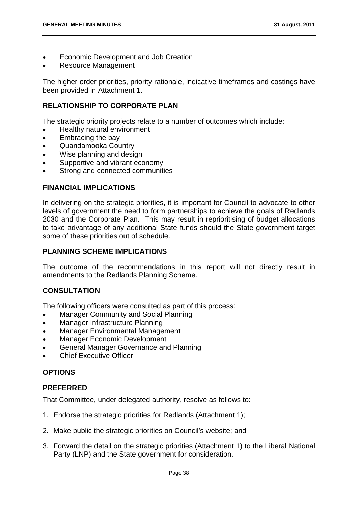- Economic Development and Job Creation
- Resource Management

The higher order priorities, priority rationale, indicative timeframes and costings have been provided in Attachment 1.

# **RELATIONSHIP TO CORPORATE PLAN**

The strategic priority projects relate to a number of outcomes which include:

- Healthy natural environment
- Embracing the bay
- Quandamooka Country
- Wise planning and design
- Supportive and vibrant economy
- **•** Strong and connected communities

# **FINANCIAL IMPLICATIONS**

In delivering on the strategic priorities, it is important for Council to advocate to other levels of government the need to form partnerships to achieve the goals of Redlands 2030 and the Corporate Plan. This may result in reprioritising of budget allocations to take advantage of any additional State funds should the State government target some of these priorities out of schedule.

# **PLANNING SCHEME IMPLICATIONS**

The outcome of the recommendations in this report will not directly result in amendments to the Redlands Planning Scheme.

# **CONSULTATION**

The following officers were consulted as part of this process:

- Manager Community and Social Planning
- Manager Infrastructure Planning
- Manager Environmental Management
- Manager Economic Development
- General Manager Governance and Planning
- Chief Executive Officer

# **OPTIONS**

#### **PREFERRED**

That Committee, under delegated authority, resolve as follows to:

- 1. Endorse the strategic priorities for Redlands (Attachment 1);
- 2. Make public the strategic priorities on Council's website; and
- 3. Forward the detail on the strategic priorities (Attachment 1) to the Liberal National Party (LNP) and the State government for consideration.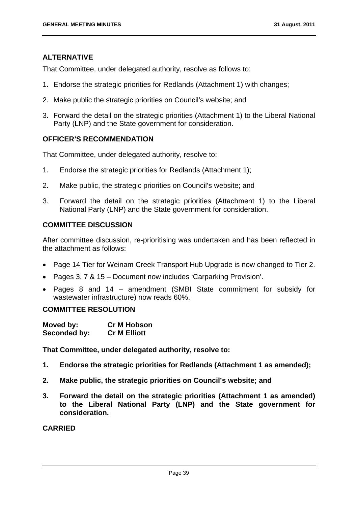# **ALTERNATIVE**

That Committee, under delegated authority, resolve as follows to:

- 1. Endorse the strategic priorities for Redlands (Attachment 1) with changes;
- 2. Make public the strategic priorities on Council's website; and
- 3. Forward the detail on the strategic priorities (Attachment 1) to the Liberal National Party (LNP) and the State government for consideration.

# **OFFICER'S RECOMMENDATION**

That Committee, under delegated authority, resolve to:

- 1. Endorse the strategic priorities for Redlands (Attachment 1);
- 2. Make public, the strategic priorities on Council's website; and
- 3. Forward the detail on the strategic priorities (Attachment 1) to the Liberal National Party (LNP) and the State government for consideration.

# **COMMITTEE DISCUSSION**

After committee discussion, re-prioritising was undertaken and has been reflected in the attachment as follows:

- Page 14 Tier for Weinam Creek Transport Hub Upgrade is now changed to Tier 2.
- Pages 3, 7 & 15 Document now includes 'Carparking Provision'.
- Pages 8 and 14 amendment (SMBI State commitment for subsidy for wastewater infrastructure) now reads 60%.

# **COMMITTEE RESOLUTION**

| Moved by:    | <b>Cr M Hobson</b>  |
|--------------|---------------------|
| Seconded by: | <b>Cr M Elliott</b> |

**That Committee, under delegated authority, resolve to:** 

- **1. Endorse the strategic priorities for Redlands (Attachment 1 as amended);**
- **2. Make public, the strategic priorities on Council's website; and**
- **3. Forward the detail on the strategic priorities (Attachment 1 as amended) to the Liberal National Party (LNP) and the State government for consideration.**

# **CARRIED**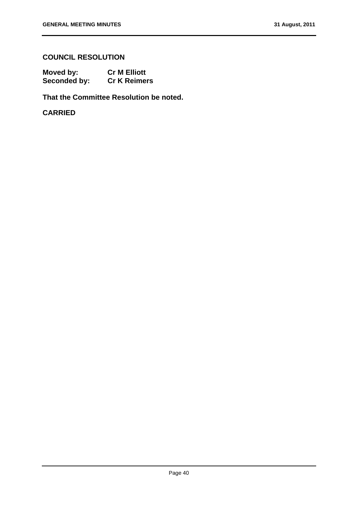# **COUNCIL RESOLUTION**

| Moved by:    | <b>Cr M Elliott</b> |
|--------------|---------------------|
| Seconded by: | <b>Cr K Reimers</b> |

**That the Committee Resolution be noted.** 

**CARRIED**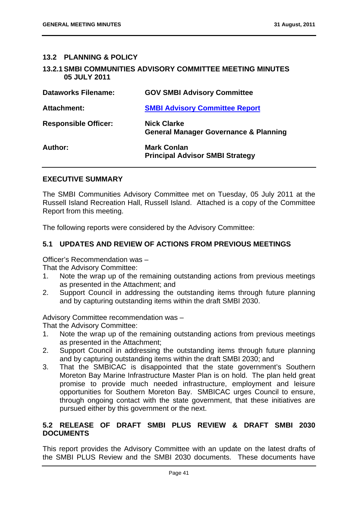# **13.2 PLANNING & POLICY**

# **13.2.1 SMBI COMMUNITIES ADVISORY COMMITTEE MEETING MINUTES 05 JULY 2011**

| <b>Dataworks Filename:</b>  | <b>GOV SMBI Advisory Committee</b>                                     |
|-----------------------------|------------------------------------------------------------------------|
| Attachment:                 | <b>SMBI Advisory Committee Report</b>                                  |
| <b>Responsible Officer:</b> | <b>Nick Clarke</b><br><b>General Manager Governance &amp; Planning</b> |
| Author:                     | <b>Mark Conlan</b><br><b>Principal Advisor SMBI Strategy</b>           |

# **EXECUTIVE SUMMARY**

The SMBI Communities Advisory Committee met on Tuesday, 05 July 2011 at the Russell Island Recreation Hall, Russell Island. Attached is a copy of the Committee Report from this meeting.

The following reports were considered by the Advisory Committee:

# **5.1 UPDATES AND REVIEW OF ACTIONS FROM PREVIOUS MEETINGS**

Officer's Recommendation was –

That the Advisory Committee:

- 1. Note the wrap up of the remaining outstanding actions from previous meetings as presented in the Attachment; and
- 2. Support Council in addressing the outstanding items through future planning and by capturing outstanding items within the draft SMBI 2030.

Advisory Committee recommendation was –

That the Advisory Committee:

- 1. Note the wrap up of the remaining outstanding actions from previous meetings as presented in the Attachment;
- 2. Support Council in addressing the outstanding items through future planning and by capturing outstanding items within the draft SMBI 2030; and
- 3. That the SMBICAC is disappointed that the state government's Southern Moreton Bay Marine Infrastructure Master Plan is on hold. The plan held great promise to provide much needed infrastructure, employment and leisure opportunities for Southern Moreton Bay. SMBICAC urges Council to ensure, through ongoing contact with the state government, that these initiatives are pursued either by this government or the next.

# **5.2 RELEASE OF DRAFT SMBI PLUS REVIEW & DRAFT SMBI 2030 DOCUMENTS**

This report provides the Advisory Committee with an update on the latest drafts of the SMBI PLUS Review and the SMBI 2030 documents. These documents have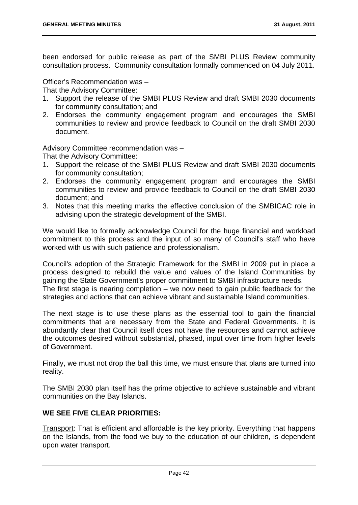been endorsed for public release as part of the SMBI PLUS Review community consultation process. Community consultation formally commenced on 04 July 2011.

Officer's Recommendation was –

That the Advisory Committee:

- 1. Support the release of the SMBI PLUS Review and draft SMBI 2030 documents for community consultation; and
- 2. Endorses the community engagement program and encourages the SMBI communities to review and provide feedback to Council on the draft SMBI 2030 document.

Advisory Committee recommendation was –

That the Advisory Committee:

- 1. Support the release of the SMBI PLUS Review and draft SMBI 2030 documents for community consultation;
- 2. Endorses the community engagement program and encourages the SMBI communities to review and provide feedback to Council on the draft SMBI 2030 document; and
- 3. Notes that this meeting marks the effective conclusion of the SMBICAC role in advising upon the strategic development of the SMBI.

We would like to formally acknowledge Council for the huge financial and workload commitment to this process and the input of so many of Council's staff who have worked with us with such patience and professionalism.

Council's adoption of the Strategic Framework for the SMBI in 2009 put in place a process designed to rebuild the value and values of the Island Communities by gaining the State Government's proper commitment to SMBI infrastructure needs. The first stage is nearing completion – we now need to gain public feedback for the strategies and actions that can achieve vibrant and sustainable Island communities.

The next stage is to use these plans as the essential tool to gain the financial commitments that are necessary from the State and Federal Governments. It is abundantly clear that Council itself does not have the resources and cannot achieve the outcomes desired without substantial, phased, input over time from higher levels of Government.

Finally, we must not drop the ball this time, we must ensure that plans are turned into reality.

The SMBI 2030 plan itself has the prime objective to achieve sustainable and vibrant communities on the Bay Islands.

# **WE SEE FIVE CLEAR PRIORITIES:**

Transport: That is efficient and affordable is the key priority. Everything that happens on the Islands, from the food we buy to the education of our children, is dependent upon water transport.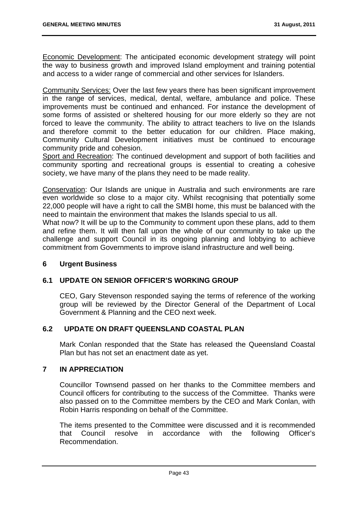Economic Development: The anticipated economic development strategy will point the way to business growth and improved Island employment and training potential and access to a wider range of commercial and other services for Islanders.

Community Services: Over the last few years there has been significant improvement in the range of services, medical, dental, welfare, ambulance and police. These improvements must be continued and enhanced. For instance the development of some forms of assisted or sheltered housing for our more elderly so they are not forced to leave the community. The ability to attract teachers to live on the Islands and therefore commit to the better education for our children. Place making, Community Cultural Development initiatives must be continued to encourage community pride and cohesion.

Sport and Recreation: The continued development and support of both facilities and community sporting and recreational groups is essential to creating a cohesive society, we have many of the plans they need to be made reality.

Conservation: Our Islands are unique in Australia and such environments are rare even worldwide so close to a major city. Whilst recognising that potentially some 22,000 people will have a right to call the SMBI home, this must be balanced with the need to maintain the environment that makes the Islands special to us all.

What now? It will be up to the Community to comment upon these plans, add to them and refine them. It will then fall upon the whole of our community to take up the challenge and support Council in its ongoing planning and lobbying to achieve commitment from Governments to improve island infrastructure and well being.

# **6 Urgent Business**

# **6.1 UPDATE ON SENIOR OFFICER'S WORKING GROUP**

CEO, Gary Stevenson responded saying the terms of reference of the working group will be reviewed by the Director General of the Department of Local Government & Planning and the CEO next week.

# **6.2 UPDATE ON DRAFT QUEENSLAND COASTAL PLAN**

Mark Conlan responded that the State has released the Queensland Coastal Plan but has not set an enactment date as yet.

#### **7 IN APPRECIATION**

Councillor Townsend passed on her thanks to the Committee members and Council officers for contributing to the success of the Committee. Thanks were also passed on to the Committee members by the CEO and Mark Conlan, with Robin Harris responding on behalf of the Committee.

The items presented to the Committee were discussed and it is recommended that Council resolve in accordance with the following Officer's Recommendation.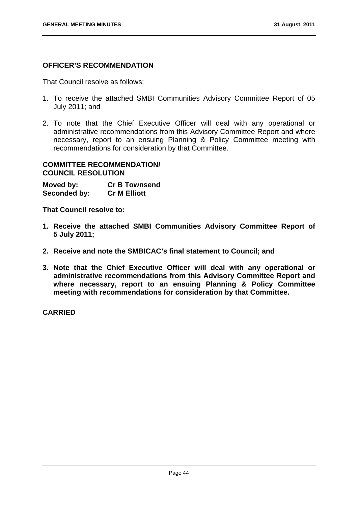# **OFFICER'S RECOMMENDATION**

That Council resolve as follows:

- 1. To receive the attached SMBI Communities Advisory Committee Report of 05 July 2011; and
- 2. To note that the Chief Executive Officer will deal with any operational or administrative recommendations from this Advisory Committee Report and where necessary, report to an ensuing Planning & Policy Committee meeting with recommendations for consideration by that Committee.

# **COMMITTEE RECOMMENDATION/ COUNCIL RESOLUTION**

**Moved by: Cr B Townsend Seconded by: Cr M Elliott** 

**That Council resolve to:** 

- **1. Receive the attached SMBI Communities Advisory Committee Report of 5 July 2011;**
- **2. Receive and note the SMBICAC's final statement to Council; and**
- **3. Note that the Chief Executive Officer will deal with any operational or administrative recommendations from this Advisory Committee Report and where necessary, report to an ensuing Planning & Policy Committee meeting with recommendations for consideration by that Committee.**

**CARRIED**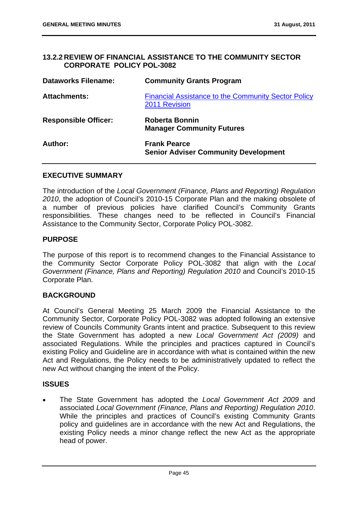#### **13.2.2 REVIEW OF FINANCIAL ASSISTANCE TO THE COMMUNITY SECTOR CORPORATE POLICY POL-3082**

| <b>Dataworks Filename:</b>  | <b>Community Grants Program</b>                                             |
|-----------------------------|-----------------------------------------------------------------------------|
| <b>Attachments:</b>         | <b>Financial Assistance to the Community Sector Policy</b><br>2011 Revision |
| <b>Responsible Officer:</b> | <b>Roberta Bonnin</b><br><b>Manager Community Futures</b>                   |
| Author:                     | <b>Frank Pearce</b><br><b>Senior Adviser Community Development</b>          |

#### **EXECUTIVE SUMMARY**

The introduction of the *Local Government (Finance, Plans and Reporting) Regulation 2010*, the adoption of Council's 2010-15 Corporate Plan and the making obsolete of a number of previous policies have clarified Council's Community Grants responsibilities. These changes need to be reflected in Council's Financial Assistance to the Community Sector, Corporate Policy POL-3082.

#### **PURPOSE**

The purpose of this report is to recommend changes to the Financial Assistance to the Community Sector Corporate Policy POL-3082 that align with the *Local Government (Finance, Plans and Reporting) Regulation 2010* and Council's 2010-15 Corporate Plan.

#### **BACKGROUND**

At Council's General Meeting 25 March 2009 the Financial Assistance to the Community Sector, Corporate Policy POL-3082 was adopted following an extensive review of Councils Community Grants intent and practice. Subsequent to this review the State Government has adopted a new *Local Government Act (2009)* and associated Regulations. While the principles and practices captured in Council's existing Policy and Guideline are in accordance with what is contained within the new Act and Regulations, the Policy needs to be administratively updated to reflect the new Act without changing the intent of the Policy.

#### **ISSUES**

 The State Government has adopted the *Local Government Act 2009* and associated *Local Government (Finance, Plans and Reporting) Regulation 2010*. While the principles and practices of Council's existing Community Grants policy and guidelines are in accordance with the new Act and Regulations, the existing Policy needs a minor change reflect the new Act as the appropriate head of power.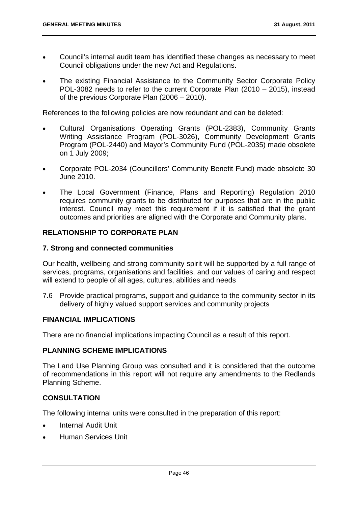- Council's internal audit team has identified these changes as necessary to meet Council obligations under the new Act and Regulations.
- The existing Financial Assistance to the Community Sector Corporate Policy POL-3082 needs to refer to the current Corporate Plan (2010 – 2015), instead of the previous Corporate Plan (2006 – 2010).

References to the following policies are now redundant and can be deleted:

- Cultural Organisations Operating Grants (POL-2383), Community Grants Writing Assistance Program (POL-3026), Community Development Grants Program (POL-2440) and Mayor's Community Fund (POL-2035) made obsolete on 1 July 2009;
- Corporate POL-2034 (Councillors' Community Benefit Fund) made obsolete 30 June 2010.
- The Local Government (Finance, Plans and Reporting) Regulation 2010 requires community grants to be distributed for purposes that are in the public interest. Council may meet this requirement if it is satisfied that the grant outcomes and priorities are aligned with the Corporate and Community plans.

# **RELATIONSHIP TO CORPORATE PLAN**

#### **7. Strong and connected communities**

Our health, wellbeing and strong community spirit will be supported by a full range of services, programs, organisations and facilities, and our values of caring and respect will extend to people of all ages, cultures, abilities and needs

7.6 Provide practical programs, support and guidance to the community sector in its delivery of highly valued support services and community projects

# **FINANCIAL IMPLICATIONS**

There are no financial implications impacting Council as a result of this report.

#### **PLANNING SCHEME IMPLICATIONS**

The Land Use Planning Group was consulted and it is considered that the outcome of recommendations in this report will not require any amendments to the Redlands Planning Scheme.

#### **CONSULTATION**

The following internal units were consulted in the preparation of this report:

- Internal Audit Unit
- Human Services Unit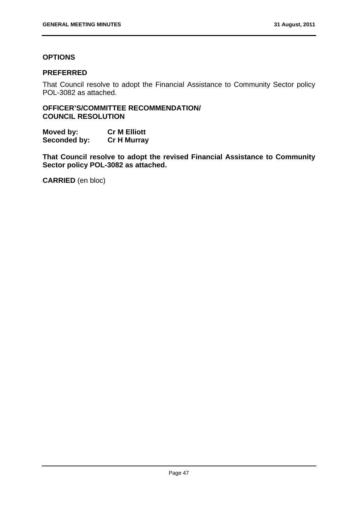# **OPTIONS**

#### **PREFERRED**

That Council resolve to adopt the Financial Assistance to Community Sector policy POL-3082 as attached.

**OFFICER'S/COMMITTEE RECOMMENDATION/ COUNCIL RESOLUTION** 

**Moved by: Cr M Elliott Seconded by: Cr H Murray** 

**That Council resolve to adopt the revised Financial Assistance to Community Sector policy POL-3082 as attached.** 

**CARRIED** (en bloc)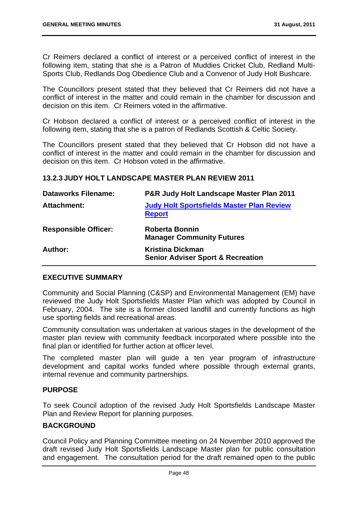Cr Reimers declared a conflict of interest or a perceived conflict of interest in the following item, stating that she is a Patron of Muddies Cricket Club, Redland Multi-Sports Club, Redlands Dog Obedience Club and a Convenor of Judy Holt Bushcare.

The Councillors present stated that they believed that Cr Reimers did not have a conflict of interest in the matter and could remain in the chamber for discussion and decision on this item. Cr Reimers voted in the affirmative.

Cr Hobson declared a conflict of interest or a perceived conflict of interest in the following item, stating that she is a patron of Redlands Scottish & Celtic Society.

The Councillors present stated that they believed that Cr Hobson did not have a conflict of interest in the matter and could remain in the chamber for discussion and decision on this item. Cr Hobson voted in the affirmative.

# **13.2.3 JUDY HOLT LANDSCAPE MASTER PLAN REVIEW 2011**

| <b>Dataworks Filename:</b>  | P&R Judy Holt Landscape Master Plan 2011                                |
|-----------------------------|-------------------------------------------------------------------------|
| Attachment:                 | <b>Judy Holt Sportsfields Master Plan Review</b><br><b>Report</b>       |
| <b>Responsible Officer:</b> | <b>Roberta Bonnin</b><br><b>Manager Community Futures</b>               |
| Author:                     | <b>Kristina Dickman</b><br><b>Senior Adviser Sport &amp; Recreation</b> |

# **EXECUTIVE SUMMARY**

Community and Social Planning (C&SP) and Environmental Management (EM) have reviewed the Judy Holt Sportsfields Master Plan which was adopted by Council in February, 2004. The site is a former closed landfill and currently functions as high use sporting fields and recreational areas.

Community consultation was undertaken at various stages in the development of the master plan review with community feedback incorporated where possible into the final plan or identified for further action at officer level.

The completed master plan will guide a ten year program of infrastructure development and capital works funded where possible through external grants, internal revenue and community partnerships.

#### **PURPOSE**

To seek Council adoption of the revised Judy Holt Sportsfields Landscape Master Plan and Review Report for planning purposes.

#### **BACKGROUND**

Council Policy and Planning Committee meeting on 24 November 2010 approved the draft revised Judy Holt Sportsfields Landscape Master plan for public consultation and engagement. The consultation period for the draft remained open to the public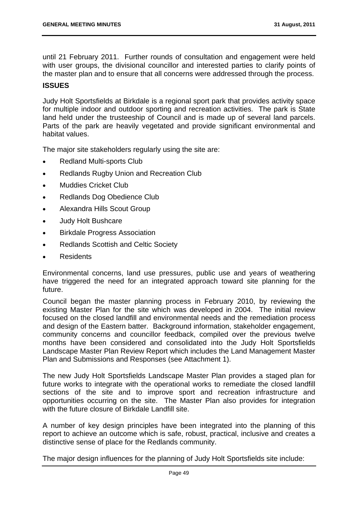until 21 February 2011. Further rounds of consultation and engagement were held with user groups, the divisional councillor and interested parties to clarify points of the master plan and to ensure that all concerns were addressed through the process.

# **ISSUES**

Judy Holt Sportsfields at Birkdale is a regional sport park that provides activity space for multiple indoor and outdoor sporting and recreation activities. The park is State land held under the trusteeship of Council and is made up of several land parcels. Parts of the park are heavily vegetated and provide significant environmental and habitat values.

The major site stakeholders regularly using the site are:

- Redland Multi-sports Club
- Redlands Rugby Union and Recreation Club
- Muddies Cricket Club
- Redlands Dog Obedience Club
- Alexandra Hills Scout Group
- Judy Holt Bushcare
- **•** Birkdale Progress Association
- Redlands Scottish and Celtic Society
- Residents

Environmental concerns, land use pressures, public use and years of weathering have triggered the need for an integrated approach toward site planning for the future.

Council began the master planning process in February 2010, by reviewing the existing Master Plan for the site which was developed in 2004. The initial review focused on the closed landfill and environmental needs and the remediation process and design of the Eastern batter. Background information, stakeholder engagement, community concerns and councillor feedback, compiled over the previous twelve months have been considered and consolidated into the Judy Holt Sportsfields Landscape Master Plan Review Report which includes the Land Management Master Plan and Submissions and Responses (see Attachment 1).

The new Judy Holt Sportsfields Landscape Master Plan provides a staged plan for future works to integrate with the operational works to remediate the closed landfill sections of the site and to improve sport and recreation infrastructure and opportunities occurring on the site. The Master Plan also provides for integration with the future closure of Birkdale Landfill site.

A number of key design principles have been integrated into the planning of this report to achieve an outcome which is safe, robust, practical, inclusive and creates a distinctive sense of place for the Redlands community.

The major design influences for the planning of Judy Holt Sportsfields site include: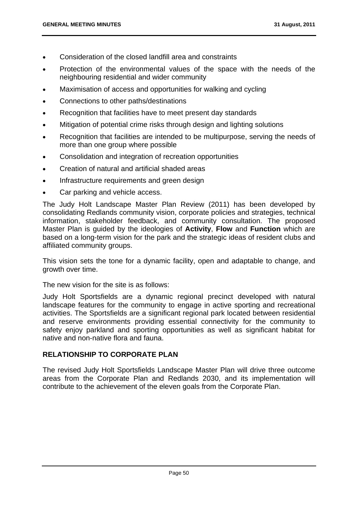- Consideration of the closed landfill area and constraints
- Protection of the environmental values of the space with the needs of the neighbouring residential and wider community
- Maximisation of access and opportunities for walking and cycling
- Connections to other paths/destinations
- Recognition that facilities have to meet present day standards
- Mitigation of potential crime risks through design and lighting solutions
- Recognition that facilities are intended to be multipurpose, serving the needs of more than one group where possible
- Consolidation and integration of recreation opportunities
- Creation of natural and artificial shaded areas
- Infrastructure requirements and green design
- Car parking and vehicle access.

The Judy Holt Landscape Master Plan Review (2011) has been developed by consolidating Redlands community vision, corporate policies and strategies, technical information, stakeholder feedback, and community consultation. The proposed Master Plan is guided by the ideologies of **Activity**, **Flow** and **Function** which are based on a long-term vision for the park and the strategic ideas of resident clubs and affiliated community groups.

This vision sets the tone for a dynamic facility, open and adaptable to change, and growth over time.

The new vision for the site is as follows:

Judy Holt Sportsfields are a dynamic regional precinct developed with natural landscape features for the community to engage in active sporting and recreational activities. The Sportsfields are a significant regional park located between residential and reserve environments providing essential connectivity for the community to safety enjoy parkland and sporting opportunities as well as significant habitat for native and non-native flora and fauna.

#### **RELATIONSHIP TO CORPORATE PLAN**

The revised Judy Holt Sportsfields Landscape Master Plan will drive three outcome areas from the Corporate Plan and Redlands 2030, and its implementation will contribute to the achievement of the eleven goals from the Corporate Plan.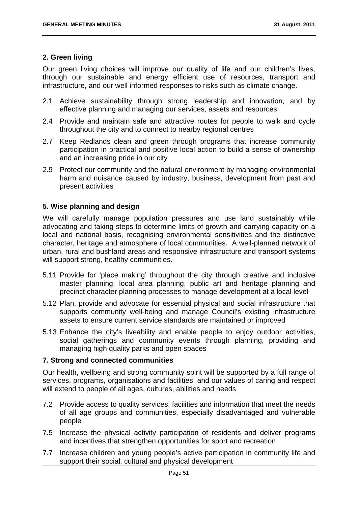# **2. Green living**

Our green living choices will improve our quality of life and our children's lives, through our sustainable and energy efficient use of resources, transport and infrastructure, and our well informed responses to risks such as climate change.

- 2.1 Achieve sustainability through strong leadership and innovation, and by effective planning and managing our services, assets and resources
- 2.4 Provide and maintain safe and attractive routes for people to walk and cycle throughout the city and to connect to nearby regional centres
- 2.7 Keep Redlands clean and green through programs that increase community participation in practical and positive local action to build a sense of ownership and an increasing pride in our city
- 2.9 Protect our community and the natural environment by managing environmental harm and nuisance caused by industry, business, development from past and present activities

# **5. Wise planning and design**

We will carefully manage population pressures and use land sustainably while advocating and taking steps to determine limits of growth and carrying capacity on a local and national basis, recognising environmental sensitivities and the distinctive character, heritage and atmosphere of local communities. A well-planned network of urban, rural and bushland areas and responsive infrastructure and transport systems will support strong, healthy communities.

- 5.11 Provide for 'place making' throughout the city through creative and inclusive master planning, local area planning, public art and heritage planning and precinct character planning processes to manage development at a local level
- 5.12 Plan, provide and advocate for essential physical and social infrastructure that supports community well-being and manage Council's existing infrastructure assets to ensure current service standards are maintained or improved
- 5.13 Enhance the city's liveability and enable people to enjoy outdoor activities, social gatherings and community events through planning, providing and managing high quality parks and open spaces

# **7. Strong and connected communities**

Our health, wellbeing and strong community spirit will be supported by a full range of services, programs, organisations and facilities, and our values of caring and respect will extend to people of all ages, cultures, abilities and needs

- 7.2 Provide access to quality services, facilities and information that meet the needs of all age groups and communities, especially disadvantaged and vulnerable people
- 7.5 Increase the physical activity participation of residents and deliver programs and incentives that strengthen opportunities for sport and recreation
- 7.7 Increase children and young people's active participation in community life and support their social, cultural and physical development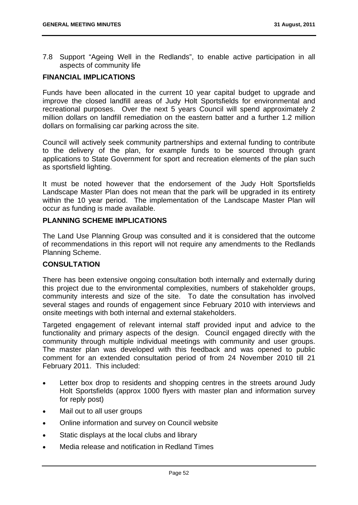7.8 Support "Ageing Well in the Redlands", to enable active participation in all aspects of community life

# **FINANCIAL IMPLICATIONS**

Funds have been allocated in the current 10 year capital budget to upgrade and improve the closed landfill areas of Judy Holt Sportsfields for environmental and recreational purposes. Over the next 5 years Council will spend approximately 2 million dollars on landfill remediation on the eastern batter and a further 1.2 million dollars on formalising car parking across the site.

Council will actively seek community partnerships and external funding to contribute to the delivery of the plan, for example funds to be sourced through grant applications to State Government for sport and recreation elements of the plan such as sportsfield lighting.

It must be noted however that the endorsement of the Judy Holt Sportsfields Landscape Master Plan does not mean that the park will be upgraded in its entirety within the 10 year period. The implementation of the Landscape Master Plan will occur as funding is made available.

#### **PLANNING SCHEME IMPLICATIONS**

The Land Use Planning Group was consulted and it is considered that the outcome of recommendations in this report will not require any amendments to the Redlands Planning Scheme.

#### **CONSULTATION**

There has been extensive ongoing consultation both internally and externally during this project due to the environmental complexities, numbers of stakeholder groups, community interests and size of the site. To date the consultation has involved several stages and rounds of engagement since February 2010 with interviews and onsite meetings with both internal and external stakeholders.

Targeted engagement of relevant internal staff provided input and advice to the functionality and primary aspects of the design. Council engaged directly with the community through multiple individual meetings with community and user groups. The master plan was developed with this feedback and was opened to public comment for an extended consultation period of from 24 November 2010 till 21 February 2011. This included:

- Letter box drop to residents and shopping centres in the streets around Judy Holt Sportsfields (approx 1000 flyers with master plan and information survey for reply post)
- Mail out to all user groups
- Online information and survey on Council website
- Static displays at the local clubs and library
- Media release and notification in Redland Times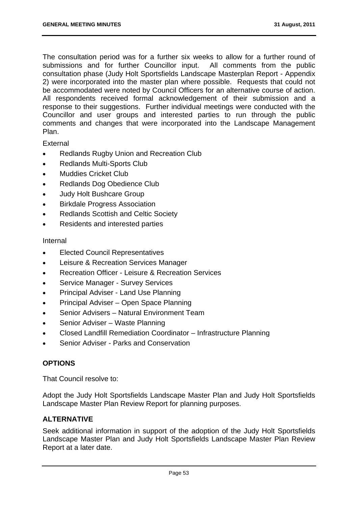The consultation period was for a further six weeks to allow for a further round of submissions and for further Councillor input. All comments from the public consultation phase (Judy Holt Sportsfields Landscape Masterplan Report - Appendix 2) were incorporated into the master plan where possible. Requests that could not be accommodated were noted by Council Officers for an alternative course of action. All respondents received formal acknowledgement of their submission and a response to their suggestions. Further individual meetings were conducted with the Councillor and user groups and interested parties to run through the public comments and changes that were incorporated into the Landscape Management Plan.

External

- Redlands Rugby Union and Recreation Club
- Redlands Multi-Sports Club
- Muddies Cricket Club
- Redlands Dog Obedience Club
- Judy Holt Bushcare Group
- Birkdale Progress Association
- Redlands Scottish and Celtic Society
- Residents and interested parties

#### Internal

- Elected Council Representatives
- Leisure & Recreation Services Manager
- Recreation Officer Leisure & Recreation Services
- Service Manager Survey Services
- Principal Adviser Land Use Planning
- Principal Adviser Open Space Planning
- Senior Advisers Natural Environment Team
- Senior Adviser Waste Planning
- Closed Landfill Remediation Coordinator Infrastructure Planning
- Senior Adviser Parks and Conservation

# **OPTIONS**

That Council resolve to:

Adopt the Judy Holt Sportsfields Landscape Master Plan and Judy Holt Sportsfields Landscape Master Plan Review Report for planning purposes.

#### **ALTERNATIVE**

Seek additional information in support of the adoption of the Judy Holt Sportsfields Landscape Master Plan and Judy Holt Sportsfields Landscape Master Plan Review Report at a later date.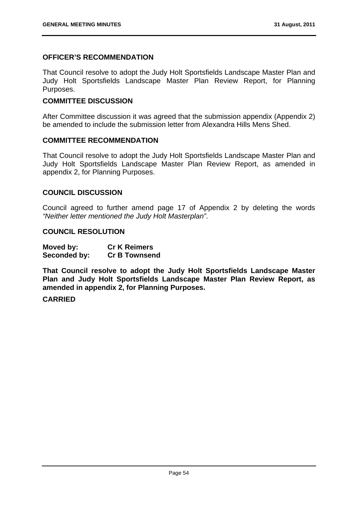# **OFFICER'S RECOMMENDATION**

That Council resolve to adopt the Judy Holt Sportsfields Landscape Master Plan and Judy Holt Sportsfields Landscape Master Plan Review Report, for Planning Purposes.

#### **COMMITTEE DISCUSSION**

After Committee discussion it was agreed that the submission appendix (Appendix 2) be amended to include the submission letter from Alexandra Hills Mens Shed.

#### **COMMITTEE RECOMMENDATION**

That Council resolve to adopt the Judy Holt Sportsfields Landscape Master Plan and Judy Holt Sportsfields Landscape Master Plan Review Report, as amended in appendix 2, for Planning Purposes.

#### **COUNCIL DISCUSSION**

Council agreed to further amend page 17 of Appendix 2 by deleting the words *"Neither letter mentioned the Judy Holt Masterplan"*.

#### **COUNCIL RESOLUTION**

| Moved by:    | <b>Cr K Reimers</b>  |
|--------------|----------------------|
| Seconded by: | <b>Cr B Townsend</b> |

**That Council resolve to adopt the Judy Holt Sportsfields Landscape Master Plan and Judy Holt Sportsfields Landscape Master Plan Review Report, as amended in appendix 2, for Planning Purposes.** 

# **CARRIED**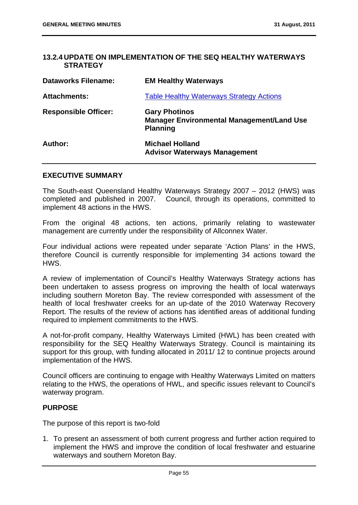# **13.2.4 UPDATE ON IMPLEMENTATION OF THE SEQ HEALTHY WATERWAYS STRATEGY**

| <b>Dataworks Filename:</b>  | <b>EM Healthy Waterways</b>                                                                 |
|-----------------------------|---------------------------------------------------------------------------------------------|
| <b>Attachments:</b>         | <b>Table Healthy Waterways Strategy Actions</b>                                             |
| <b>Responsible Officer:</b> | <b>Gary Photinos</b><br><b>Manager Environmental Management/Land Use</b><br><b>Planning</b> |
| Author:                     | <b>Michael Holland</b><br><b>Advisor Waterways Management</b>                               |

#### **EXECUTIVE SUMMARY**

The South-east Queensland Healthy Waterways Strategy 2007 – 2012 (HWS) was completed and published in 2007. Council, through its operations, committed to implement 48 actions in the HWS.

From the original 48 actions, ten actions, primarily relating to wastewater management are currently under the responsibility of Allconnex Water.

Four individual actions were repeated under separate 'Action Plans' in the HWS, therefore Council is currently responsible for implementing 34 actions toward the HWS.

A review of implementation of Council's Healthy Waterways Strategy actions has been undertaken to assess progress on improving the health of local waterways including southern Moreton Bay. The review corresponded with assessment of the health of local freshwater creeks for an up-date of the 2010 Waterway Recovery Report. The results of the review of actions has identified areas of additional funding required to implement commitments to the HWS.

A not-for-profit company, Healthy Waterways Limited (HWL) has been created with responsibility for the SEQ Healthy Waterways Strategy. Council is maintaining its support for this group, with funding allocated in 2011/ 12 to continue projects around implementation of the HWS.

Council officers are continuing to engage with Healthy Waterways Limited on matters relating to the HWS, the operations of HWL, and specific issues relevant to Council's waterway program.

#### **PURPOSE**

The purpose of this report is two-fold

1. To present an assessment of both current progress and further action required to implement the HWS and improve the condition of local freshwater and estuarine waterways and southern Moreton Bay.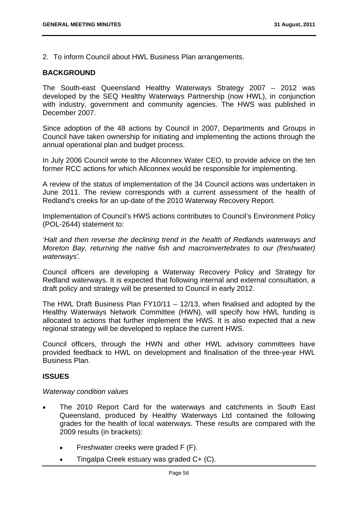2. To inform Council about HWL Business Plan arrangements.

#### **BACKGROUND**

The South-east Queensland Healthy Waterways Strategy 2007 – 2012 was developed by the SEQ Healthy Waterways Partnership (now HWL), in conjunction with industry, government and community agencies. The HWS was published in December 2007.

Since adoption of the 48 actions by Council in 2007, Departments and Groups in Council have taken ownership for initiating and implementing the actions through the annual operational plan and budget process.

In July 2006 Council wrote to the Allconnex Water CEO, to provide advice on the ten former RCC actions for which Allconnex would be responsible for implementing.

A review of the status of implementation of the 34 Council actions was undertaken in June 2011. The review corresponds with a current assessment of the health of Redland's creeks for an up-date of the 2010 Waterway Recovery Report.

Implementation of Council's HWS actions contributes to Council's Environment Policy (POL-2644) statement to:

*'Halt and then reverse the declining trend in the health of Redlands waterways and Moreton Bay, returning the native fish and macroinvertebrates to our (freshwater) waterways'.* 

Council officers are developing a Waterway Recovery Policy and Strategy for Redland waterways. It is expected that following internal and external consultation, a draft policy and strategy will be presented to Council in early 2012.

The HWL Draft Business Plan FY10/11 – 12/13, when finalised and adopted by the Healthy Waterways Network Committee (HWN), will specify how HWL funding is allocated to actions that further implement the HWS. It is also expected that a new regional strategy will be developed to replace the current HWS.

Council officers, through the HWN and other HWL advisory committees have provided feedback to HWL on development and finalisation of the three-year HWL Business Plan.

#### **ISSUES**

#### *Waterway condition values*

- The 2010 Report Card for the waterways and catchments in South East Queensland, produced by Healthy Waterways Ltd contained the following grades for the health of local waterways. These results are compared with the 2009 results (in brackets):
	- Freshwater creeks were graded F (F).
	- Tingalpa Creek estuary was graded C+ (C).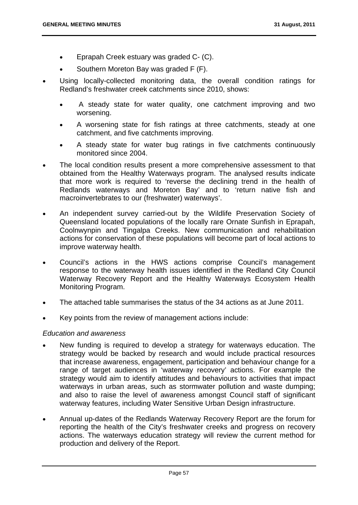- Eprapah Creek estuary was graded C- (C).
- Southern Moreton Bay was graded F (F).
- Using locally-collected monitoring data, the overall condition ratings for Redland's freshwater creek catchments since 2010, shows:
	- A steady state for water quality, one catchment improving and two worsening.
	- A worsening state for fish ratings at three catchments, steady at one catchment, and five catchments improving.
	- A steady state for water bug ratings in five catchments continuously monitored since 2004.
- The local condition results present a more comprehensive assessment to that obtained from the Healthy Waterways program. The analysed results indicate that more work is required to 'reverse the declining trend in the health of Redlands waterways and Moreton Bay' and to 'return native fish and macroinvertebrates to our (freshwater) waterways'.
- An independent survey carried-out by the Wildlife Preservation Society of Queensland located populations of the locally rare Ornate Sunfish in Eprapah, Coolnwynpin and Tingalpa Creeks. New communication and rehabilitation actions for conservation of these populations will become part of local actions to improve waterway health.
- Council's actions in the HWS actions comprise Council's management response to the waterway health issues identified in the Redland City Council Waterway Recovery Report and the Healthy Waterways Ecosystem Health Monitoring Program.
- The attached table summarises the status of the 34 actions as at June 2011.
- Key points from the review of management actions include:

#### *Education and awareness*

- New funding is required to develop a strategy for waterways education. The strategy would be backed by research and would include practical resources that increase awareness, engagement, participation and behaviour change for a range of target audiences in 'waterway recovery' actions. For example the strategy would aim to identify attitudes and behaviours to activities that impact waterways in urban areas, such as stormwater pollution and waste dumping; and also to raise the level of awareness amongst Council staff of significant waterway features, including Water Sensitive Urban Design infrastructure.
- Annual up-dates of the Redlands Waterway Recovery Report are the forum for reporting the health of the City's freshwater creeks and progress on recovery actions. The waterways education strategy will review the current method for production and delivery of the Report.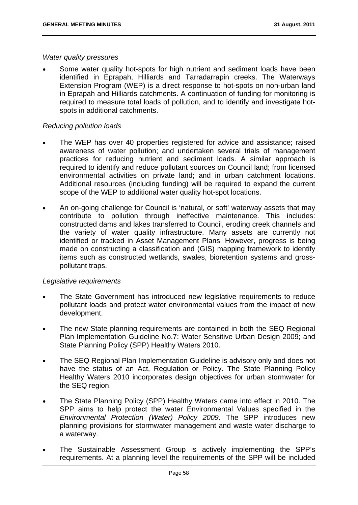#### *Water quality pressures*

 Some water quality hot-spots for high nutrient and sediment loads have been identified in Eprapah, Hilliards and Tarradarrapin creeks. The Waterways Extension Program (WEP) is a direct response to hot-spots on non-urban land in Eprapah and Hilliards catchments. A continuation of funding for monitoring is required to measure total loads of pollution, and to identify and investigate hotspots in additional catchments.

#### *Reducing pollution loads*

- The WEP has over 40 properties registered for advice and assistance; raised awareness of water pollution; and undertaken several trials of management practices for reducing nutrient and sediment loads. A similar approach is required to identify and reduce pollutant sources on Council land; from licensed environmental activities on private land; and in urban catchment locations. Additional resources (including funding) will be required to expand the current scope of the WEP to additional water quality hot-spot locations.
- An on-going challenge for Council is 'natural, or soft' waterway assets that may contribute to pollution through ineffective maintenance. This includes: constructed dams and lakes transferred to Council, eroding creek channels and the variety of water quality infrastructure. Many assets are currently not identified or tracked in Asset Management Plans. However, progress is being made on constructing a classification and (GIS) mapping framework to identify items such as constructed wetlands, swales, bioretention systems and grosspollutant traps.

#### *Legislative requirements*

- The State Government has introduced new legislative requirements to reduce pollutant loads and protect water environmental values from the impact of new development.
- The new State planning requirements are contained in both the SEQ Regional Plan Implementation Guideline No.7: Water Sensitive Urban Design 2009; and State Planning Policy (SPP) Healthy Waters 2010.
- The SEQ Regional Plan Implementation Guideline is advisory only and does not have the status of an Act, Regulation or Policy. The State Planning Policy Healthy Waters 2010 incorporates design objectives for urban stormwater for the SEQ region.
- The State Planning Policy (SPP) Healthy Waters came into effect in 2010. The SPP aims to help protect the water Environmental Values specified in the *Environmental Protection (Water) Policy 2009.* The SPP introduces new planning provisions for stormwater management and waste water discharge to a waterway.
- The Sustainable Assessment Group is actively implementing the SPP's requirements. At a planning level the requirements of the SPP will be included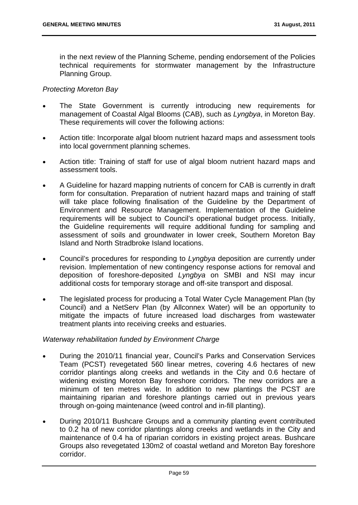in the next review of the Planning Scheme, pending endorsement of the Policies technical requirements for stormwater management by the Infrastructure Planning Group.

# *Protecting Moreton Bay*

- The State Government is currently introducing new requirements for management of Coastal Algal Blooms (CAB), such as *Lyngbya*, in Moreton Bay. These requirements will cover the following actions:
- Action title: Incorporate algal bloom nutrient hazard maps and assessment tools into local government planning schemes.
- Action title: Training of staff for use of algal bloom nutrient hazard maps and assessment tools.
- A Guideline for hazard mapping nutrients of concern for CAB is currently in draft form for consultation. Preparation of nutrient hazard maps and training of staff will take place following finalisation of the Guideline by the Department of Environment and Resource Management. Implementation of the Guideline requirements will be subject to Council's operational budget process. Initially, the Guideline requirements will require additional funding for sampling and assessment of soils and groundwater in lower creek, Southern Moreton Bay Island and North Stradbroke Island locations.
- Council's procedures for responding to *Lyngbya* deposition are currently under revision. Implementation of new contingency response actions for removal and deposition of foreshore-deposited *Lyngbya* on SMBI and NSI may incur additional costs for temporary storage and off-site transport and disposal.
- The legislated process for producing a Total Water Cycle Management Plan (by Council) and a NetServ Plan (by Allconnex Water) will be an opportunity to mitigate the impacts of future increased load discharges from wastewater treatment plants into receiving creeks and estuaries.

#### *Waterway rehabilitation funded by Environment Charge*

- During the 2010/11 financial year, Council's Parks and Conservation Services Team (PCST) revegetated 560 linear metres, covering 4.6 hectares of new corridor plantings along creeks and wetlands in the City and 0.6 hectare of widening existing Moreton Bay foreshore corridors. The new corridors are a minimum of ten metres wide. In addition to new plantings the PCST are maintaining riparian and foreshore plantings carried out in previous years through on-going maintenance (weed control and in-fill planting).
- During 2010/11 Bushcare Groups and a community planting event contributed to 0.2 ha of new corridor plantings along creeks and wetlands in the City and maintenance of 0.4 ha of riparian corridors in existing project areas. Bushcare Groups also revegetated 130m2 of coastal wetland and Moreton Bay foreshore corridor.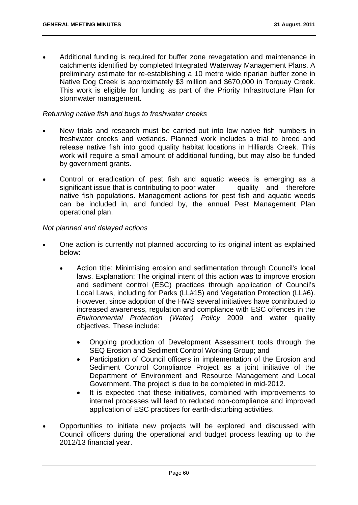Additional funding is required for buffer zone revegetation and maintenance in catchments identified by completed Integrated Waterway Management Plans. A preliminary estimate for re-establishing a 10 metre wide riparian buffer zone in Native Dog Creek is approximately \$3 million and \$670,000 in Torquay Creek. This work is eligible for funding as part of the Priority Infrastructure Plan for stormwater management.

#### *Returning native fish and bugs to freshwater creeks*

- New trials and research must be carried out into low native fish numbers in freshwater creeks and wetlands. Planned work includes a trial to breed and release native fish into good quality habitat locations in Hilliards Creek. This work will require a small amount of additional funding, but may also be funded by government grants.
- Control or eradication of pest fish and aquatic weeds is emerging as a significant issue that is contributing to poor water a quality and therefore native fish populations. Management actions for pest fish and aquatic weeds can be included in, and funded by, the annual Pest Management Plan operational plan.

#### *Not planned and delayed actions*

- One action is currently not planned according to its original intent as explained below:
	- Action title: Minimising erosion and sedimentation through Council's local laws. Explanation: The original intent of this action was to improve erosion and sediment control (ESC) practices through application of Council's Local Laws, including for Parks (LL#15) and Vegetation Protection (LL#6). However, since adoption of the HWS several initiatives have contributed to increased awareness, regulation and compliance with ESC offences in the *Environmental Protection (Water) Policy* 2009 and water quality objectives. These include:
		- Ongoing production of Development Assessment tools through the SEQ Erosion and Sediment Control Working Group; and
		- Participation of Council officers in implementation of the Erosion and Sediment Control Compliance Project as a joint initiative of the Department of Environment and Resource Management and Local Government. The project is due to be completed in mid-2012.
		- It is expected that these initiatives, combined with improvements to internal processes will lead to reduced non-compliance and improved application of ESC practices for earth-disturbing activities.
- Opportunities to initiate new projects will be explored and discussed with Council officers during the operational and budget process leading up to the 2012/13 financial year.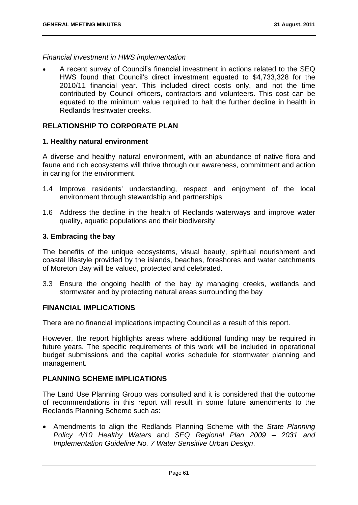# *Financial investment in HWS implementation*

 A recent survey of Council's financial investment in actions related to the SEQ HWS found that Council's direct investment equated to \$4,733,328 for the 2010/11 financial year. This included direct costs only, and not the time contributed by Council officers, contractors and volunteers. This cost can be equated to the minimum value required to halt the further decline in health in Redlands freshwater creeks.

# **RELATIONSHIP TO CORPORATE PLAN**

# **1. Healthy natural environment**

A diverse and healthy natural environment, with an abundance of native flora and fauna and rich ecosystems will thrive through our awareness, commitment and action in caring for the environment.

- 1.4 Improve residents' understanding, respect and enjoyment of the local environment through stewardship and partnerships
- 1.6 Address the decline in the health of Redlands waterways and improve water quality, aquatic populations and their biodiversity

#### **3. Embracing the bay**

The benefits of the unique ecosystems, visual beauty, spiritual nourishment and coastal lifestyle provided by the islands, beaches, foreshores and water catchments of Moreton Bay will be valued, protected and celebrated.

3.3 Ensure the ongoing health of the bay by managing creeks, wetlands and stormwater and by protecting natural areas surrounding the bay

#### **FINANCIAL IMPLICATIONS**

There are no financial implications impacting Council as a result of this report.

However, the report highlights areas where additional funding may be required in future years. The specific requirements of this work will be included in operational budget submissions and the capital works schedule for stormwater planning and management.

# **PLANNING SCHEME IMPLICATIONS**

The Land Use Planning Group was consulted and it is considered that the outcome of recommendations in this report will result in some future amendments to the Redlands Planning Scheme such as:

 Amendments to align the Redlands Planning Scheme with the *State Planning Policy 4/10 Healthy Waters* and *SEQ Regional Plan 2009 – 2031 and Implementation Guideline No. 7 Water Sensitive Urban Design*.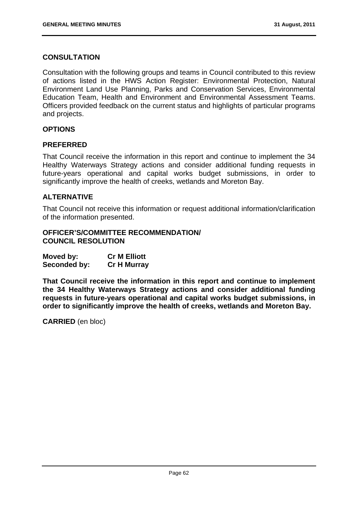# **CONSULTATION**

Consultation with the following groups and teams in Council contributed to this review of actions listed in the HWS Action Register: Environmental Protection, Natural Environment Land Use Planning, Parks and Conservation Services, Environmental Education Team, Health and Environment and Environmental Assessment Teams. Officers provided feedback on the current status and highlights of particular programs and projects.

# **OPTIONS**

# **PREFERRED**

That Council receive the information in this report and continue to implement the 34 Healthy Waterways Strategy actions and consider additional funding requests in future-years operational and capital works budget submissions, in order to significantly improve the health of creeks, wetlands and Moreton Bay.

# **ALTERNATIVE**

That Council not receive this information or request additional information/clarification of the information presented.

# **OFFICER'S/COMMITTEE RECOMMENDATION/ COUNCIL RESOLUTION**

| Moved by:    | <b>Cr M Elliott</b> |
|--------------|---------------------|
| Seconded by: | <b>Cr H Murray</b>  |

**That Council receive the information in this report and continue to implement the 34 Healthy Waterways Strategy actions and consider additional funding requests in future-years operational and capital works budget submissions, in order to significantly improve the health of creeks, wetlands and Moreton Bay.** 

**CARRIED** (en bloc)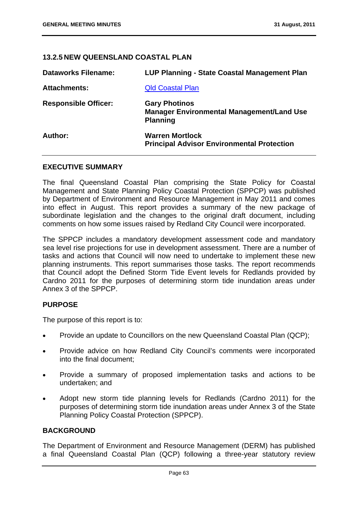# **13.2.5 NEW QUEENSLAND COASTAL PLAN**

| <b>Dataworks Filename:</b>  | LUP Planning - State Coastal Management Plan                                                |
|-----------------------------|---------------------------------------------------------------------------------------------|
| <b>Attachments:</b>         | <b>Qld Coastal Plan</b>                                                                     |
| <b>Responsible Officer:</b> | <b>Gary Photinos</b><br><b>Manager Environmental Management/Land Use</b><br><b>Planning</b> |
| Author:                     | <b>Warren Mortlock</b><br><b>Principal Advisor Environmental Protection</b>                 |

#### **EXECUTIVE SUMMARY**

The final Queensland Coastal Plan comprising the State Policy for Coastal Management and State Planning Policy Coastal Protection (SPPCP) was published by Department of Environment and Resource Management in May 2011 and comes into effect in August. This report provides a summary of the new package of subordinate legislation and the changes to the original draft document, including comments on how some issues raised by Redland City Council were incorporated.

The SPPCP includes a mandatory development assessment code and mandatory sea level rise projections for use in development assessment. There are a number of tasks and actions that Council will now need to undertake to implement these new planning instruments. This report summarises those tasks. The report recommends that Council adopt the Defined Storm Tide Event levels for Redlands provided by Cardno 2011 for the purposes of determining storm tide inundation areas under Annex 3 of the SPPCP.

#### **PURPOSE**

The purpose of this report is to:

- Provide an update to Councillors on the new Queensland Coastal Plan (QCP);
- Provide advice on how Redland City Council's comments were incorporated into the final document;
- Provide a summary of proposed implementation tasks and actions to be undertaken; and
- Adopt new storm tide planning levels for Redlands (Cardno 2011) for the purposes of determining storm tide inundation areas under Annex 3 of the State Planning Policy Coastal Protection (SPPCP).

#### **BACKGROUND**

The Department of Environment and Resource Management (DERM) has published a final Queensland Coastal Plan (QCP) following a three-year statutory review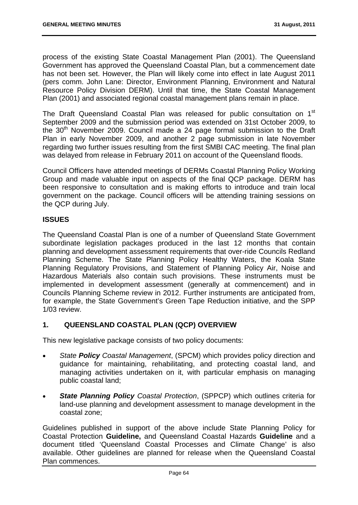process of the existing State Coastal Management Plan (2001). The Queensland Government has approved the Queensland Coastal Plan, but a commencement date has not been set. However, the Plan will likely come into effect in late August 2011 (pers comm. John Lane: Director, Environment Planning, Environment and Natural Resource Policy Division DERM). Until that time, the State Coastal Management Plan (2001) and associated regional coastal management plans remain in place.

The Draft Queensland Coastal Plan was released for public consultation on 1<sup>st</sup> September 2009 and the submission period was extended on 31st October 2009, to the 30th November 2009. Council made a 24 page formal submission to the Draft Plan in early November 2009, and another 2 page submission in late November regarding two further issues resulting from the first SMBI CAC meeting. The final plan was delayed from release in February 2011 on account of the Queensland floods.

Council Officers have attended meetings of DERMs Coastal Planning Policy Working Group and made valuable input on aspects of the final QCP package. DERM has been responsive to consultation and is making efforts to introduce and train local government on the package. Council officers will be attending training sessions on the QCP during July.

# **ISSUES**

The Queensland Coastal Plan is one of a number of Queensland State Government subordinate legislation packages produced in the last 12 months that contain planning and development assessment requirements that over-ride Councils Redland Planning Scheme. The State Planning Policy Healthy Waters, the Koala State Planning Regulatory Provisions, and Statement of Planning Policy Air, Noise and Hazardous Materials also contain such provisions. These instruments must be implemented in development assessment (generally at commencement) and in Councils Planning Scheme review in 2012. Further instruments are anticipated from, for example, the State Government's Green Tape Reduction initiative, and the SPP 1/03 review.

# **1. QUEENSLAND COASTAL PLAN (QCP) OVERVIEW**

This new legislative package consists of two policy documents:

- *State Policy Coastal Management*, (SPCM) which provides policy direction and guidance for maintaining, rehabilitating, and protecting coastal land, and managing activities undertaken on it, with particular emphasis on managing public coastal land;
- *State Planning Policy Coastal Protection*, (SPPCP) which outlines criteria for land-use planning and development assessment to manage development in the coastal zone;

Guidelines published in support of the above include State Planning Policy for Coastal Protection **Guideline,** and Queensland Coastal Hazards **Guideline** and a document titled 'Queensland Coastal Processes and Climate Change' is also available. Other guidelines are planned for release when the Queensland Coastal Plan commences.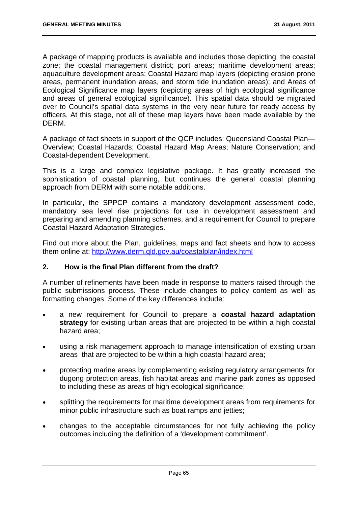A package of mapping products is available and includes those depicting: the coastal zone; the coastal management district; port areas; maritime development areas; aquaculture development areas; Coastal Hazard map layers (depicting erosion prone areas, permanent inundation areas, and storm tide inundation areas); and Areas of Ecological Significance map layers (depicting areas of high ecological significance and areas of general ecological significance). This spatial data should be migrated over to Council's spatial data systems in the very near future for ready access by officers. At this stage, not all of these map layers have been made available by the DERM.

A package of fact sheets in support of the QCP includes: Queensland Coastal Plan— Overview; Coastal Hazards; Coastal Hazard Map Areas; Nature Conservation; and Coastal-dependent Development.

This is a large and complex legislative package. It has greatly increased the sophistication of coastal planning, but continues the general coastal planning approach from DERM with some notable additions.

In particular, the SPPCP contains a mandatory development assessment code, mandatory sea level rise projections for use in development assessment and preparing and amending planning schemes, and a requirement for Council to prepare Coastal Hazard Adaptation Strategies.

Find out more about the Plan, guidelines, maps and fact sheets and how to access them online at: http://www.derm.qld.gov.au/coastalplan/index.html

# **2. How is the final Plan different from the draft?**

A number of refinements have been made in response to matters raised through the public submissions process. These include changes to policy content as well as formatting changes. Some of the key differences include:

- a new requirement for Council to prepare a **coastal hazard adaptation strategy** for existing urban areas that are projected to be within a high coastal hazard area;
- using a risk management approach to manage intensification of existing urban areas that are projected to be within a high coastal hazard area;
- protecting marine areas by complementing existing regulatory arrangements for dugong protection areas, fish habitat areas and marine park zones as opposed to including these as areas of high ecological significance;
- splitting the requirements for maritime development areas from requirements for minor public infrastructure such as boat ramps and jetties;
- changes to the acceptable circumstances for not fully achieving the policy outcomes including the definition of a 'development commitment'.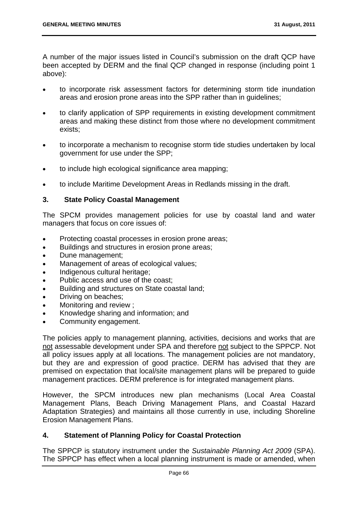A number of the major issues listed in Council's submission on the draft QCP have been accepted by DERM and the final QCP changed in response (including point 1 above):

- to incorporate risk assessment factors for determining storm tide inundation areas and erosion prone areas into the SPP rather than in guidelines;
- to clarify application of SPP requirements in existing development commitment areas and making these distinct from those where no development commitment exists;
- to incorporate a mechanism to recognise storm tide studies undertaken by local government for use under the SPP;
- to include high ecological significance area mapping;
- to include Maritime Development Areas in Redlands missing in the draft.

# **3. State Policy Coastal Management**

The SPCM provides management policies for use by coastal land and water managers that focus on core issues of:

- Protecting coastal processes in erosion prone areas:
- Buildings and structures in erosion prone areas;
- Dune management;
- Management of areas of ecological values;
- Indigenous cultural heritage;
- Public access and use of the coast:
- Building and structures on State coastal land;
- Driving on beaches;
- Monitoring and review ;
- Knowledge sharing and information; and
- Community engagement.

The policies apply to management planning, activities, decisions and works that are not assessable development under SPA and therefore not subject to the SPPCP. Not all policy issues apply at all locations. The management policies are not mandatory, but they are and expression of good practice. DERM has advised that they are premised on expectation that local/site management plans will be prepared to guide management practices. DERM preference is for integrated management plans.

However, the SPCM introduces new plan mechanisms (Local Area Coastal Management Plans, Beach Driving Management Plans, and Coastal Hazard Adaptation Strategies) and maintains all those currently in use, including Shoreline Erosion Management Plans.

#### **4. Statement of Planning Policy for Coastal Protection**

The SPPCP is statutory instrument under the *Sustainable Planning Act 2009* (SPA). The SPPCP has effect when a local planning instrument is made or amended, when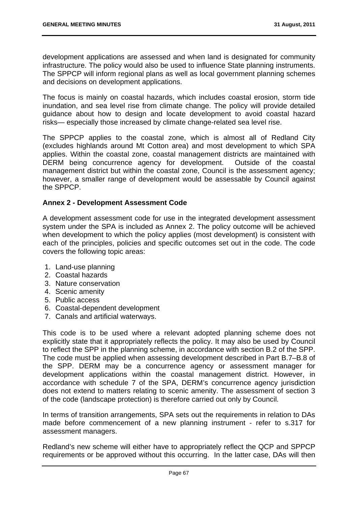development applications are assessed and when land is designated for community infrastructure. The policy would also be used to influence State planning instruments. The SPPCP will inform regional plans as well as local government planning schemes and decisions on development applications.

The focus is mainly on coastal hazards, which includes coastal erosion, storm tide inundation, and sea level rise from climate change. The policy will provide detailed guidance about how to design and locate development to avoid coastal hazard risks— especially those increased by climate change-related sea level rise.

The SPPCP applies to the coastal zone, which is almost all of Redland City (excludes highlands around Mt Cotton area) and most development to which SPA applies. Within the coastal zone, coastal management districts are maintained with DERM being concurrence agency for development. Outside of the coastal management district but within the coastal zone, Council is the assessment agency; however, a smaller range of development would be assessable by Council against the SPPCP.

## **Annex 2 - Development Assessment Code**

A development assessment code for use in the integrated development assessment system under the SPA is included as Annex 2. The policy outcome will be achieved when development to which the policy applies (most development) is consistent with each of the principles, policies and specific outcomes set out in the code. The code covers the following topic areas:

- 1. Land-use planning
- 2. Coastal hazards
- 3. Nature conservation
- 4. Scenic amenity
- 5. Public access
- 6. Coastal-dependent development
- 7. Canals and artificial waterways.

This code is to be used where a relevant adopted planning scheme does not explicitly state that it appropriately reflects the policy. It may also be used by Council to reflect the SPP in the planning scheme, in accordance with section B.2 of the SPP. The code must be applied when assessing development described in Part B.7–B.8 of the SPP. DERM may be a concurrence agency or assessment manager for development applications within the coastal management district. However, in accordance with schedule 7 of the SPA, DERM's concurrence agency jurisdiction does not extend to matters relating to scenic amenity. The assessment of section 3 of the code (landscape protection) is therefore carried out only by Council.

In terms of transition arrangements, SPA sets out the requirements in relation to DAs made before commencement of a new planning instrument - refer to s.317 for assessment managers.

Redland's new scheme will either have to appropriately reflect the QCP and SPPCP requirements or be approved without this occurring. In the latter case, DAs will then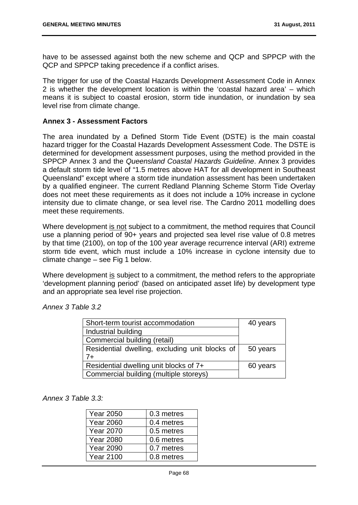have to be assessed against both the new scheme and QCP and SPPCP with the QCP and SPPCP taking precedence if a conflict arises.

The trigger for use of the Coastal Hazards Development Assessment Code in Annex 2 is whether the development location is within the 'coastal hazard area' – which means it is subject to coastal erosion, storm tide inundation, or inundation by sea level rise from climate change.

## **Annex 3 - Assessment Factors**

The area inundated by a Defined Storm Tide Event (DSTE) is the main coastal hazard trigger for the Coastal Hazards Development Assessment Code. The DSTE is determined for development assessment purposes, using the method provided in the SPPCP Annex 3 and the *Queensland Coastal Hazards Guideline*. Annex 3 provides a default storm tide level of "1.5 metres above HAT for all development in Southeast Queensland" except where a storm tide inundation assessment has been undertaken by a qualified engineer. The current Redland Planning Scheme Storm Tide Overlay does not meet these requirements as it does not include a 10% increase in cyclone intensity due to climate change, or sea level rise. The Cardno 2011 modelling does meet these requirements.

Where development is not subject to a commitment, the method requires that Council use a planning period of 90+ years and projected sea level rise value of 0.8 metres by that time (2100), on top of the 100 year average recurrence interval (ARI) extreme storm tide event, which must include a 10% increase in cyclone intensity due to climate change – see Fig 1 below.

Where development is subject to a commitment, the method refers to the appropriate 'development planning period' (based on anticipated asset life) by development type and an appropriate sea level rise projection.

*Annex 3 Table 3.2* 

| Short-term tourist accommodation               | 40 years |
|------------------------------------------------|----------|
| Industrial building                            |          |
| Commercial building (retail)                   |          |
| Residential dwelling, excluding unit blocks of | 50 years |
| $7+$                                           |          |
| Residential dwelling unit blocks of 7+         | 60 years |
| Commercial building (multiple storeys)         |          |

*Annex 3 Table 3.3:* 

| <b>Year 2050</b> | 0.3 metres |
|------------------|------------|
| <b>Year 2060</b> | 0.4 metres |
| <b>Year 2070</b> | 0.5 metres |
| <b>Year 2080</b> | 0.6 metres |
| <b>Year 2090</b> | 0.7 metres |
| <b>Year 2100</b> | 0.8 metres |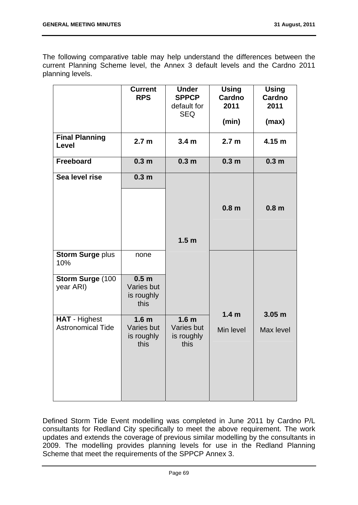The following comparative table may help understand the differences between the current Planning Scheme level, the Annex 3 default levels and the Cardno 2011 planning levels.

|                                                  | <b>Current</b><br><b>RPS</b>                         | <b>Under</b><br><b>SPPCP</b><br>default for<br><b>SEQ</b> | <b>Using</b><br><b>Cardno</b><br>2011<br>(min) | <b>Using</b><br>Cardno<br>2011<br>(max) |
|--------------------------------------------------|------------------------------------------------------|-----------------------------------------------------------|------------------------------------------------|-----------------------------------------|
| <b>Final Planning</b><br>Level                   | 2.7 <sub>m</sub>                                     | 3.4 <sub>m</sub>                                          | 2.7 <sub>m</sub>                               | 4.15 m                                  |
| <b>Freeboard</b>                                 | 0.3 <sub>m</sub>                                     | 0.3 <sub>m</sub>                                          | 0.3 <sub>m</sub>                               | 0.3 <sub>m</sub>                        |
| Sea level rise                                   | 0.3 <sub>m</sub>                                     |                                                           | 0.8 <sub>m</sub>                               | 0.8 <sub>m</sub>                        |
|                                                  |                                                      | 1.5 <sub>m</sub>                                          |                                                |                                         |
| <b>Storm Surge plus</b><br>10%                   | none                                                 |                                                           |                                                |                                         |
| Storm Surge (100<br>year ARI)                    | 0.5 <sub>m</sub><br>Varies but<br>is roughly<br>this |                                                           |                                                |                                         |
| <b>HAT - Highest</b><br><b>Astronomical Tide</b> | 1.6 <sub>m</sub><br>Varies but<br>is roughly<br>this | 1.6 <sub>m</sub><br>Varies but<br>is roughly<br>this      | 1.4 <sub>m</sub><br>Min level                  | 3.05 <sub>m</sub><br>Max level          |

Defined Storm Tide Event modelling was completed in June 2011 by Cardno P/L consultants for Redland City specifically to meet the above requirement. The work updates and extends the coverage of previous similar modelling by the consultants in 2009. The modelling provides planning levels for use in the Redland Planning Scheme that meet the requirements of the SPPCP Annex 3.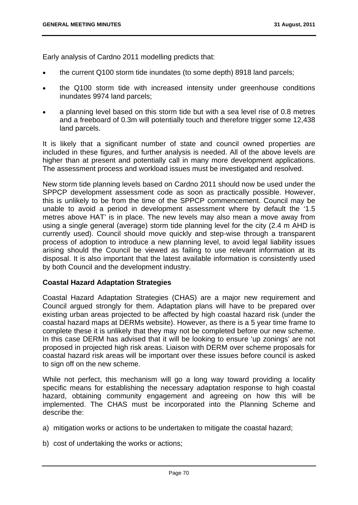Early analysis of Cardno 2011 modelling predicts that:

- the current Q100 storm tide inundates (to some depth) 8918 land parcels;
- the Q100 storm tide with increased intensity under greenhouse conditions inundates 9974 land parcels;
- a planning level based on this storm tide but with a sea level rise of 0.8 metres and a freeboard of 0.3m will potentially touch and therefore trigger some 12,438 land parcels.

It is likely that a significant number of state and council owned properties are included in these figures, and further analysis is needed. All of the above levels are higher than at present and potentially call in many more development applications. The assessment process and workload issues must be investigated and resolved.

New storm tide planning levels based on Cardno 2011 should now be used under the SPPCP development assessment code as soon as practically possible. However, this is unlikely to be from the time of the SPPCP commencement. Council may be unable to avoid a period in development assessment where by default the '1.5 metres above HAT' is in place. The new levels may also mean a move away from using a single general (average) storm tide planning level for the city (2.4 m AHD is currently used). Council should move quickly and step-wise through a transparent process of adoption to introduce a new planning level, to avoid legal liability issues arising should the Council be viewed as failing to use relevant information at its disposal. It is also important that the latest available information is consistently used by both Council and the development industry.

### **Coastal Hazard Adaptation Strategies**

Coastal Hazard Adaptation Strategies (CHAS) are a major new requirement and Council argued strongly for them. Adaptation plans will have to be prepared over existing urban areas projected to be affected by high coastal hazard risk (under the coastal hazard maps at DERMs website). However, as there is a 5 year time frame to complete these it is unlikely that they may not be completed before our new scheme. In this case DERM has advised that it will be looking to ensure 'up zonings' are not proposed in projected high risk areas. Liaison with DERM over scheme proposals for coastal hazard risk areas will be important over these issues before council is asked to sign off on the new scheme.

While not perfect, this mechanism will go a long way toward providing a locality specific means for establishing the necessary adaptation response to high coastal hazard, obtaining community engagement and agreeing on how this will be implemented. The CHAS must be incorporated into the Planning Scheme and describe the:

- a) mitigation works or actions to be undertaken to mitigate the coastal hazard;
- b) cost of undertaking the works or actions;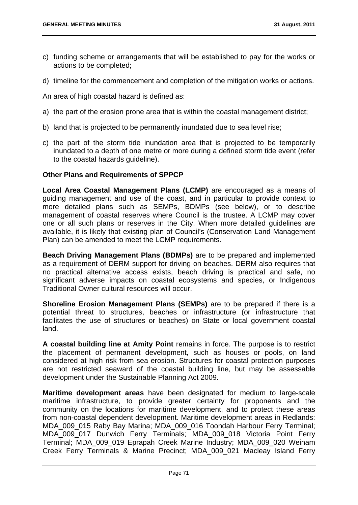- c) funding scheme or arrangements that will be established to pay for the works or actions to be completed;
- d) timeline for the commencement and completion of the mitigation works or actions.

An area of high coastal hazard is defined as:

- a) the part of the erosion prone area that is within the coastal management district;
- b) land that is projected to be permanently inundated due to sea level rise;
- c) the part of the storm tide inundation area that is projected to be temporarily inundated to a depth of one metre or more during a defined storm tide event (refer to the coastal hazards guideline).

## **Other Plans and Requirements of SPPCP**

**Local Area Coastal Management Plans (LCMP)** are encouraged as a means of guiding management and use of the coast, and in particular to provide context to more detailed plans such as SEMPs, BDMPs (see below), or to describe management of coastal reserves where Council is the trustee. A LCMP may cover one or all such plans or reserves in the City. When more detailed guidelines are available, it is likely that existing plan of Council's (Conservation Land Management Plan) can be amended to meet the LCMP requirements.

**Beach Driving Management Plans (BDMPs)** are to be prepared and implemented as a requirement of DERM support for driving on beaches. DERM also requires that no practical alternative access exists, beach driving is practical and safe, no significant adverse impacts on coastal ecosystems and species, or Indigenous Traditional Owner cultural resources will occur.

**Shoreline Erosion Management Plans (SEMPs)** are to be prepared if there is a potential threat to structures, beaches or infrastructure (or infrastructure that facilitates the use of structures or beaches) on State or local government coastal land.

**A coastal building line at Amity Point** remains in force. The purpose is to restrict the placement of permanent development, such as houses or pools, on land considered at high risk from sea erosion. Structures for coastal protection purposes are not restricted seaward of the coastal building line, but may be assessable development under the Sustainable Planning Act 2009.

**Maritime development areas** have been designated for medium to large-scale maritime infrastructure, to provide greater certainty for proponents and the community on the locations for maritime development, and to protect these areas from non-coastal dependent development. Maritime development areas in Redlands: MDA\_009\_015 Raby Bay Marina; MDA\_009\_016 Toondah Harbour Ferry Terminal; MDA\_009\_017 Dunwich Ferry Terminals; MDA\_009\_018 Victoria Point Ferry Terminal; MDA\_009\_019 Eprapah Creek Marine Industry; MDA\_009\_020 Weinam Creek Ferry Terminals & Marine Precinct; MDA\_009\_021 Macleay Island Ferry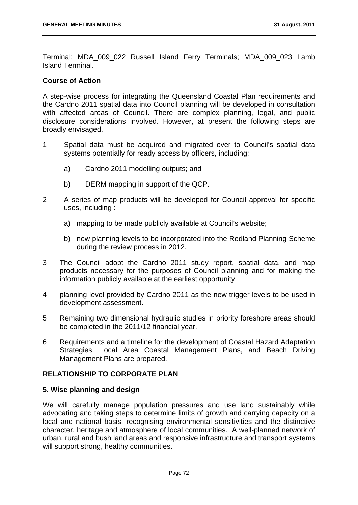Terminal; MDA\_009\_022 Russell Island Ferry Terminals; MDA\_009\_023 Lamb Island Terminal.

## **Course of Action**

A step-wise process for integrating the Queensland Coastal Plan requirements and the Cardno 2011 spatial data into Council planning will be developed in consultation with affected areas of Council. There are complex planning, legal, and public disclosure considerations involved. However, at present the following steps are broadly envisaged.

- 1 Spatial data must be acquired and migrated over to Council's spatial data systems potentially for ready access by officers, including:
	- a) Cardno 2011 modelling outputs; and
	- b) DERM mapping in support of the QCP.
- 2 A series of map products will be developed for Council approval for specific uses, including :
	- a) mapping to be made publicly available at Council's website;
	- b) new planning levels to be incorporated into the Redland Planning Scheme during the review process in 2012.
- 3 The Council adopt the Cardno 2011 study report, spatial data, and map products necessary for the purposes of Council planning and for making the information publicly available at the earliest opportunity.
- 4 planning level provided by Cardno 2011 as the new trigger levels to be used in development assessment.
- 5 Remaining two dimensional hydraulic studies in priority foreshore areas should be completed in the 2011/12 financial year.
- 6 Requirements and a timeline for the development of Coastal Hazard Adaptation Strategies, Local Area Coastal Management Plans, and Beach Driving Management Plans are prepared.

# **RELATIONSHIP TO CORPORATE PLAN**

### **5. Wise planning and design**

We will carefully manage population pressures and use land sustainably while advocating and taking steps to determine limits of growth and carrying capacity on a local and national basis, recognising environmental sensitivities and the distinctive character, heritage and atmosphere of local communities. A well-planned network of urban, rural and bush land areas and responsive infrastructure and transport systems will support strong, healthy communities.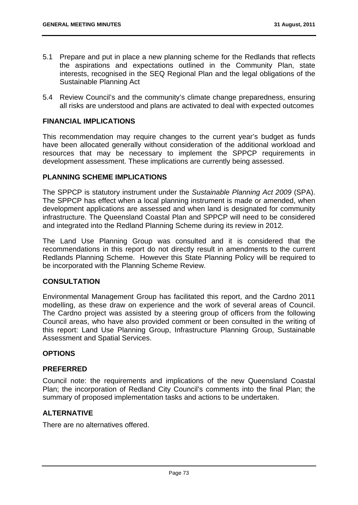- 5.1 Prepare and put in place a new planning scheme for the Redlands that reflects the aspirations and expectations outlined in the Community Plan, state interests, recognised in the SEQ Regional Plan and the legal obligations of the Sustainable Planning Act
- 5.4 Review Council's and the community's climate change preparedness, ensuring all risks are understood and plans are activated to deal with expected outcomes

## **FINANCIAL IMPLICATIONS**

This recommendation may require changes to the current year's budget as funds have been allocated generally without consideration of the additional workload and resources that may be necessary to implement the SPPCP requirements in development assessment. These implications are currently being assessed.

## **PLANNING SCHEME IMPLICATIONS**

The SPPCP is statutory instrument under the *Sustainable Planning Act 2009* (SPA). The SPPCP has effect when a local planning instrument is made or amended, when development applications are assessed and when land is designated for community infrastructure. The Queensland Coastal Plan and SPPCP will need to be considered and integrated into the Redland Planning Scheme during its review in 2012.

The Land Use Planning Group was consulted and it is considered that the recommendations in this report do not directly result in amendments to the current Redlands Planning Scheme. However this State Planning Policy will be required to be incorporated with the Planning Scheme Review.

### **CONSULTATION**

Environmental Management Group has facilitated this report, and the Cardno 2011 modelling, as these draw on experience and the work of several areas of Council. The Cardno project was assisted by a steering group of officers from the following Council areas, who have also provided comment or been consulted in the writing of this report: Land Use Planning Group, Infrastructure Planning Group, Sustainable Assessment and Spatial Services.

# **OPTIONS**

### **PREFERRED**

Council note: the requirements and implications of the new Queensland Coastal Plan; the incorporation of Redland City Council's comments into the final Plan; the summary of proposed implementation tasks and actions to be undertaken.

# **ALTERNATIVE**

There are no alternatives offered.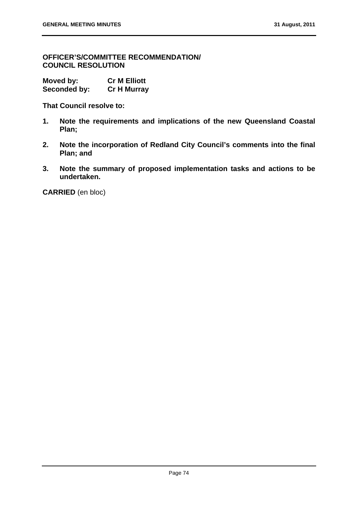**OFFICER'S/COMMITTEE RECOMMENDATION/ COUNCIL RESOLUTION** 

**Moved by: Cr M Elliott Seconded by: Cr H Murray** 

**That Council resolve to:** 

- **1. Note the requirements and implications of the new Queensland Coastal Plan;**
- **2. Note the incorporation of Redland City Council's comments into the final Plan; and**
- **3. Note the summary of proposed implementation tasks and actions to be undertaken.**

**CARRIED** (en bloc)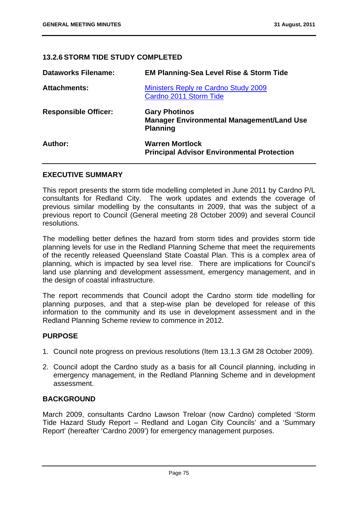# **13.2.6 STORM TIDE STUDY COMPLETED**

| <b>Dataworks Filename:</b>  | <b>EM Planning-Sea Level Rise &amp; Storm Tide</b>                                          |
|-----------------------------|---------------------------------------------------------------------------------------------|
| <b>Attachments:</b>         | <b>Ministers Reply re Cardno Study 2009</b><br>Cardno 2011 Storm Tide                       |
| <b>Responsible Officer:</b> | <b>Gary Photinos</b><br><b>Manager Environmental Management/Land Use</b><br><b>Planning</b> |
| Author:                     | <b>Warren Mortlock</b><br><b>Principal Advisor Environmental Protection</b>                 |

## **EXECUTIVE SUMMARY**

This report presents the storm tide modelling completed in June 2011 by Cardno P/L consultants for Redland City. The work updates and extends the coverage of previous similar modelling by the consultants in 2009, that was the subject of a previous report to Council (General meeting 28 October 2009) and several Council resolutions.

The modelling better defines the hazard from storm tides and provides storm tide planning levels for use in the Redland Planning Scheme that meet the requirements of the recently released Queensland State Coastal Plan. This is a complex area of planning, which is impacted by sea level rise. There are implications for Council's land use planning and development assessment, emergency management, and in the design of coastal infrastructure.

The report recommends that Council adopt the Cardno storm tide modelling for planning purposes, and that a step-wise plan be developed for release of this information to the community and its use in development assessment and in the Redland Planning Scheme review to commence in 2012.

# **PURPOSE**

- 1. Council note progress on previous resolutions (Item 13.1.3 GM 28 October 2009).
- 2. Council adopt the Cardno study as a basis for all Council planning, including in emergency management, in the Redland Planning Scheme and in development assessment.

## **BACKGROUND**

March 2009, consultants Cardno Lawson Treloar (now Cardno) completed 'Storm Tide Hazard Study Report – Redland and Logan City Councils' and a 'Summary Report' (hereafter 'Cardno 2009') for emergency management purposes.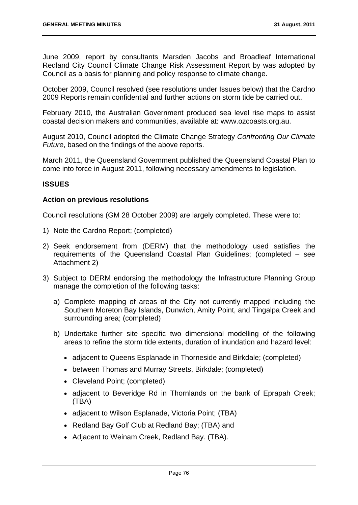June 2009, report by consultants Marsden Jacobs and Broadleaf International Redland City Council Climate Change Risk Assessment Report by was adopted by Council as a basis for planning and policy response to climate change.

October 2009, Council resolved (see resolutions under Issues below) that the Cardno 2009 Reports remain confidential and further actions on storm tide be carried out.

February 2010, the Australian Government produced sea level rise maps to assist coastal decision makers and communities, available at: www.ozcoasts.org.au.

August 2010, Council adopted the Climate Change Strategy *Confronting Our Climate Future*, based on the findings of the above reports.

March 2011, the Queensland Government published the Queensland Coastal Plan to come into force in August 2011, following necessary amendments to legislation.

# **ISSUES**

## **Action on previous resolutions**

Council resolutions (GM 28 October 2009) are largely completed. These were to:

- 1) Note the Cardno Report; (completed)
- 2) Seek endorsement from (DERM) that the methodology used satisfies the requirements of the Queensland Coastal Plan Guidelines; (completed – see Attachment 2)
- 3) Subject to DERM endorsing the methodology the Infrastructure Planning Group manage the completion of the following tasks:
	- a) Complete mapping of areas of the City not currently mapped including the Southern Moreton Bay Islands, Dunwich, Amity Point, and Tingalpa Creek and surrounding area; (completed)
	- b) Undertake further site specific two dimensional modelling of the following areas to refine the storm tide extents, duration of inundation and hazard level:
		- adjacent to Queens Esplanade in Thorneside and Birkdale; (completed)
		- between Thomas and Murray Streets, Birkdale; (completed)
		- Cleveland Point: (completed)
		- adjacent to Beveridge Rd in Thornlands on the bank of Eprapah Creek; (TBA)
		- adjacent to Wilson Esplanade, Victoria Point; (TBA)
		- Redland Bay Golf Club at Redland Bay; (TBA) and
		- Adiacent to Weinam Creek, Redland Bay. (TBA).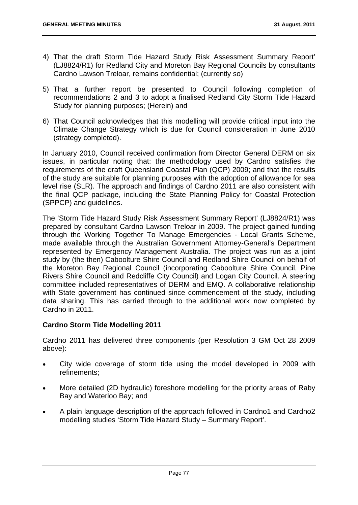- 4) That the draft Storm Tide Hazard Study Risk Assessment Summary Report' (LJ8824/R1) for Redland City and Moreton Bay Regional Councils by consultants Cardno Lawson Treloar, remains confidential; (currently so)
- 5) That a further report be presented to Council following completion of recommendations 2 and 3 to adopt a finalised Redland City Storm Tide Hazard Study for planning purposes; (Herein) and
- 6) That Council acknowledges that this modelling will provide critical input into the Climate Change Strategy which is due for Council consideration in June 2010 (strategy completed).

In January 2010, Council received confirmation from Director General DERM on six issues, in particular noting that: the methodology used by Cardno satisfies the requirements of the draft Queensland Coastal Plan (QCP) 2009; and that the results of the study are suitable for planning purposes with the adoption of allowance for sea level rise (SLR). The approach and findings of Cardno 2011 are also consistent with the final QCP package, including the State Planning Policy for Coastal Protection (SPPCP) and guidelines.

The 'Storm Tide Hazard Study Risk Assessment Summary Report' (LJ8824/R1) was prepared by consultant Cardno Lawson Treloar in 2009. The project gained funding through the Working Together To Manage Emergencies - Local Grants Scheme, made available through the Australian Government Attorney-General's Department represented by Emergency Management Australia. The project was run as a joint study by (the then) Caboolture Shire Council and Redland Shire Council on behalf of the Moreton Bay Regional Council (incorporating Caboolture Shire Council, Pine Rivers Shire Council and Redcliffe City Council) and Logan City Council. A steering committee included representatives of DERM and EMQ. A collaborative relationship with State government has continued since commencement of the study, including data sharing. This has carried through to the additional work now completed by Cardno in 2011.

# **Cardno Storm Tide Modelling 2011**

Cardno 2011 has delivered three components (per Resolution 3 GM Oct 28 2009 above):

- City wide coverage of storm tide using the model developed in 2009 with refinements;
- More detailed (2D hydraulic) foreshore modelling for the priority areas of Raby Bay and Waterloo Bay; and
- A plain language description of the approach followed in Cardno1 and Cardno2 modelling studies 'Storm Tide Hazard Study – Summary Report'.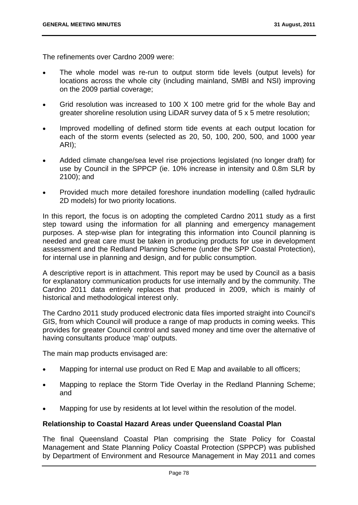The refinements over Cardno 2009 were:

- The whole model was re-run to output storm tide levels (output levels) for locations across the whole city (including mainland, SMBI and NSI) improving on the 2009 partial coverage;
- Grid resolution was increased to 100 X 100 metre grid for the whole Bay and greater shoreline resolution using LiDAR survey data of 5 x 5 metre resolution;
- Improved modelling of defined storm tide events at each output location for each of the storm events (selected as 20, 50, 100, 200, 500, and 1000 year ARI);
- Added climate change/sea level rise projections legislated (no longer draft) for use by Council in the SPPCP (ie. 10% increase in intensity and 0.8m SLR by 2100); and
- Provided much more detailed foreshore inundation modelling (called hydraulic 2D models) for two priority locations.

In this report, the focus is on adopting the completed Cardno 2011 study as a first step toward using the information for all planning and emergency management purposes. A step-wise plan for integrating this information into Council planning is needed and great care must be taken in producing products for use in development assessment and the Redland Planning Scheme (under the SPP Coastal Protection), for internal use in planning and design, and for public consumption.

A descriptive report is in attachment. This report may be used by Council as a basis for explanatory communication products for use internally and by the community. The Cardno 2011 data entirely replaces that produced in 2009, which is mainly of historical and methodological interest only.

The Cardno 2011 study produced electronic data files imported straight into Council's GIS, from which Council will produce a range of map products in coming weeks. This provides for greater Council control and saved money and time over the alternative of having consultants produce 'map' outputs.

The main map products envisaged are:

- Mapping for internal use product on Red E Map and available to all officers;
- Mapping to replace the Storm Tide Overlay in the Redland Planning Scheme; and
- Mapping for use by residents at lot level within the resolution of the model.

# **Relationship to Coastal Hazard Areas under Queensland Coastal Plan**

The final Queensland Coastal Plan comprising the State Policy for Coastal Management and State Planning Policy Coastal Protection (SPPCP) was published by Department of Environment and Resource Management in May 2011 and comes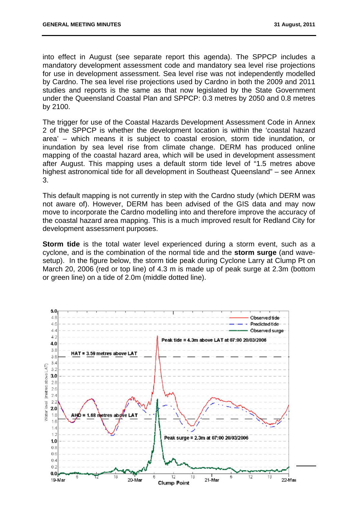into effect in August (see separate report this agenda). The SPPCP includes a mandatory development assessment code and mandatory sea level rise projections for use in development assessment. Sea level rise was not independently modelled by Cardno. The sea level rise projections used by Cardno in both the 2009 and 2011 studies and reports is the same as that now legislated by the State Government under the Queensland Coastal Plan and SPPCP: 0.3 metres by 2050 and 0.8 metres by 2100.

The trigger for use of the Coastal Hazards Development Assessment Code in Annex 2 of the SPPCP is whether the development location is within the 'coastal hazard area' – which means it is subject to coastal erosion, storm tide inundation, or inundation by sea level rise from climate change. DERM has produced online mapping of the coastal hazard area, which will be used in development assessment after August. This mapping uses a default storm tide level of "1.5 metres above highest astronomical tide for all development in Southeast Queensland" – see Annex 3.

This default mapping is not currently in step with the Cardno study (which DERM was not aware of). However, DERM has been advised of the GIS data and may now move to incorporate the Cardno modelling into and therefore improve the accuracy of the coastal hazard area mapping. This is a much improved result for Redland City for development assessment purposes.

**Storm tide** is the total water level experienced during a storm event, such as a cyclone, and is the combination of the normal tide and the **storm surge** (and wavesetup). In the figure below, the storm tide peak during Cyclone Larry at Clump Pt on March 20, 2006 (red or top line) of 4.3 m is made up of peak surge at 2.3m (bottom or green line) on a tide of 2.0m (middle dotted line).

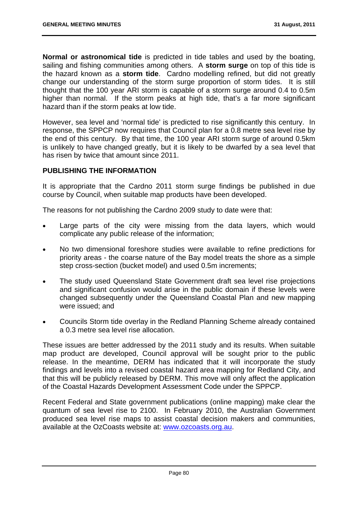**Normal or astronomical tide** is predicted in tide tables and used by the boating, sailing and fishing communities among others. A **storm surge** on top of this tide is the hazard known as a **storm tide**. Cardno modelling refined, but did not greatly change our understanding of the storm surge proportion of storm tides. It is still thought that the 100 year ARI storm is capable of a storm surge around 0.4 to 0.5m higher than normal. If the storm peaks at high tide, that's a far more significant hazard than if the storm peaks at low tide.

However, sea level and 'normal tide' is predicted to rise significantly this century. In response, the SPPCP now requires that Council plan for a 0.8 metre sea level rise by the end of this century. By that time, the 100 year ARI storm surge of around 0.5km is unlikely to have changed greatly, but it is likely to be dwarfed by a sea level that has risen by twice that amount since 2011.

## **PUBLISHING THE INFORMATION**

It is appropriate that the Cardno 2011 storm surge findings be published in due course by Council, when suitable map products have been developed.

The reasons for not publishing the Cardno 2009 study to date were that:

- Large parts of the city were missing from the data layers, which would complicate any public release of the information;
- No two dimensional foreshore studies were available to refine predictions for priority areas - the coarse nature of the Bay model treats the shore as a simple step cross-section (bucket model) and used 0.5m increments;
- The study used Queensland State Government draft sea level rise projections and significant confusion would arise in the public domain if these levels were changed subsequently under the Queensland Coastal Plan and new mapping were issued; and
- Councils Storm tide overlay in the Redland Planning Scheme already contained a 0.3 metre sea level rise allocation.

These issues are better addressed by the 2011 study and its results. When suitable map product are developed, Council approval will be sought prior to the public release. In the meantime, DERM has indicated that it will incorporate the study findings and levels into a revised coastal hazard area mapping for Redland City, and that this will be publicly released by DERM. This move will only affect the application of the Coastal Hazards Development Assessment Code under the SPPCP.

Recent Federal and State government publications (online mapping) make clear the quantum of sea level rise to 2100. In February 2010, the Australian Government produced sea level rise maps to assist coastal decision makers and communities, available at the OzCoasts website at: www.ozcoasts.org.au.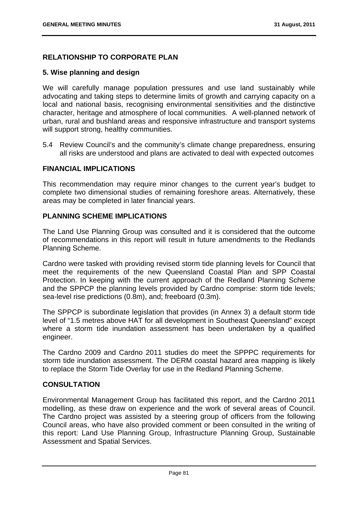# **RELATIONSHIP TO CORPORATE PLAN**

## **5. Wise planning and design**

We will carefully manage population pressures and use land sustainably while advocating and taking steps to determine limits of growth and carrying capacity on a local and national basis, recognising environmental sensitivities and the distinctive character, heritage and atmosphere of local communities. A well-planned network of urban, rural and bushland areas and responsive infrastructure and transport systems will support strong, healthy communities.

5.4 Review Council's and the community's climate change preparedness, ensuring all risks are understood and plans are activated to deal with expected outcomes

# **FINANCIAL IMPLICATIONS**

This recommendation may require minor changes to the current year's budget to complete two dimensional studies of remaining foreshore areas. Alternatively, these areas may be completed in later financial years.

## **PLANNING SCHEME IMPLICATIONS**

The Land Use Planning Group was consulted and it is considered that the outcome of recommendations in this report will result in future amendments to the Redlands Planning Scheme.

Cardno were tasked with providing revised storm tide planning levels for Council that meet the requirements of the new Queensland Coastal Plan and SPP Coastal Protection. In keeping with the current approach of the Redland Planning Scheme and the SPPCP the planning levels provided by Cardno comprise: storm tide levels; sea-level rise predictions (0.8m), and; freeboard (0.3m).

The SPPCP is subordinate legislation that provides (in Annex 3) a default storm tide level of "1.5 metres above HAT for all development in Southeast Queensland" except where a storm tide inundation assessment has been undertaken by a qualified engineer.

The Cardno 2009 and Cardno 2011 studies do meet the SPPPC requirements for storm tide inundation assessment. The DERM coastal hazard area mapping is likely to replace the Storm Tide Overlay for use in the Redland Planning Scheme.

# **CONSULTATION**

Environmental Management Group has facilitated this report, and the Cardno 2011 modelling, as these draw on experience and the work of several areas of Council. The Cardno project was assisted by a steering group of officers from the following Council areas, who have also provided comment or been consulted in the writing of this report: Land Use Planning Group, Infrastructure Planning Group, Sustainable Assessment and Spatial Services.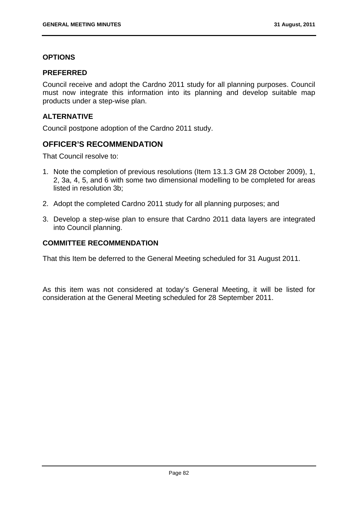# **OPTIONS**

## **PREFERRED**

Council receive and adopt the Cardno 2011 study for all planning purposes. Council must now integrate this information into its planning and develop suitable map products under a step-wise plan.

# **ALTERNATIVE**

Council postpone adoption of the Cardno 2011 study.

# **OFFICER'S RECOMMENDATION**

That Council resolve to:

- 1. Note the completion of previous resolutions (Item 13.1.3 GM 28 October 2009), 1, 2, 3a, 4, 5, and 6 with some two dimensional modelling to be completed for areas listed in resolution 3b;
- 2. Adopt the completed Cardno 2011 study for all planning purposes; and
- 3. Develop a step-wise plan to ensure that Cardno 2011 data layers are integrated into Council planning.

# **COMMITTEE RECOMMENDATION**

That this Item be deferred to the General Meeting scheduled for 31 August 2011.

As this item was not considered at today's General Meeting, it will be listed for consideration at the General Meeting scheduled for 28 September 2011.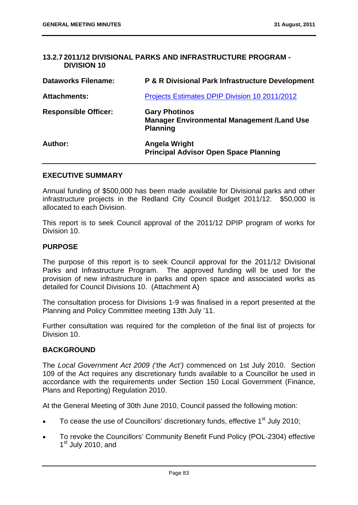## **13.2.7 2011/12 DIVISIONAL PARKS AND INFRASTRUCTURE PROGRAM - DIVISION 10**

| <b>Dataworks Filename:</b>  | <b>P &amp; R Divisional Park Infrastructure Development</b>                                  |
|-----------------------------|----------------------------------------------------------------------------------------------|
| <b>Attachments:</b>         | Projects Estimates DPIP Division 10 2011/2012                                                |
| <b>Responsible Officer:</b> | <b>Gary Photinos</b><br><b>Manager Environmental Management /Land Use</b><br><b>Planning</b> |
| Author:                     | Angela Wright<br><b>Principal Advisor Open Space Planning</b>                                |

### **EXECUTIVE SUMMARY**

Annual funding of \$500,000 has been made available for Divisional parks and other infrastructure projects in the Redland City Council Budget 2011/12. \$50,000 is allocated to each Division.

This report is to seek Council approval of the 2011/12 DPIP program of works for Division 10.

## **PURPOSE**

The purpose of this report is to seek Council approval for the 2011/12 Divisional Parks and Infrastructure Program. The approved funding will be used for the provision of new infrastructure in parks and open space and associated works as detailed for Council Divisions 10. (Attachment A)

The consultation process for Divisions 1-9 was finalised in a report presented at the Planning and Policy Committee meeting 13th July '11.

Further consultation was required for the completion of the final list of projects for Division 10.

### **BACKGROUND**

The *Local Government Act 2009 ('the Act')* commenced on 1st July 2010. Section 109 of the Act requires any discretionary funds available to a Councillor be used in accordance with the requirements under Section 150 Local Government (Finance, Plans and Reporting) Regulation 2010.

At the General Meeting of 30th June 2010, Council passed the following motion:

- To cease the use of Councillors' discretionary funds, effective 1<sup>st</sup> July 2010;
- To revoke the Councillors' Community Benefit Fund Policy (POL-2304) effective  $1<sup>st</sup>$  July 2010, and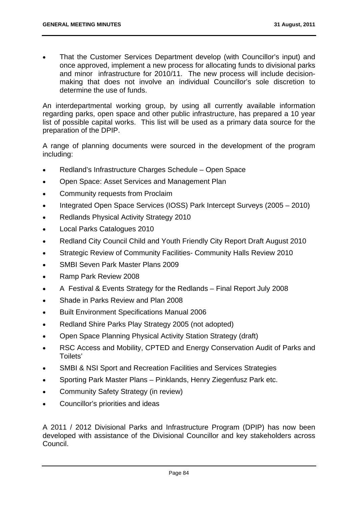That the Customer Services Department develop (with Councillor's input) and once approved, implement a new process for allocating funds to divisional parks and minor infrastructure for 2010/11. The new process will include decisionmaking that does not involve an individual Councillor's sole discretion to determine the use of funds.

An interdepartmental working group, by using all currently available information regarding parks, open space and other public infrastructure, has prepared a 10 year list of possible capital works. This list will be used as a primary data source for the preparation of the DPIP.

A range of planning documents were sourced in the development of the program including:

- Redland's Infrastructure Charges Schedule Open Space
- Open Space: Asset Services and Management Plan
- Community requests from Proclaim
- Integrated Open Space Services (IOSS) Park Intercept Surveys (2005 2010)
- Redlands Physical Activity Strategy 2010
- Local Parks Catalogues 2010
- Redland City Council Child and Youth Friendly City Report Draft August 2010
- Strategic Review of Community Facilities- Community Halls Review 2010
- SMBI Seven Park Master Plans 2009
- Ramp Park Review 2008
- A Festival & Events Strategy for the Redlands Final Report July 2008
- Shade in Parks Review and Plan 2008
- Built Environment Specifications Manual 2006
- Redland Shire Parks Play Strategy 2005 (not adopted)
- Open Space Planning Physical Activity Station Strategy (draft)
- RSC Access and Mobility, CPTED and Energy Conservation Audit of Parks and Toilets'
- SMBI & NSI Sport and Recreation Facilities and Services Strategies
- Sporting Park Master Plans Pinklands, Henry Ziegenfusz Park etc.
- Community Safety Strategy (in review)
- Councillor's priorities and ideas

A 2011 / 2012 Divisional Parks and Infrastructure Program (DPIP) has now been developed with assistance of the Divisional Councillor and key stakeholders across Council.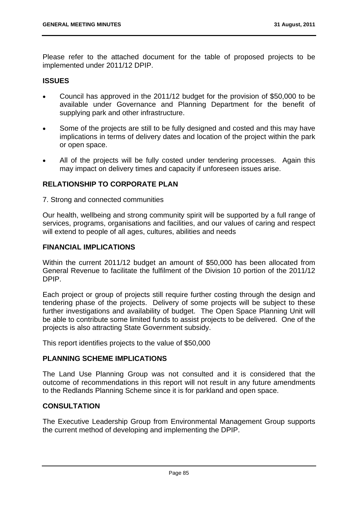Please refer to the attached document for the table of proposed projects to be implemented under 2011/12 DPIP.

## **ISSUES**

- Council has approved in the 2011/12 budget for the provision of \$50,000 to be available under Governance and Planning Department for the benefit of supplying park and other infrastructure.
- Some of the projects are still to be fully designed and costed and this may have implications in terms of delivery dates and location of the project within the park or open space.
- All of the projects will be fully costed under tendering processes. Again this may impact on delivery times and capacity if unforeseen issues arise.

# **RELATIONSHIP TO CORPORATE PLAN**

7. Strong and connected communities

Our health, wellbeing and strong community spirit will be supported by a full range of services, programs, organisations and facilities, and our values of caring and respect will extend to people of all ages, cultures, abilities and needs

# **FINANCIAL IMPLICATIONS**

Within the current 2011/12 budget an amount of \$50,000 has been allocated from General Revenue to facilitate the fulfilment of the Division 10 portion of the 2011/12 DPIP.

Each project or group of projects still require further costing through the design and tendering phase of the projects. Delivery of some projects will be subject to these further investigations and availability of budget. The Open Space Planning Unit will be able to contribute some limited funds to assist projects to be delivered. One of the projects is also attracting State Government subsidy.

This report identifies projects to the value of \$50,000

### **PLANNING SCHEME IMPLICATIONS**

The Land Use Planning Group was not consulted and it is considered that the outcome of recommendations in this report will not result in any future amendments to the Redlands Planning Scheme since it is for parkland and open space.

# **CONSULTATION**

The Executive Leadership Group from Environmental Management Group supports the current method of developing and implementing the DPIP.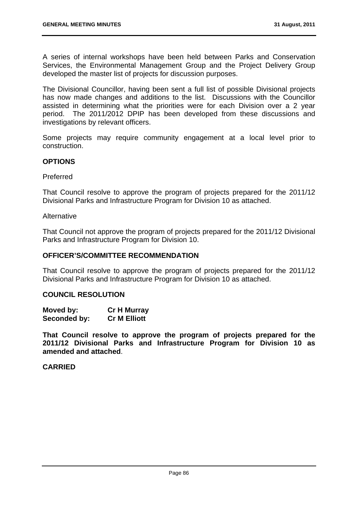A series of internal workshops have been held between Parks and Conservation Services, the Environmental Management Group and the Project Delivery Group developed the master list of projects for discussion purposes.

The Divisional Councillor, having been sent a full list of possible Divisional projects has now made changes and additions to the list. Discussions with the Councillor assisted in determining what the priorities were for each Division over a 2 year period. The 2011/2012 DPIP has been developed from these discussions and investigations by relevant officers.

Some projects may require community engagement at a local level prior to construction.

## **OPTIONS**

Preferred

That Council resolve to approve the program of projects prepared for the 2011/12 Divisional Parks and Infrastructure Program for Division 10 as attached.

#### **Alternative**

That Council not approve the program of projects prepared for the 2011/12 Divisional Parks and Infrastructure Program for Division 10.

### **OFFICER'S/COMMITTEE RECOMMENDATION**

That Council resolve to approve the program of projects prepared for the 2011/12 Divisional Parks and Infrastructure Program for Division 10 as attached.

### **COUNCIL RESOLUTION**

| Moved by:    | <b>Cr H Murray</b>  |
|--------------|---------------------|
| Seconded by: | <b>Cr M Elliott</b> |

**That Council resolve to approve the program of projects prepared for the 2011/12 Divisional Parks and Infrastructure Program for Division 10 as amended and attached**.

## **CARRIED**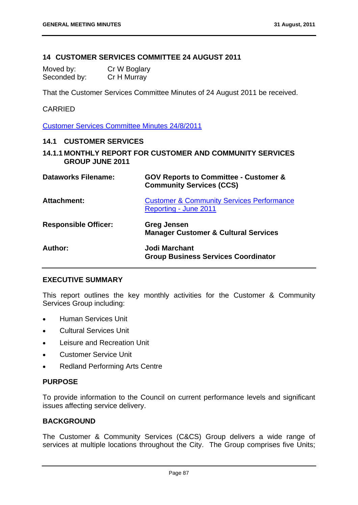# **14 CUSTOMER SERVICES COMMITTEE 24 AUGUST 2011**

| Moved by:    | Cr W Boglary |
|--------------|--------------|
| Seconded by: | Cr H Murray  |

That the Customer Services Committee Minutes of 24 August 2011 be received.

# CARRIED

Customer Services Committee Minutes 24/8/2011

## **14.1 CUSTOMER SERVICES**

**14.1.1 MONTHLY REPORT FOR CUSTOMER AND COMMUNITY SERVICES GROUP JUNE 2011** 

| <b>Dataworks Filename:</b>  | <b>GOV Reports to Committee - Customer &amp;</b><br><b>Community Services (CCS)</b> |
|-----------------------------|-------------------------------------------------------------------------------------|
| Attachment:                 | <b>Customer &amp; Community Services Performance</b><br>Reporting - June 2011       |
| <b>Responsible Officer:</b> | Greg Jensen<br><b>Manager Customer &amp; Cultural Services</b>                      |
| Author:                     | <b>Jodi Marchant</b><br><b>Group Business Services Coordinator</b>                  |

### **EXECUTIVE SUMMARY**

This report outlines the key monthly activities for the Customer & Community Services Group including:

- **•** Human Services Unit
- Cultural Services Unit
- Leisure and Recreation Unit
- Customer Service Unit
- Redland Performing Arts Centre

## **PURPOSE**

To provide information to the Council on current performance levels and significant issues affecting service delivery.

## **BACKGROUND**

The Customer & Community Services (C&CS) Group delivers a wide range of services at multiple locations throughout the City. The Group comprises five Units;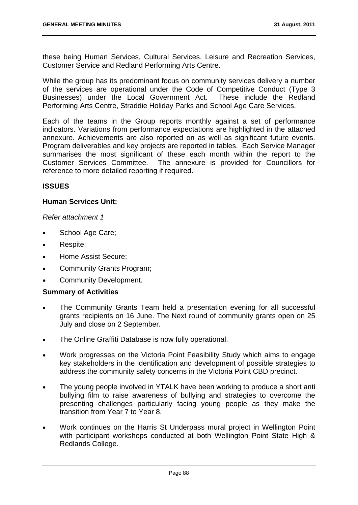these being Human Services, Cultural Services, Leisure and Recreation Services, Customer Service and Redland Performing Arts Centre.

While the group has its predominant focus on community services delivery a number of the services are operational under the Code of Competitive Conduct (Type 3 Businesses) under the Local Government Act. These include the Redland Performing Arts Centre, Straddie Holiday Parks and School Age Care Services.

Each of the teams in the Group reports monthly against a set of performance indicators. Variations from performance expectations are highlighted in the attached annexure. Achievements are also reported on as well as significant future events. Program deliverables and key projects are reported in tables. Each Service Manager summarises the most significant of these each month within the report to the Customer Services Committee. The annexure is provided for Councillors for reference to more detailed reporting if required.

## **ISSUES**

## **Human Services Unit:**

### *Refer attachment 1*

- School Age Care;
- Respite;
- Home Assist Secure;
- Community Grants Program;
- Community Development.

# **Summary of Activities**

- The Community Grants Team held a presentation evening for all successful grants recipients on 16 June. The Next round of community grants open on 25 July and close on 2 September.
- The Online Graffiti Database is now fully operational.
- Work progresses on the Victoria Point Feasibility Study which aims to engage key stakeholders in the identification and development of possible strategies to address the community safety concerns in the Victoria Point CBD precinct.
- The young people involved in YTALK have been working to produce a short anti bullying film to raise awareness of bullying and strategies to overcome the presenting challenges particularly facing young people as they make the transition from Year 7 to Year 8.
- Work continues on the Harris St Underpass mural project in Wellington Point with participant workshops conducted at both Wellington Point State High & Redlands College.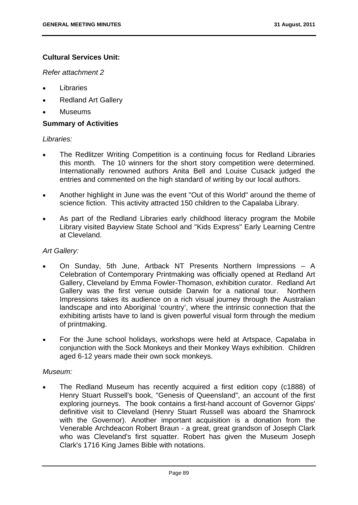# **Cultural Services Unit:**

*Refer attachment 2* 

- Libraries
- Redland Art Gallery
- Museums

## **Summary of Activities**

## *Libraries:*

- The Redlitzer Writing Competition is a continuing focus for Redland Libraries this month. The 10 winners for the short story competition were determined. Internationally renowned authors Anita Bell and Louise Cusack judged the entries and commented on the high standard of writing by our local authors.
- Another highlight in June was the event "Out of this World" around the theme of science fiction. This activity attracted 150 children to the Capalaba Library.
- As part of the Redland Libraries early childhood literacy program the Mobile Library visited Bayview State School and "Kids Express" Early Learning Centre at Cleveland.

## *Art Gallery:*

- On Sunday, 5th June, Artback NT Presents Northern Impressions A Celebration of Contemporary Printmaking was officially opened at Redland Art Gallery, Cleveland by Emma Fowler-Thomason, exhibition curator. Redland Art Gallery was the first venue outside Darwin for a national tour. Northern Impressions takes its audience on a rich visual journey through the Australian landscape and into Aboriginal 'country', where the intrinsic connection that the exhibiting artists have to land is given powerful visual form through the medium of printmaking.
- For the June school holidays, workshops were held at Artspace, Capalaba in conjunction with the Sock Monkeys and their Monkey Ways exhibition. Children aged 6-12 years made their own sock monkeys.

# *Museum:*

 The Redland Museum has recently acquired a first edition copy (c1888) of Henry Stuart Russell's book, "Genesis of Queensland", an account of the first exploring journeys. The book contains a first-hand account of Governor Gipps' definitive visit to Cleveland (Henry Stuart Russell was aboard the Shamrock with the Governor). Another important acquisition is a donation from the Venerable Archdeacon Robert Braun - a great, great grandson of Joseph Clark who was Cleveland's first squatter. Robert has given the Museum Joseph Clark's 1716 King James Bible with notations.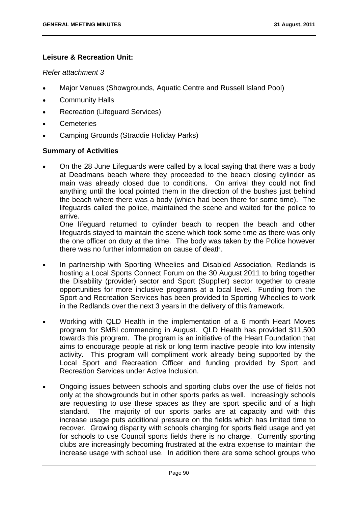# **Leisure & Recreation Unit:**

#### *Refer attachment 3*

- Major Venues (Showgrounds, Aquatic Centre and Russell Island Pool)
- Community Halls
- Recreation (Lifeguard Services)
- Cemeteries
- Camping Grounds (Straddie Holiday Parks)

### **Summary of Activities**

 On the 28 June Lifeguards were called by a local saying that there was a body at Deadmans beach where they proceeded to the beach closing cylinder as main was already closed due to conditions. On arrival they could not find anything until the local pointed them in the direction of the bushes just behind the beach where there was a body (which had been there for some time). The lifeguards called the police, maintained the scene and waited for the police to arrive.

One lifeguard returned to cylinder beach to reopen the beach and other lifeguards stayed to maintain the scene which took some time as there was only the one officer on duty at the time. The body was taken by the Police however there was no further information on cause of death.

- In partnership with Sporting Wheelies and Disabled Association, Redlands is hosting a Local Sports Connect Forum on the 30 August 2011 to bring together the Disability (provider) sector and Sport (Supplier) sector together to create opportunities for more inclusive programs at a local level. Funding from the Sport and Recreation Services has been provided to Sporting Wheelies to work in the Redlands over the next 3 years in the delivery of this framework.
- Working with QLD Health in the implementation of a 6 month Heart Moves program for SMBI commencing in August. QLD Health has provided \$11,500 towards this program. The program is an initiative of the Heart Foundation that aims to encourage people at risk or long term inactive people into low intensity activity. This program will compliment work already being supported by the Local Sport and Recreation Officer and funding provided by Sport and Recreation Services under Active Inclusion.
- Ongoing issues between schools and sporting clubs over the use of fields not only at the showgrounds but in other sports parks as well. Increasingly schools are requesting to use these spaces as they are sport specific and of a high standard. The majority of our sports parks are at capacity and with this increase usage puts additional pressure on the fields which has limited time to recover. Growing disparity with schools charging for sports field usage and yet for schools to use Council sports fields there is no charge. Currently sporting clubs are increasingly becoming frustrated at the extra expense to maintain the increase usage with school use. In addition there are some school groups who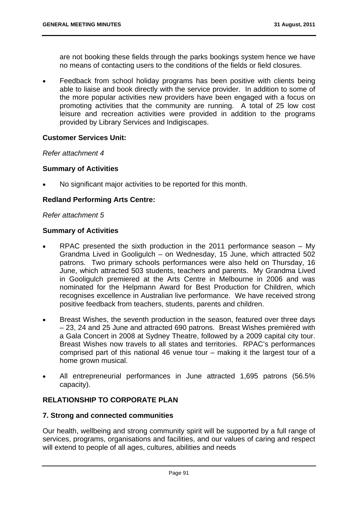are not booking these fields through the parks bookings system hence we have no means of contacting users to the conditions of the fields or field closures.

• Feedback from school holiday programs has been positive with clients being able to liaise and book directly with the service provider. In addition to some of the more popular activities new providers have been engaged with a focus on promoting activities that the community are running. A total of 25 low cost leisure and recreation activities were provided in addition to the programs provided by Library Services and Indigiscapes.

## **Customer Services Unit:**

### *Refer attachment 4*

## **Summary of Activities**

No significant major activities to be reported for this month.

# **Redland Performing Arts Centre:**

### *Refer attachment 5*

## **Summary of Activities**

- RPAC presented the sixth production in the 2011 performance season My Grandma Lived in Gooligulch – on Wednesday, 15 June, which attracted 502 patrons. Two primary schools performances were also held on Thursday, 16 June, which attracted 503 students, teachers and parents. My Grandma Lived in Gooligulch premiered at the Arts Centre in Melbourne in 2006 and was nominated for the Helpmann Award for Best Production for Children, which recognises excellence in Australian live performance. We have received strong positive feedback from teachers, students, parents and children.
- Breast Wishes, the seventh production in the season, featured over three days – 23, 24 and 25 June and attracted 690 patrons. Breast Wishes premièred with a Gala Concert in 2008 at Sydney Theatre, followed by a 2009 capital city tour. Breast Wishes now travels to all states and territories. RPAC's performances comprised part of this national 46 venue tour – making it the largest tour of a home grown musical.
- All entrepreneurial performances in June attracted 1,695 patrons (56.5% capacity).

# **RELATIONSHIP TO CORPORATE PLAN**

### **7. Strong and connected communities**

Our health, wellbeing and strong community spirit will be supported by a full range of services, programs, organisations and facilities, and our values of caring and respect will extend to people of all ages, cultures, abilities and needs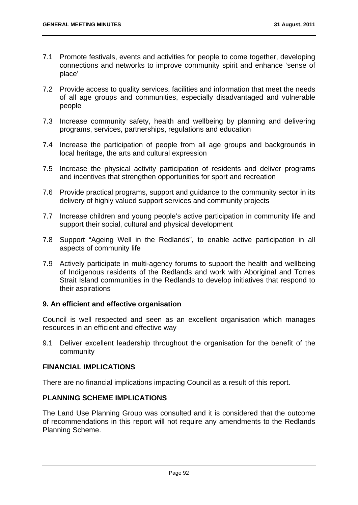- 7.1 Promote festivals, events and activities for people to come together, developing connections and networks to improve community spirit and enhance 'sense of place'
- 7.2 Provide access to quality services, facilities and information that meet the needs of all age groups and communities, especially disadvantaged and vulnerable people
- 7.3 Increase community safety, health and wellbeing by planning and delivering programs, services, partnerships, regulations and education
- 7.4 Increase the participation of people from all age groups and backgrounds in local heritage, the arts and cultural expression
- 7.5 Increase the physical activity participation of residents and deliver programs and incentives that strengthen opportunities for sport and recreation
- 7.6 Provide practical programs, support and guidance to the community sector in its delivery of highly valued support services and community projects
- 7.7 Increase children and young people's active participation in community life and support their social, cultural and physical development
- 7.8 Support "Ageing Well in the Redlands", to enable active participation in all aspects of community life
- 7.9 Actively participate in multi-agency forums to support the health and wellbeing of Indigenous residents of the Redlands and work with Aboriginal and Torres Strait Island communities in the Redlands to develop initiatives that respond to their aspirations

# **9. An efficient and effective organisation**

Council is well respected and seen as an excellent organisation which manages resources in an efficient and effective way

9.1 Deliver excellent leadership throughout the organisation for the benefit of the community

# **FINANCIAL IMPLICATIONS**

There are no financial implications impacting Council as a result of this report.

# **PLANNING SCHEME IMPLICATIONS**

The Land Use Planning Group was consulted and it is considered that the outcome of recommendations in this report will not require any amendments to the Redlands Planning Scheme.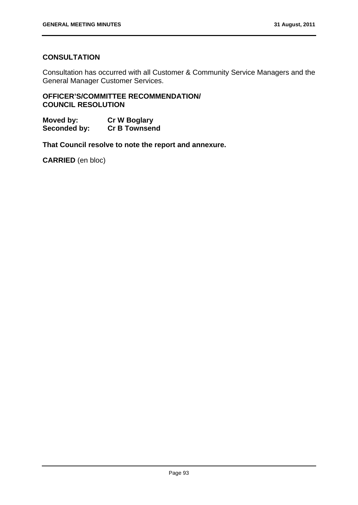# **CONSULTATION**

Consultation has occurred with all Customer & Community Service Managers and the General Manager Customer Services.

**OFFICER'S/COMMITTEE RECOMMENDATION/ COUNCIL RESOLUTION** 

**Moved by: Cr W Boglary Seconded by: Cr B Townsend** 

**That Council resolve to note the report and annexure.** 

**CARRIED** (en bloc)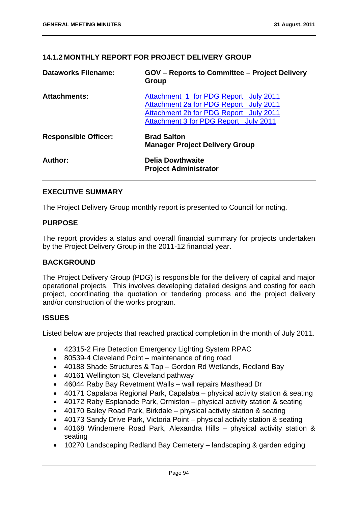# **14.1.2 MONTHLY REPORT FOR PROJECT DELIVERY GROUP**

| <b>Dataworks Filename:</b>  | <b>GOV</b> – Reports to Committee – Project Delivery<br>Group                                                                                                      |
|-----------------------------|--------------------------------------------------------------------------------------------------------------------------------------------------------------------|
| <b>Attachments:</b>         | Attachment 1 for PDG Report July 2011<br>Attachment 2a for PDG Report July 2011<br>Attachment 2b for PDG Report July 2011<br>Attachment 3 for PDG Report July 2011 |
| <b>Responsible Officer:</b> | <b>Brad Salton</b><br><b>Manager Project Delivery Group</b>                                                                                                        |
| Author:                     | <b>Delia Dowthwaite</b><br><b>Project Administrator</b>                                                                                                            |

### **EXECUTIVE SUMMARY**

The Project Delivery Group monthly report is presented to Council for noting.

## **PURPOSE**

The report provides a status and overall financial summary for projects undertaken by the Project Delivery Group in the 2011-12 financial year.

## **BACKGROUND**

The Project Delivery Group (PDG) is responsible for the delivery of capital and major operational projects. This involves developing detailed designs and costing for each project, coordinating the quotation or tendering process and the project delivery and/or construction of the works program.

# **ISSUES**

Listed below are projects that reached practical completion in the month of July 2011.

- 42315-2 Fire Detection Emergency Lighting System RPAC
- 80539-4 Cleveland Point maintenance of ring road
- 40188 Shade Structures & Tap Gordon Rd Wetlands, Redland Bay
- 40161 Wellington St, Cleveland pathway
- 46044 Raby Bay Revetment Walls wall repairs Masthead Dr
- 40171 Capalaba Regional Park, Capalaba physical activity station & seating
- 40172 Raby Esplanade Park, Ormiston physical activity station & seating
- 40170 Bailey Road Park, Birkdale physical activity station & seating
- 40173 Sandy Drive Park, Victoria Point physical activity station & seating
- 40168 Windemere Road Park, Alexandra Hills physical activity station & seating
- 10270 Landscaping Redland Bay Cemetery landscaping & garden edging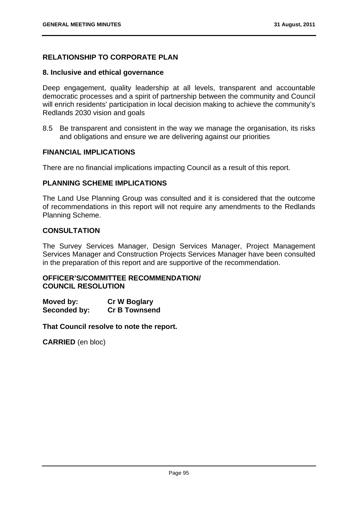# **RELATIONSHIP TO CORPORATE PLAN**

### **8. Inclusive and ethical governance**

Deep engagement, quality leadership at all levels, transparent and accountable democratic processes and a spirit of partnership between the community and Council will enrich residents' participation in local decision making to achieve the community's Redlands 2030 vision and goals

8.5 Be transparent and consistent in the way we manage the organisation, its risks and obligations and ensure we are delivering against our priorities

### **FINANCIAL IMPLICATIONS**

There are no financial implications impacting Council as a result of this report.

## **PLANNING SCHEME IMPLICATIONS**

The Land Use Planning Group was consulted and it is considered that the outcome of recommendations in this report will not require any amendments to the Redlands Planning Scheme.

### **CONSULTATION**

The Survey Services Manager, Design Services Manager, Project Management Services Manager and Construction Projects Services Manager have been consulted in the preparation of this report and are supportive of the recommendation.

## **OFFICER'S/COMMITTEE RECOMMENDATION/ COUNCIL RESOLUTION**

| Moved by:    | <b>Cr W Boglary</b>  |
|--------------|----------------------|
| Seconded by: | <b>Cr B Townsend</b> |

**That Council resolve to note the report.** 

**CARRIED** (en bloc)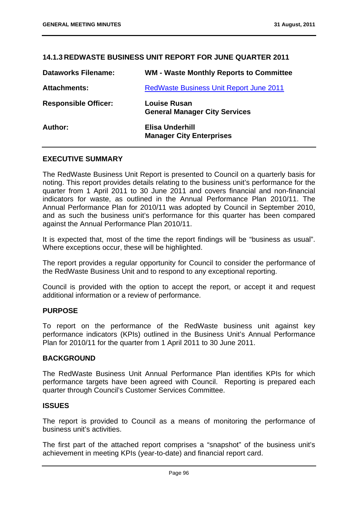# **14.1.3 REDWASTE BUSINESS UNIT REPORT FOR JUNE QUARTER 2011**

| <b>Dataworks Filename:</b>  | <b>WM - Waste Monthly Reports to Committee</b>              |
|-----------------------------|-------------------------------------------------------------|
| <b>Attachments:</b>         | <b>RedWaste Business Unit Report June 2011</b>              |
| <b>Responsible Officer:</b> | <b>Louise Rusan</b><br><b>General Manager City Services</b> |
| Author:                     | <b>Elisa Underhill</b><br><b>Manager City Enterprises</b>   |

## **EXECUTIVE SUMMARY**

The RedWaste Business Unit Report is presented to Council on a quarterly basis for noting. This report provides details relating to the business unit's performance for the quarter from 1 April 2011 to 30 June 2011 and covers financial and non-financial indicators for waste, as outlined in the Annual Performance Plan 2010/11. The Annual Performance Plan for 2010/11 was adopted by Council in September 2010, and as such the business unit's performance for this quarter has been compared against the Annual Performance Plan 2010/11.

It is expected that, most of the time the report findings will be "business as usual". Where exceptions occur, these will be highlighted.

The report provides a regular opportunity for Council to consider the performance of the RedWaste Business Unit and to respond to any exceptional reporting.

Council is provided with the option to accept the report, or accept it and request additional information or a review of performance.

### **PURPOSE**

To report on the performance of the RedWaste business unit against key performance indicators (KPIs) outlined in the Business Unit's Annual Performance Plan for 2010/11 for the quarter from 1 April 2011 to 30 June 2011.

### **BACKGROUND**

The RedWaste Business Unit Annual Performance Plan identifies KPIs for which performance targets have been agreed with Council. Reporting is prepared each quarter through Council's Customer Services Committee.

## **ISSUES**

The report is provided to Council as a means of monitoring the performance of business unit's activities.

The first part of the attached report comprises a "snapshot" of the business unit's achievement in meeting KPIs (year-to-date) and financial report card.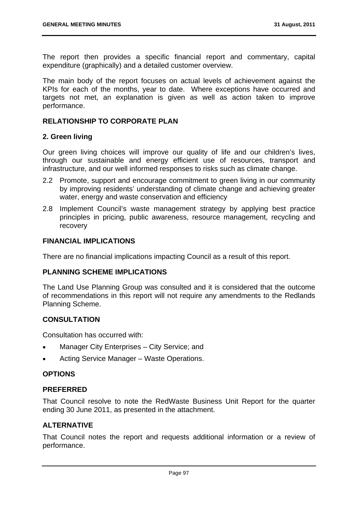The report then provides a specific financial report and commentary, capital expenditure (graphically) and a detailed customer overview.

The main body of the report focuses on actual levels of achievement against the KPIs for each of the months, year to date. Where exceptions have occurred and targets not met, an explanation is given as well as action taken to improve performance.

## **RELATIONSHIP TO CORPORATE PLAN**

### **2. Green living**

Our green living choices will improve our quality of life and our children's lives, through our sustainable and energy efficient use of resources, transport and infrastructure, and our well informed responses to risks such as climate change.

- 2.2 Promote, support and encourage commitment to green living in our community by improving residents' understanding of climate change and achieving greater water, energy and waste conservation and efficiency
- 2.8 Implement Council's waste management strategy by applying best practice principles in pricing, public awareness, resource management, recycling and recovery

## **FINANCIAL IMPLICATIONS**

There are no financial implications impacting Council as a result of this report.

### **PLANNING SCHEME IMPLICATIONS**

The Land Use Planning Group was consulted and it is considered that the outcome of recommendations in this report will not require any amendments to the Redlands Planning Scheme.

# **CONSULTATION**

Consultation has occurred with:

- Manager City Enterprises City Service; and
- Acting Service Manager Waste Operations.

# **OPTIONS**

## **PREFERRED**

That Council resolve to note the RedWaste Business Unit Report for the quarter ending 30 June 2011, as presented in the attachment.

## **ALTERNATIVE**

That Council notes the report and requests additional information or a review of performance.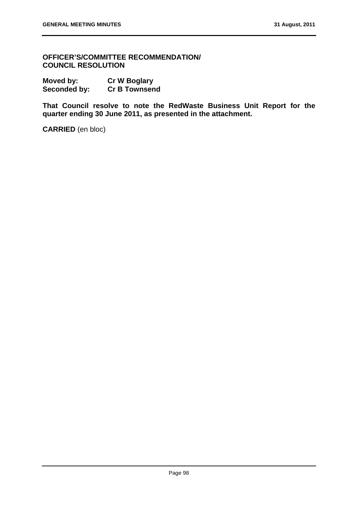**OFFICER'S/COMMITTEE RECOMMENDATION/ COUNCIL RESOLUTION** 

**Moved by:** Cr W Boglary<br> **Seconded by:** Cr B Townsend **Seconded by:** 

**That Council resolve to note the RedWaste Business Unit Report for the quarter ending 30 June 2011, as presented in the attachment.** 

**CARRIED** (en bloc)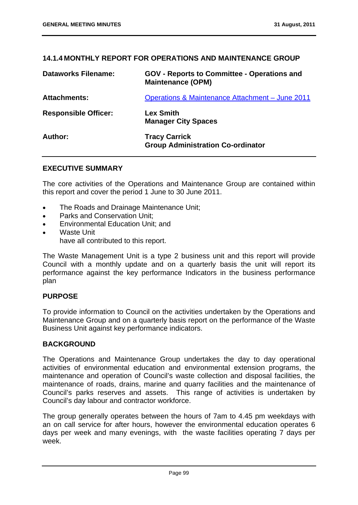## **14.1.4 MONTHLY REPORT FOR OPERATIONS AND MAINTENANCE GROUP**

| <b>Dataworks Filename:</b>  | <b>GOV - Reports to Committee - Operations and</b><br><b>Maintenance (OPM)</b> |
|-----------------------------|--------------------------------------------------------------------------------|
| <b>Attachments:</b>         | Operations & Maintenance Attachment - June 2011                                |
| <b>Responsible Officer:</b> | <b>Lex Smith</b><br><b>Manager City Spaces</b>                                 |
| Author:                     | <b>Tracy Carrick</b><br><b>Group Administration Co-ordinator</b>               |

## **EXECUTIVE SUMMARY**

The core activities of the Operations and Maintenance Group are contained within this report and cover the period 1 June to 30 June 2011.

- The Roads and Drainage Maintenance Unit;
- Parks and Conservation Unit;
- Environmental Education Unit; and
- Waste Unit have all contributed to this report.

The Waste Management Unit is a type 2 business unit and this report will provide Council with a monthly update and on a quarterly basis the unit will report its performance against the key performance Indicators in the business performance plan

# **PURPOSE**

To provide information to Council on the activities undertaken by the Operations and Maintenance Group and on a quarterly basis report on the performance of the Waste Business Unit against key performance indicators.

### **BACKGROUND**

The Operations and Maintenance Group undertakes the day to day operational activities of environmental education and environmental extension programs, the maintenance and operation of Council's waste collection and disposal facilities, the maintenance of roads, drains, marine and quarry facilities and the maintenance of Council's parks reserves and assets. This range of activities is undertaken by Council's day labour and contractor workforce.

The group generally operates between the hours of 7am to 4.45 pm weekdays with an on call service for after hours, however the environmental education operates 6 days per week and many evenings, with the waste facilities operating 7 days per week.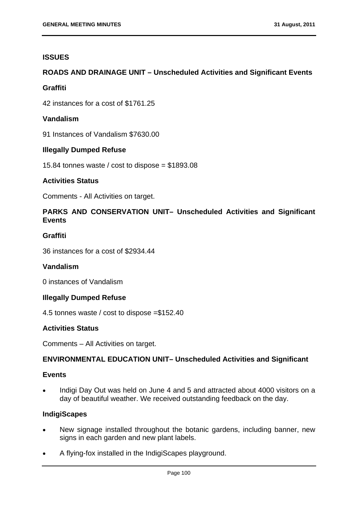## **ISSUES**

# **ROADS AND DRAINAGE UNIT – Unscheduled Activities and Significant Events**

## **Graffiti**

42 instances for a cost of \$1761.25

## **Vandalism**

91 Instances of Vandalism \$7630.00

# **Illegally Dumped Refuse**

15.84 tonnes waste / cost to dispose = \$1893.08

# **Activities Status**

Comments - All Activities on target.

# **PARKS AND CONSERVATION UNIT– Unscheduled Activities and Significant Events**

# **Graffiti**

36 instances for a cost of \$2934.44

### **Vandalism**

0 instances of Vandalism

### **Illegally Dumped Refuse**

4.5 tonnes waste / cost to dispose =\$152.40

## **Activities Status**

Comments – All Activities on target.

## **ENVIRONMENTAL EDUCATION UNIT– Unscheduled Activities and Significant**

## **Events**

 Indigi Day Out was held on June 4 and 5 and attracted about 4000 visitors on a day of beautiful weather. We received outstanding feedback on the day.

### **IndigiScapes**

- New signage installed throughout the botanic gardens, including banner, new signs in each garden and new plant labels.
- A flying-fox installed in the IndigiScapes playground.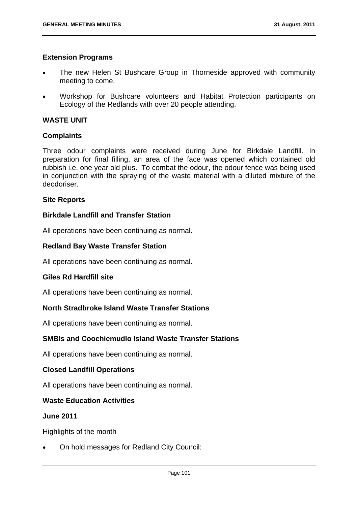## **Extension Programs**

- The new Helen St Bushcare Group in Thorneside approved with community meeting to come.
- Workshop for Bushcare volunteers and Habitat Protection participants on Ecology of the Redlands with over 20 people attending.

# **WASTE UNIT**

## **Complaints**

Three odour complaints were received during June for Birkdale Landfill. In preparation for final filling, an area of the face was opened which contained old rubbish i.e. one year old plus. To combat the odour, the odour fence was being used in conjunction with the spraying of the waste material with a diluted mixture of the deodoriser.

## **Site Reports**

# **Birkdale Landfill and Transfer Station**

All operations have been continuing as normal.

## **Redland Bay Waste Transfer Station**

All operations have been continuing as normal.

### **Giles Rd Hardfill site**

All operations have been continuing as normal.

# **North Stradbroke Island Waste Transfer Stations**

All operations have been continuing as normal.

# **SMBIs and Coochiemudlo Island Waste Transfer Stations**

All operations have been continuing as normal.

# **Closed Landfill Operations**

All operations have been continuing as normal.

### **Waste Education Activities**

## **June 2011**

### Highlights of the month

On hold messages for Redland City Council: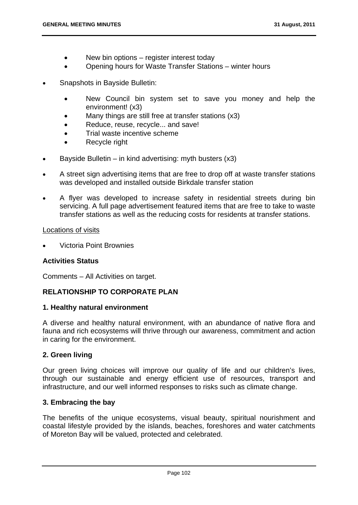- New bin options register interest today
- Opening hours for Waste Transfer Stations winter hours
- Snapshots in Bayside Bulletin:
	- New Council bin system set to save you money and help the environment! (x3)
	- Many things are still free at transfer stations (x3)
	- Reduce, reuse, recycle... and save!
	- Trial waste incentive scheme
	- Recycle right
- Bayside Bulletin in kind advertising: myth busters  $(x3)$
- A street sign advertising items that are free to drop off at waste transfer stations was developed and installed outside Birkdale transfer station
- A flyer was developed to increase safety in residential streets during bin servicing. A full page advertisement featured items that are free to take to waste transfer stations as well as the reducing costs for residents at transfer stations.

#### Locations of visits

Victoria Point Brownies

### **Activities Status**

Comments – All Activities on target.

# **RELATIONSHIP TO CORPORATE PLAN**

### **1. Healthy natural environment**

A diverse and healthy natural environment, with an abundance of native flora and fauna and rich ecosystems will thrive through our awareness, commitment and action in caring for the environment.

### **2. Green living**

Our green living choices will improve our quality of life and our children's lives, through our sustainable and energy efficient use of resources, transport and infrastructure, and our well informed responses to risks such as climate change.

### **3. Embracing the bay**

The benefits of the unique ecosystems, visual beauty, spiritual nourishment and coastal lifestyle provided by the islands, beaches, foreshores and water catchments of Moreton Bay will be valued, protected and celebrated.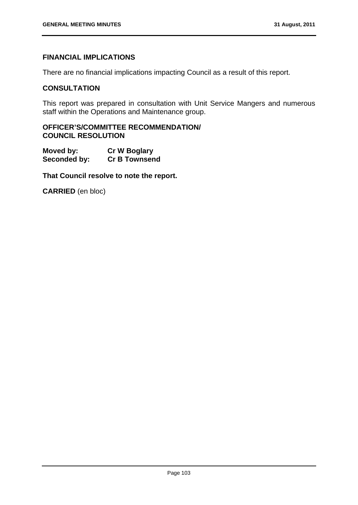# **FINANCIAL IMPLICATIONS**

There are no financial implications impacting Council as a result of this report.

## **CONSULTATION**

This report was prepared in consultation with Unit Service Mangers and numerous staff within the Operations and Maintenance group.

## **OFFICER'S/COMMITTEE RECOMMENDATION/ COUNCIL RESOLUTION**

| Moved by:    | <b>Cr W Boglary</b>  |
|--------------|----------------------|
| Seconded by: | <b>Cr B Townsend</b> |

**That Council resolve to note the report.**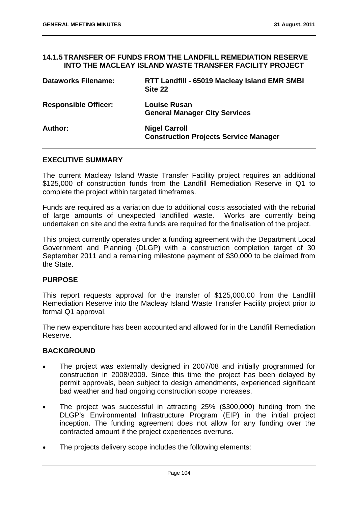#### **14.1.5 TRANSFER OF FUNDS FROM THE LANDFILL REMEDIATION RESERVE INTO THE MACLEAY ISLAND WASTE TRANSFER FACILITY PROJECT**

| <b>Dataworks Filename:</b>  | RTT Landfill - 65019 Macleay Island EMR SMBI<br>Site 22              |
|-----------------------------|----------------------------------------------------------------------|
| <b>Responsible Officer:</b> | <b>Louise Rusan</b><br><b>General Manager City Services</b>          |
| Author:                     | <b>Nigel Carroll</b><br><b>Construction Projects Service Manager</b> |

### **EXECUTIVE SUMMARY**

The current Macleay Island Waste Transfer Facility project requires an additional \$125,000 of construction funds from the Landfill Remediation Reserve in Q1 to complete the project within targeted timeframes.

Funds are required as a variation due to additional costs associated with the reburial of large amounts of unexpected landfilled waste. Works are currently being undertaken on site and the extra funds are required for the finalisation of the project.

This project currently operates under a funding agreement with the Department Local Government and Planning (DLGP) with a construction completion target of 30 September 2011 and a remaining milestone payment of \$30,000 to be claimed from the State.

# **PURPOSE**

This report requests approval for the transfer of \$125,000.00 from the Landfill Remediation Reserve into the Macleay Island Waste Transfer Facility project prior to formal Q1 approval.

The new expenditure has been accounted and allowed for in the Landfill Remediation Reserve.

# **BACKGROUND**

- The project was externally designed in 2007/08 and initially programmed for construction in 2008/2009. Since this time the project has been delayed by permit approvals, been subject to design amendments, experienced significant bad weather and had ongoing construction scope increases.
- The project was successful in attracting 25% (\$300,000) funding from the DLGP's Environmental Infrastructure Program (EIP) in the initial project inception. The funding agreement does not allow for any funding over the contracted amount if the project experiences overruns.
- The projects delivery scope includes the following elements: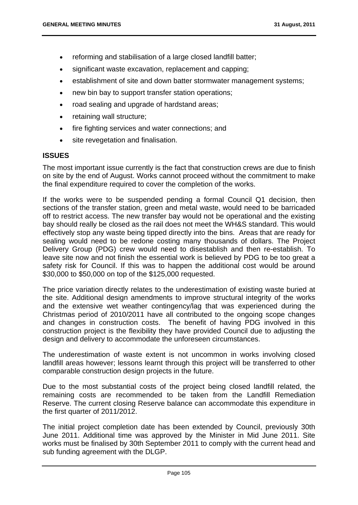- reforming and stabilisation of a large closed landfill batter;
- significant waste excavation, replacement and capping;
- establishment of site and down batter stormwater management systems;
- new bin bay to support transfer station operations;
- road sealing and upgrade of hardstand areas;
- retaining wall structure;
- fire fighting services and water connections; and
- site revegetation and finalisation.

## **ISSUES**

The most important issue currently is the fact that construction crews are due to finish on site by the end of August. Works cannot proceed without the commitment to make the final expenditure required to cover the completion of the works.

If the works were to be suspended pending a formal Council Q1 decision, then sections of the transfer station, green and metal waste, would need to be barricaded off to restrict access. The new transfer bay would not be operational and the existing bay should really be closed as the rail does not meet the WH&S standard. This would effectively stop any waste being tipped directly into the bins. Areas that are ready for sealing would need to be redone costing many thousands of dollars. The Project Delivery Group (PDG) crew would need to disestablish and then re-establish. To leave site now and not finish the essential work is believed by PDG to be too great a safety risk for Council. If this was to happen the additional cost would be around \$30,000 to \$50,000 on top of the \$125,000 requested.

The price variation directly relates to the underestimation of existing waste buried at the site. Additional design amendments to improve structural integrity of the works and the extensive wet weather contingency/lag that was experienced during the Christmas period of 2010/2011 have all contributed to the ongoing scope changes and changes in construction costs. The benefit of having PDG involved in this construction project is the flexibility they have provided Council due to adjusting the design and delivery to accommodate the unforeseen circumstances.

The underestimation of waste extent is not uncommon in works involving closed landfill areas however; lessons learnt through this project will be transferred to other comparable construction design projects in the future.

Due to the most substantial costs of the project being closed landfill related, the remaining costs are recommended to be taken from the Landfill Remediation Reserve. The current closing Reserve balance can accommodate this expenditure in the first quarter of 2011/2012.

The initial project completion date has been extended by Council, previously 30th June 2011. Additional time was approved by the Minister in Mid June 2011. Site works must be finalised by 30th September 2011 to comply with the current head and sub funding agreement with the DLGP.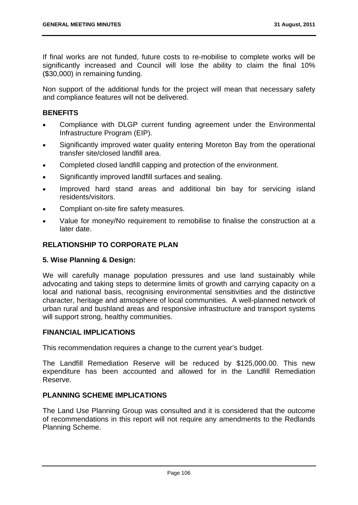If final works are not funded, future costs to re-mobilise to complete works will be significantly increased and Council will lose the ability to claim the final 10% (\$30,000) in remaining funding.

Non support of the additional funds for the project will mean that necessary safety and compliance features will not be delivered.

## **BENEFITS**

- Compliance with DLGP current funding agreement under the Environmental Infrastructure Program (EIP).
- Significantly improved water quality entering Moreton Bay from the operational transfer site/closed landfill area.
- Completed closed landfill capping and protection of the environment.
- Significantly improved landfill surfaces and sealing.
- Improved hard stand areas and additional bin bay for servicing island residents/visitors.
- Compliant on-site fire safety measures.
- Value for money/No requirement to remobilise to finalise the construction at a later date.

## **RELATIONSHIP TO CORPORATE PLAN**

### **5. Wise Planning & Design:**

We will carefully manage population pressures and use land sustainably while advocating and taking steps to determine limits of growth and carrying capacity on a local and national basis, recognising environmental sensitivities and the distinctive character, heritage and atmosphere of local communities. A well-planned network of urban rural and bushland areas and responsive infrastructure and transport systems will support strong, healthy communities.

# **FINANCIAL IMPLICATIONS**

This recommendation requires a change to the current year's budget.

The Landfill Remediation Reserve will be reduced by \$125,000.00. This new expenditure has been accounted and allowed for in the Landfill Remediation Reserve.

### **PLANNING SCHEME IMPLICATIONS**

The Land Use Planning Group was consulted and it is considered that the outcome of recommendations in this report will not require any amendments to the Redlands Planning Scheme.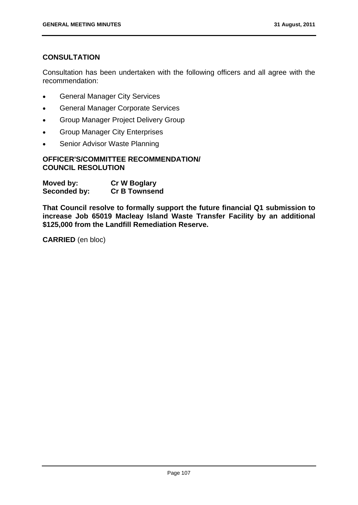# **CONSULTATION**

Consultation has been undertaken with the following officers and all agree with the recommendation:

- General Manager City Services
- General Manager Corporate Services
- Group Manager Project Delivery Group
- Group Manager City Enterprises
- Senior Advisor Waste Planning

# **OFFICER'S/COMMITTEE RECOMMENDATION/ COUNCIL RESOLUTION**

| Moved by:    | <b>Cr W Boglary</b>  |
|--------------|----------------------|
| Seconded by: | <b>Cr B Townsend</b> |

**That Council resolve to formally support the future financial Q1 submission to increase Job 65019 Macleay Island Waste Transfer Facility by an additional \$125,000 from the Landfill Remediation Reserve.**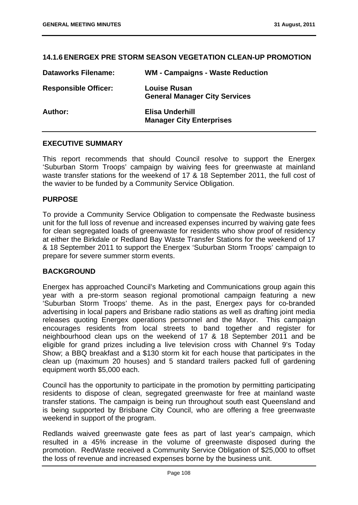## **14.1.6 ENERGEX PRE STORM SEASON VEGETATION CLEAN-UP PROMOTION**

| <b>Dataworks Filename:</b>  | <b>WM - Campaigns - Waste Reduction</b>                     |
|-----------------------------|-------------------------------------------------------------|
| <b>Responsible Officer:</b> | <b>Louise Rusan</b><br><b>General Manager City Services</b> |
| Author:                     | Elisa Underhill<br><b>Manager City Enterprises</b>          |

### **EXECUTIVE SUMMARY**

This report recommends that should Council resolve to support the Energex 'Suburban Storm Troops' campaign by waiving fees for greenwaste at mainland waste transfer stations for the weekend of 17 & 18 September 2011, the full cost of the wavier to be funded by a Community Service Obligation.

## **PURPOSE**

To provide a Community Service Obligation to compensate the Redwaste business unit for the full loss of revenue and increased expenses incurred by waiving gate fees for clean segregated loads of greenwaste for residents who show proof of residency at either the Birkdale or Redland Bay Waste Transfer Stations for the weekend of 17 & 18 September 2011 to support the Energex 'Suburban Storm Troops' campaign to prepare for severe summer storm events.

# **BACKGROUND**

Energex has approached Council's Marketing and Communications group again this year with a pre-storm season regional promotional campaign featuring a new 'Suburban Storm Troops' theme. As in the past, Energex pays for co-branded advertising in local papers and Brisbane radio stations as well as drafting joint media releases quoting Energex operations personnel and the Mayor. This campaign encourages residents from local streets to band together and register for neighbourhood clean ups on the weekend of 17 & 18 September 2011 and be eligible for grand prizes including a live television cross with Channel 9's Today Show; a BBQ breakfast and a \$130 storm kit for each house that participates in the clean up (maximum 20 houses) and 5 standard trailers packed full of gardening equipment worth \$5,000 each.

Council has the opportunity to participate in the promotion by permitting participating residents to dispose of clean, segregated greenwaste for free at mainland waste transfer stations. The campaign is being run throughout south east Queensland and is being supported by Brisbane City Council, who are offering a free greenwaste weekend in support of the program.

Redlands waived greenwaste gate fees as part of last year's campaign, which resulted in a 45% increase in the volume of greenwaste disposed during the promotion. RedWaste received a Community Service Obligation of \$25,000 to offset the loss of revenue and increased expenses borne by the business unit.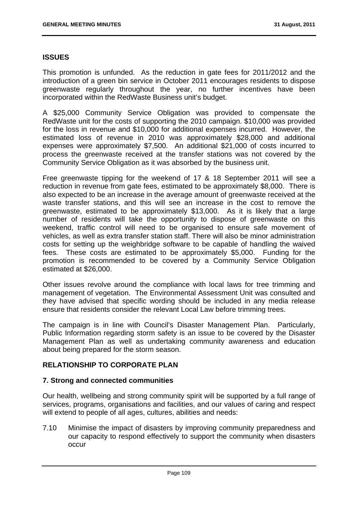## **ISSUES**

This promotion is unfunded. As the reduction in gate fees for 2011/2012 and the introduction of a green bin service in October 2011 encourages residents to dispose greenwaste regularly throughout the year, no further incentives have been incorporated within the RedWaste Business unit's budget.

A \$25,000 Community Service Obligation was provided to compensate the RedWaste unit for the costs of supporting the 2010 campaign. \$10,000 was provided for the loss in revenue and \$10,000 for additional expenses incurred. However, the estimated loss of revenue in 2010 was approximately \$28,000 and additional expenses were approximately \$7,500. An additional \$21,000 of costs incurred to process the greenwaste received at the transfer stations was not covered by the Community Service Obligation as it was absorbed by the business unit.

Free greenwaste tipping for the weekend of 17 & 18 September 2011 will see a reduction in revenue from gate fees, estimated to be approximately \$8,000. There is also expected to be an increase in the average amount of greenwaste received at the waste transfer stations, and this will see an increase in the cost to remove the greenwaste, estimated to be approximately \$13,000. As it is likely that a large number of residents will take the opportunity to dispose of greenwaste on this weekend, traffic control will need to be organised to ensure safe movement of vehicles, as well as extra transfer station staff. There will also be minor administration costs for setting up the weighbridge software to be capable of handling the waived fees. These costs are estimated to be approximately \$5,000. Funding for the promotion is recommended to be covered by a Community Service Obligation estimated at \$26,000.

Other issues revolve around the compliance with local laws for tree trimming and management of vegetation. The Environmental Assessment Unit was consulted and they have advised that specific wording should be included in any media release ensure that residents consider the relevant Local Law before trimming trees.

The campaign is in line with Council's Disaster Management Plan. Particularly, Public Information regarding storm safety is an issue to be covered by the Disaster Management Plan as well as undertaking community awareness and education about being prepared for the storm season.

## **RELATIONSHIP TO CORPORATE PLAN**

### **7. Strong and connected communities**

Our health, wellbeing and strong community spirit will be supported by a full range of services, programs, organisations and facilities, and our values of caring and respect will extend to people of all ages, cultures, abilities and needs:

7.10 Minimise the impact of disasters by improving community preparedness and our capacity to respond effectively to support the community when disasters occur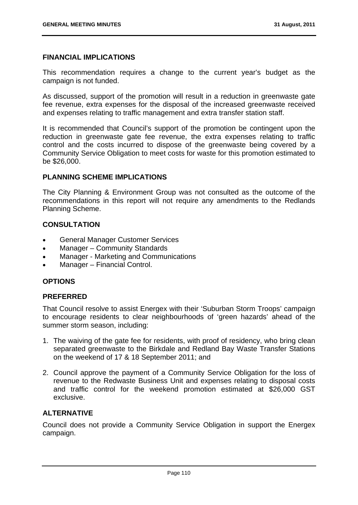### **FINANCIAL IMPLICATIONS**

This recommendation requires a change to the current year's budget as the campaign is not funded.

As discussed, support of the promotion will result in a reduction in greenwaste gate fee revenue, extra expenses for the disposal of the increased greenwaste received and expenses relating to traffic management and extra transfer station staff.

It is recommended that Council's support of the promotion be contingent upon the reduction in greenwaste gate fee revenue, the extra expenses relating to traffic control and the costs incurred to dispose of the greenwaste being covered by a Community Service Obligation to meet costs for waste for this promotion estimated to be \$26,000.

# **PLANNING SCHEME IMPLICATIONS**

The City Planning & Environment Group was not consulted as the outcome of the recommendations in this report will not require any amendments to the Redlands Planning Scheme.

# **CONSULTATION**

- General Manager Customer Services
- Manager Community Standards
- Manager Marketing and Communications
- Manager Financial Control.

# **OPTIONS**

# **PREFERRED**

That Council resolve to assist Energex with their 'Suburban Storm Troops' campaign to encourage residents to clear neighbourhoods of 'green hazards' ahead of the summer storm season, including:

- 1. The waiving of the gate fee for residents, with proof of residency, who bring clean separated greenwaste to the Birkdale and Redland Bay Waste Transfer Stations on the weekend of 17 & 18 September 2011; and
- 2. Council approve the payment of a Community Service Obligation for the loss of revenue to the Redwaste Business Unit and expenses relating to disposal costs and traffic control for the weekend promotion estimated at \$26,000 GST exclusive.

# **ALTERNATIVE**

Council does not provide a Community Service Obligation in support the Energex campaign.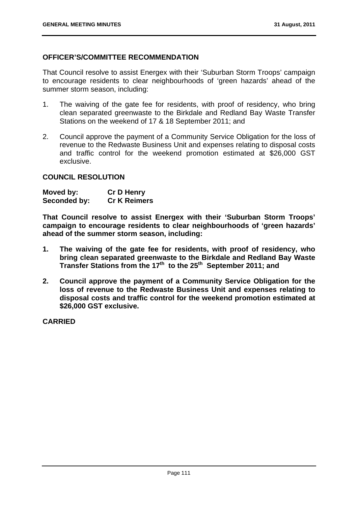## **OFFICER'S/COMMITTEE RECOMMENDATION**

That Council resolve to assist Energex with their 'Suburban Storm Troops' campaign to encourage residents to clear neighbourhoods of 'green hazards' ahead of the summer storm season, including:

- 1. The waiving of the gate fee for residents, with proof of residency, who bring clean separated greenwaste to the Birkdale and Redland Bay Waste Transfer Stations on the weekend of 17 & 18 September 2011; and
- 2. Council approve the payment of a Community Service Obligation for the loss of revenue to the Redwaste Business Unit and expenses relating to disposal costs and traffic control for the weekend promotion estimated at \$26,000 GST exclusive.

## **COUNCIL RESOLUTION**

| Moved by:    | <b>Cr D Henry</b>   |
|--------------|---------------------|
| Seconded by: | <b>Cr K Reimers</b> |

**That Council resolve to assist Energex with their 'Suburban Storm Troops' campaign to encourage residents to clear neighbourhoods of 'green hazards' ahead of the summer storm season, including:**

- **1. The waiving of the gate fee for residents, with proof of residency, who bring clean separated greenwaste to the Birkdale and Redland Bay Waste Transfer Stations from the 17th to the 25th September 2011; and**
- **2. Council approve the payment of a Community Service Obligation for the loss of revenue to the Redwaste Business Unit and expenses relating to disposal costs and traffic control for the weekend promotion estimated at \$26,000 GST exclusive.**

**CARRIED**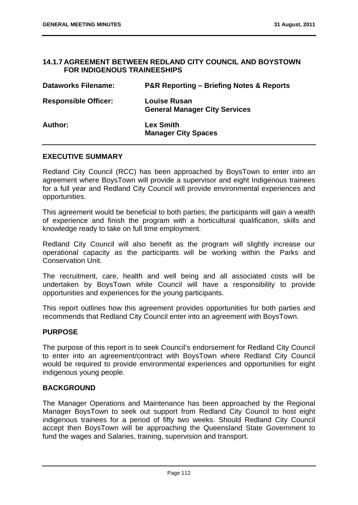## **14.1.7 AGREEMENT BETWEEN REDLAND CITY COUNCIL AND BOYSTOWN FOR INDIGENOUS TRAINEESHIPS**

| <b>Dataworks Filename:</b>  | <b>P&amp;R Reporting – Briefing Notes &amp; Reports</b>     |
|-----------------------------|-------------------------------------------------------------|
| <b>Responsible Officer:</b> | <b>Louise Rusan</b><br><b>General Manager City Services</b> |
| <b>Author:</b>              | <b>Lex Smith</b><br><b>Manager City Spaces</b>              |

## **EXECUTIVE SUMMARY**

Redland City Council (RCC) has been approached by BoysTown to enter into an agreement where BoysTown will provide a supervisor and eight Indigenous trainees for a full year and Redland City Council will provide environmental experiences and opportunities.

This agreement would be beneficial to both parties; the participants will gain a wealth of experience and finish the program with a horticultural qualification, skills and knowledge ready to take on full time employment.

Redland City Council will also benefit as the program will slightly increase our operational capacity as the participants will be working within the Parks and Conservation Unit.

The recruitment, care, health and well being and all associated costs will be undertaken by BoysTown while Council will have a responsibility to provide opportunities and experiences for the young participants.

This report outlines how this agreement provides opportunities for both parties and recommends that Redland City Council enter into an agreement with BoysTown.

### **PURPOSE**

The purpose of this report is to seek Council's endorsement for Redland City Council to enter into an agreement/contract with BoysTown where Redland City Council would be required to provide environmental experiences and opportunities for eight indigenous young people.

### **BACKGROUND**

The Manager Operations and Maintenance has been approached by the Regional Manager BoysTown to seek out support from Redland City Council to host eight indigenous trainees for a period of fifty two weeks. Should Redland City Council accept then BoysTown will be approaching the Queensland State Government to fund the wages and Salaries, training, supervision and transport.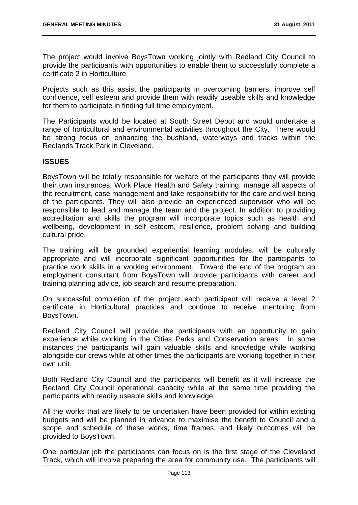The project would involve BoysTown working jointly with Redland City Council to provide the participants with opportunities to enable them to successfully complete a certificate 2 in Horticulture.

Projects such as this assist the participants in overcoming barriers, improve self confidence, self esteem and provide them with readily useable skills and knowledge for them to participate in finding full time employment.

The Participants would be located at South Street Depot and would undertake a range of horticultural and environmental activities throughout the City. There would be strong focus on enhancing the bushland, waterways and tracks within the Redlands Track Park in Cleveland.

# **ISSUES**

BoysTown will be totally responsible for welfare of the participants they will provide their own insurances, Work Place Health and Safety training, manage all aspects of the recruitment, case management and take responsibility for the care and well being of the participants. They will also provide an experienced supervisor who will be responsible to lead and manage the team and the project. In addition to providing accreditation and skills the program will incorporate topics such as health and wellbeing, development in self esteem, resilience, problem solving and building cultural pride.

The training will be grounded experiential learning modules, will be culturally appropriate and will incorporate significant opportunities for the participants to practice work skills in a working environment. Toward the end of the program an employment consultant from BoysTown will provide participants with career and training planning advice, job search and resume preparation.

On successful completion of the project each participant will receive a level 2 certificate in Horticultural practices and continue to receive mentoring from BoysTown.

Redland City Council will provide the participants with an opportunity to gain experience while working in the Cities Parks and Conservation areas. In some instances the participants will gain valuable skills and knowledge while working alongside our crews while at other times the participants are working together in their own unit.

Both Redland City Council and the participants will benefit as it will increase the Redland City Council operational capacity while at the same time providing the participants with readily useable skills and knowledge.

All the works that are likely to be undertaken have been provided for within existing budgets and will be planned in advance to maximise the benefit to Council and a scope and schedule of these works, time frames, and likely outcomes will be provided to BoysTown.

One particular job the participants can focus on is the first stage of the Cleveland Track, which will involve preparing the area for community use. The participants will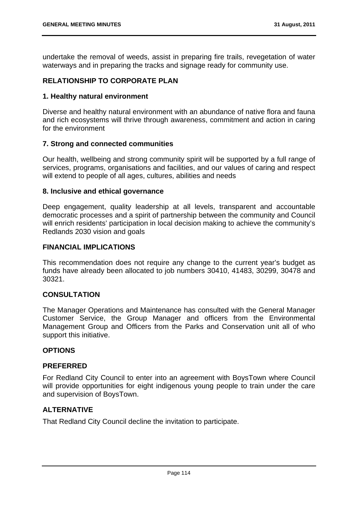undertake the removal of weeds, assist in preparing fire trails, revegetation of water waterways and in preparing the tracks and signage ready for community use.

# **RELATIONSHIP TO CORPORATE PLAN**

## **1. Healthy natural environment**

Diverse and healthy natural environment with an abundance of native flora and fauna and rich ecosystems will thrive through awareness, commitment and action in caring for the environment

## **7. Strong and connected communities**

Our health, wellbeing and strong community spirit will be supported by a full range of services, programs, organisations and facilities, and our values of caring and respect will extend to people of all ages, cultures, abilities and needs

## **8. Inclusive and ethical governance**

Deep engagement, quality leadership at all levels, transparent and accountable democratic processes and a spirit of partnership between the community and Council will enrich residents' participation in local decision making to achieve the community's Redlands 2030 vision and goals

# **FINANCIAL IMPLICATIONS**

This recommendation does not require any change to the current year's budget as funds have already been allocated to job numbers 30410, 41483, 30299, 30478 and 30321.

# **CONSULTATION**

The Manager Operations and Maintenance has consulted with the General Manager Customer Service, the Group Manager and officers from the Environmental Management Group and Officers from the Parks and Conservation unit all of who support this initiative.

# **OPTIONS**

### **PREFERRED**

For Redland City Council to enter into an agreement with BoysTown where Council will provide opportunities for eight indigenous young people to train under the care and supervision of BoysTown.

# **ALTERNATIVE**

That Redland City Council decline the invitation to participate.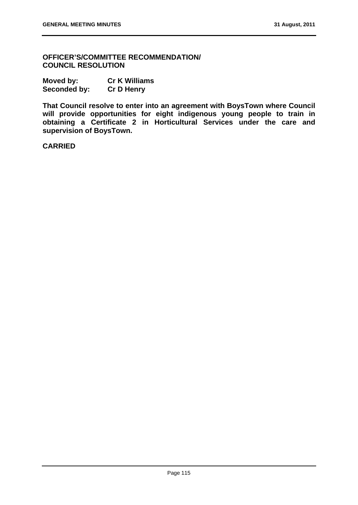**OFFICER'S/COMMITTEE RECOMMENDATION/ COUNCIL RESOLUTION** 

| Moved by:    | <b>Cr K Williams</b> |
|--------------|----------------------|
| Seconded by: | <b>Cr D Henry</b>    |

**That Council resolve to enter into an agreement with BoysTown where Council will provide opportunities for eight indigenous young people to train in obtaining a Certificate 2 in Horticultural Services under the care and supervision of BoysTown.** 

**CARRIED**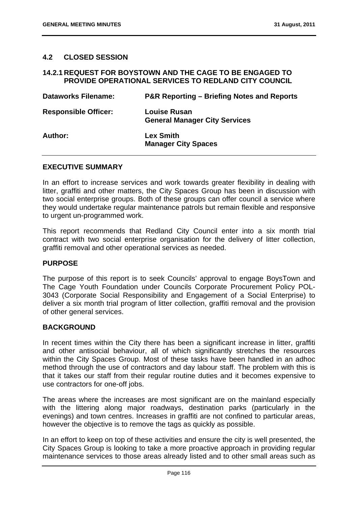# **4.2 CLOSED SESSION**

### **14.2.1 REQUEST FOR BOYSTOWN AND THE CAGE TO BE ENGAGED TO PROVIDE OPERATIONAL SERVICES TO REDLAND CITY COUNCIL**

| <b>Dataworks Filename:</b>  | <b>P&amp;R Reporting – Briefing Notes and Reports</b>       |
|-----------------------------|-------------------------------------------------------------|
| <b>Responsible Officer:</b> | <b>Louise Rusan</b><br><b>General Manager City Services</b> |
| Author:                     | <b>Lex Smith</b><br><b>Manager City Spaces</b>              |

### **EXECUTIVE SUMMARY**

In an effort to increase services and work towards greater flexibility in dealing with litter, graffiti and other matters, the City Spaces Group has been in discussion with two social enterprise groups. Both of these groups can offer council a service where they would undertake regular maintenance patrols but remain flexible and responsive to urgent un-programmed work.

This report recommends that Redland City Council enter into a six month trial contract with two social enterprise organisation for the delivery of litter collection, graffiti removal and other operational services as needed.

### **PURPOSE**

The purpose of this report is to seek Councils' approval to engage BoysTown and The Cage Youth Foundation under Councils Corporate Procurement Policy POL-3043 (Corporate Social Responsibility and Engagement of a Social Enterprise) to deliver a six month trial program of litter collection, graffiti removal and the provision of other general services.

### **BACKGROUND**

In recent times within the City there has been a significant increase in litter, graffiti and other antisocial behaviour, all of which significantly stretches the resources within the City Spaces Group. Most of these tasks have been handled in an adhoc method through the use of contractors and day labour staff. The problem with this is that it takes our staff from their regular routine duties and it becomes expensive to use contractors for one-off jobs.

The areas where the increases are most significant are on the mainland especially with the littering along major roadways, destination parks (particularly in the evenings) and town centres. Increases in graffiti are not confined to particular areas, however the objective is to remove the tags as quickly as possible.

In an effort to keep on top of these activities and ensure the city is well presented, the City Spaces Group is looking to take a more proactive approach in providing regular maintenance services to those areas already listed and to other small areas such as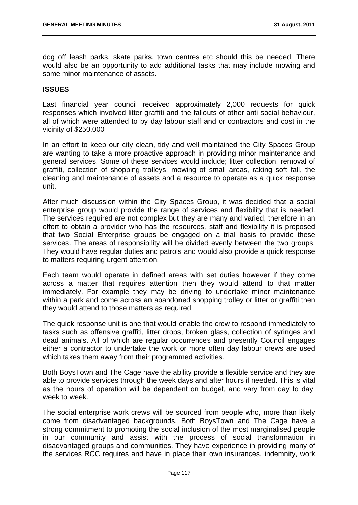dog off leash parks, skate parks, town centres etc should this be needed. There would also be an opportunity to add additional tasks that may include mowing and some minor maintenance of assets.

### **ISSUES**

Last financial year council received approximately 2,000 requests for quick responses which involved litter graffiti and the fallouts of other anti social behaviour, all of which were attended to by day labour staff and or contractors and cost in the vicinity of \$250,000

In an effort to keep our city clean, tidy and well maintained the City Spaces Group are wanting to take a more proactive approach in providing minor maintenance and general services. Some of these services would include; litter collection, removal of graffiti, collection of shopping trolleys, mowing of small areas, raking soft fall, the cleaning and maintenance of assets and a resource to operate as a quick response unit.

After much discussion within the City Spaces Group, it was decided that a social enterprise group would provide the range of services and flexibility that is needed. The services required are not complex but they are many and varied, therefore in an effort to obtain a provider who has the resources, staff and flexibility it is proposed that two Social Enterprise groups be engaged on a trial basis to provide these services. The areas of responsibility will be divided evenly between the two groups. They would have regular duties and patrols and would also provide a quick response to matters requiring urgent attention.

Each team would operate in defined areas with set duties however if they come across a matter that requires attention then they would attend to that matter immediately. For example they may be driving to undertake minor maintenance within a park and come across an abandoned shopping trolley or litter or graffiti then they would attend to those matters as required

The quick response unit is one that would enable the crew to respond immediately to tasks such as offensive graffiti, litter drops, broken glass, collection of syringes and dead animals. All of which are regular occurrences and presently Council engages either a contractor to undertake the work or more often day labour crews are used which takes them away from their programmed activities.

Both BoysTown and The Cage have the ability provide a flexible service and they are able to provide services through the week days and after hours if needed. This is vital as the hours of operation will be dependent on budget, and vary from day to day, week to week.

The social enterprise work crews will be sourced from people who, more than likely come from disadvantaged backgrounds. Both BoysTown and The Cage have a strong commitment to promoting the social inclusion of the most marginalised people in our community and assist with the process of social transformation in disadvantaged groups and communities. They have experience in providing many of the services RCC requires and have in place their own insurances, indemnity, work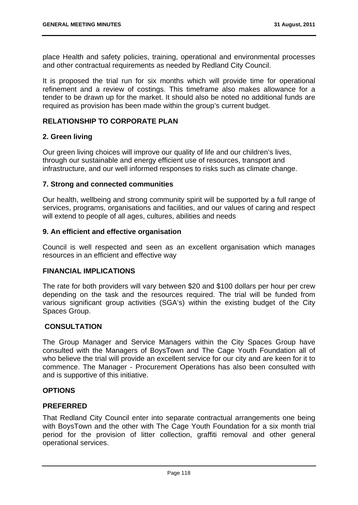place Health and safety policies, training, operational and environmental processes and other contractual requirements as needed by Redland City Council.

It is proposed the trial run for six months which will provide time for operational refinement and a review of costings. This timeframe also makes allowance for a tender to be drawn up for the market. It should also be noted no additional funds are required as provision has been made within the group's current budget.

## **RELATIONSHIP TO CORPORATE PLAN**

## **2. Green living**

Our green living choices will improve our quality of life and our children's lives, through our sustainable and energy efficient use of resources, transport and infrastructure, and our well informed responses to risks such as climate change.

## **7. Strong and connected communities**

Our health, wellbeing and strong community spirit will be supported by a full range of services, programs, organisations and facilities, and our values of caring and respect will extend to people of all ages, cultures, abilities and needs

### **9. An efficient and effective organisation**

Council is well respected and seen as an excellent organisation which manages resources in an efficient and effective way

### **FINANCIAL IMPLICATIONS**

The rate for both providers will vary between \$20 and \$100 dollars per hour per crew depending on the task and the resources required. The trial will be funded from various significant group activities (SGA's) within the existing budget of the City Spaces Group.

### **CONSULTATION**

The Group Manager and Service Managers within the City Spaces Group have consulted with the Managers of BoysTown and The Cage Youth Foundation all of who believe the trial will provide an excellent service for our city and are keen for it to commence. The Manager - Procurement Operations has also been consulted with and is supportive of this initiative.

### **OPTIONS**

### **PREFERRED**

That Redland City Council enter into separate contractual arrangements one being with BoysTown and the other with The Cage Youth Foundation for a six month trial period for the provision of litter collection, graffiti removal and other general operational services.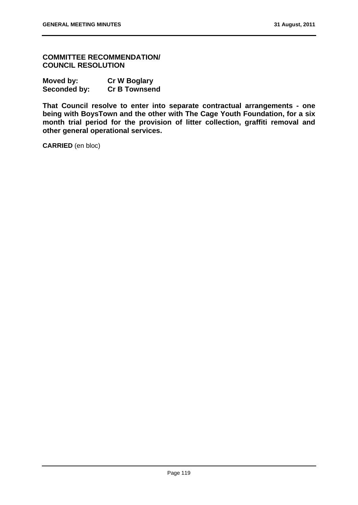**COMMITTEE RECOMMENDATION/ COUNCIL RESOLUTION** 

| Moved by:    | <b>Cr W Boglary</b>  |
|--------------|----------------------|
| Seconded by: | <b>Cr B Townsend</b> |

**That Council resolve to enter into separate contractual arrangements - one being with BoysTown and the other with The Cage Youth Foundation, for a six month trial period for the provision of litter collection, graffiti removal and other general operational services.**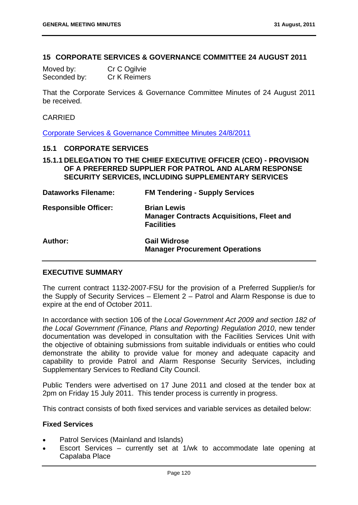### **15 CORPORATE SERVICES & GOVERNANCE COMMITTEE 24 AUGUST 2011**

| Moved by:    | Cr C Ogilvie |
|--------------|--------------|
| Seconded by: | Cr K Reimers |

That the Corporate Services & Governance Committee Minutes of 24 August 2011 be received.

# CARRIED

Corporate Services & Governance Committee Minutes 24/8/2011

#### **15.1 CORPORATE SERVICES**

**15.1.1 DELEGATION TO THE CHIEF EXECUTIVE OFFICER (CEO) - PROVISION OF A PREFERRED SUPPLIER FOR PATROL AND ALARM RESPONSE SECURITY SERVICES, INCLUDING SUPPLEMENTARY SERVICES** 

| <b>Dataworks Filename:</b>  | <b>FM Tendering - Supply Services</b>                                                       |
|-----------------------------|---------------------------------------------------------------------------------------------|
| <b>Responsible Officer:</b> | <b>Brian Lewis</b><br><b>Manager Contracts Acquisitions, Fleet and</b><br><b>Facilities</b> |
| Author:                     | <b>Gail Widrose</b><br><b>Manager Procurement Operations</b>                                |

### **EXECUTIVE SUMMARY**

The current contract 1132-2007-FSU for the provision of a Preferred Supplier/s for the Supply of Security Services – Element 2 – Patrol and Alarm Response is due to expire at the end of October 2011.

In accordance with section 106 of the *Local Government Act 2009 and section 182 of the Local Government (Finance, Plans and Reporting) Regulation 2010*, new tender documentation was developed in consultation with the Facilities Services Unit with the objective of obtaining submissions from suitable individuals or entities who could demonstrate the ability to provide value for money and adequate capacity and capability to provide Patrol and Alarm Response Security Services, including Supplementary Services to Redland City Council.

Public Tenders were advertised on 17 June 2011 and closed at the tender box at 2pm on Friday 15 July 2011. This tender process is currently in progress.

This contract consists of both fixed services and variable services as detailed below:

## **Fixed Services**

- Patrol Services (Mainland and Islands)
- Escort Services currently set at 1/wk to accommodate late opening at Capalaba Place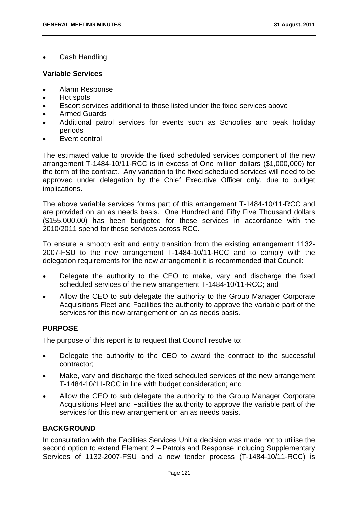Cash Handling

### **Variable Services**

- Alarm Response
- Hot spots
- Escort services additional to those listed under the fixed services above
- Armed Guards
- Additional patrol services for events such as Schoolies and peak holiday periods
- Event control

The estimated value to provide the fixed scheduled services component of the new arrangement T-1484-10/11-RCC is in excess of One million dollars (\$1,000,000) for the term of the contract. Any variation to the fixed scheduled services will need to be approved under delegation by the Chief Executive Officer only, due to budget implications.

The above variable services forms part of this arrangement T-1484-10/11-RCC and are provided on an as needs basis. One Hundred and Fifty Five Thousand dollars (\$155,000.00) has been budgeted for these services in accordance with the 2010/2011 spend for these services across RCC.

To ensure a smooth exit and entry transition from the existing arrangement 1132- 2007-FSU to the new arrangement T-1484-10/11-RCC and to comply with the delegation requirements for the new arrangement it is recommended that Council:

- Delegate the authority to the CEO to make, vary and discharge the fixed scheduled services of the new arrangement T-1484-10/11-RCC; and
- Allow the CEO to sub delegate the authority to the Group Manager Corporate Acquisitions Fleet and Facilities the authority to approve the variable part of the services for this new arrangement on an as needs basis.

# **PURPOSE**

The purpose of this report is to request that Council resolve to:

- Delegate the authority to the CEO to award the contract to the successful contractor;
- Make, vary and discharge the fixed scheduled services of the new arrangement T-1484-10/11-RCC in line with budget consideration; and
- Allow the CEO to sub delegate the authority to the Group Manager Corporate Acquisitions Fleet and Facilities the authority to approve the variable part of the services for this new arrangement on an as needs basis.

# **BACKGROUND**

In consultation with the Facilities Services Unit a decision was made not to utilise the second option to extend Element 2 – Patrols and Response including Supplementary Services of 1132-2007-FSU and a new tender process (T-1484-10/11-RCC) is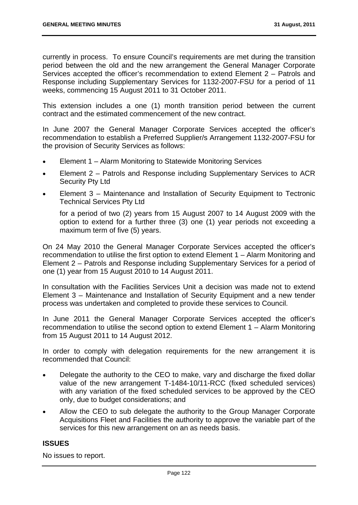currently in process. To ensure Council's requirements are met during the transition period between the old and the new arrangement the General Manager Corporate Services accepted the officer's recommendation to extend Element 2 – Patrols and Response including Supplementary Services for 1132-2007-FSU for a period of 11 weeks, commencing 15 August 2011 to 31 October 2011.

This extension includes a one (1) month transition period between the current contract and the estimated commencement of the new contract.

In June 2007 the General Manager Corporate Services accepted the officer's recommendation to establish a Preferred Supplier/s Arrangement 1132-2007-FSU for the provision of Security Services as follows:

- Element 1 Alarm Monitoring to Statewide Monitoring Services
- Element 2 Patrols and Response including Supplementary Services to ACR Security Pty Ltd
- Element 3 Maintenance and Installation of Security Equipment to Tectronic Technical Services Pty Ltd

for a period of two (2) years from 15 August 2007 to 14 August 2009 with the option to extend for a further three (3) one (1) year periods not exceeding a maximum term of five (5) years.

On 24 May 2010 the General Manager Corporate Services accepted the officer's recommendation to utilise the first option to extend Element 1 – Alarm Monitoring and Element 2 – Patrols and Response including Supplementary Services for a period of one (1) year from 15 August 2010 to 14 August 2011.

In consultation with the Facilities Services Unit a decision was made not to extend Element 3 – Maintenance and Installation of Security Equipment and a new tender process was undertaken and completed to provide these services to Council.

In June 2011 the General Manager Corporate Services accepted the officer's recommendation to utilise the second option to extend Element 1 – Alarm Monitoring from 15 August 2011 to 14 August 2012.

In order to comply with delegation requirements for the new arrangement it is recommended that Council:

- Delegate the authority to the CEO to make, vary and discharge the fixed dollar value of the new arrangement T-1484-10/11-RCC (fixed scheduled services) with any variation of the fixed scheduled services to be approved by the CEO only, due to budget considerations; and
- Allow the CEO to sub delegate the authority to the Group Manager Corporate Acquisitions Fleet and Facilities the authority to approve the variable part of the services for this new arrangement on an as needs basis.

# **ISSUES**

No issues to report.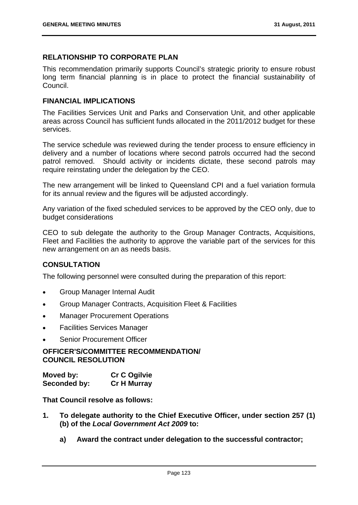# **RELATIONSHIP TO CORPORATE PLAN**

This recommendation primarily supports Council's strategic priority to ensure robust long term financial planning is in place to protect the financial sustainability of Council.

### **FINANCIAL IMPLICATIONS**

The Facilities Services Unit and Parks and Conservation Unit, and other applicable areas across Council has sufficient funds allocated in the 2011/2012 budget for these services.

The service schedule was reviewed during the tender process to ensure efficiency in delivery and a number of locations where second patrols occurred had the second patrol removed. Should activity or incidents dictate, these second patrols may require reinstating under the delegation by the CEO.

The new arrangement will be linked to Queensland CPI and a fuel variation formula for its annual review and the figures will be adjusted accordingly.

Any variation of the fixed scheduled services to be approved by the CEO only, due to budget considerations

CEO to sub delegate the authority to the Group Manager Contracts, Acquisitions, Fleet and Facilities the authority to approve the variable part of the services for this new arrangement on an as needs basis.

# **CONSULTATION**

The following personnel were consulted during the preparation of this report:

- Group Manager Internal Audit
- Group Manager Contracts, Acquisition Fleet & Facilities
- Manager Procurement Operations
- Facilities Services Manager
- Senior Procurement Officer

## **OFFICER'S/COMMITTEE RECOMMENDATION/ COUNCIL RESOLUTION**

| Moved by:    | <b>Cr C Ogilvie</b> |
|--------------|---------------------|
| Seconded by: | <b>Cr H Murray</b>  |

**That Council resolve as follows:** 

- **1. To delegate authority to the Chief Executive Officer, under section 257 (1) (b) of the** *Local Government Act 2009* **to:** 
	- **a) Award the contract under delegation to the successful contractor;**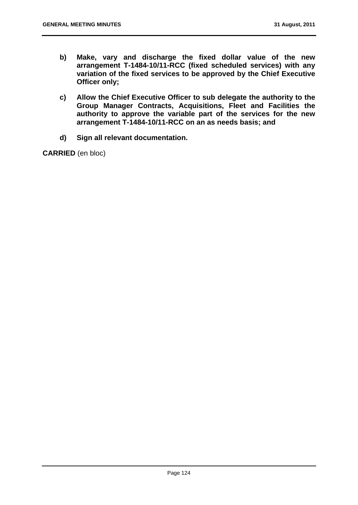- **b) Make, vary and discharge the fixed dollar value of the new arrangement T-1484-10/11-RCC (fixed scheduled services) with any variation of the fixed services to be approved by the Chief Executive Officer only;**
- **c) Allow the Chief Executive Officer to sub delegate the authority to the Group Manager Contracts, Acquisitions, Fleet and Facilities the authority to approve the variable part of the services for the new arrangement T-1484-10/11-RCC on an as needs basis; and**
- **d) Sign all relevant documentation.**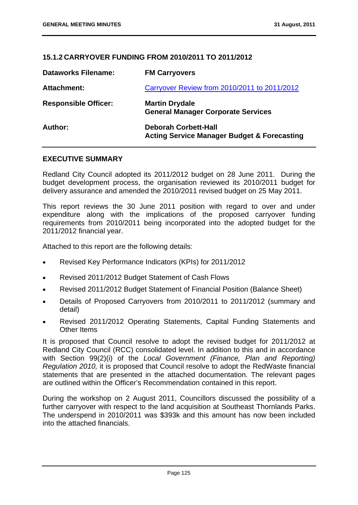## **15.1.2 CARRYOVER FUNDING FROM 2010/2011 TO 2011/2012**

| <b>Dataworks Filename:</b>  | <b>FM Carryovers</b>                                                                  |
|-----------------------------|---------------------------------------------------------------------------------------|
| Attachment:                 | Carryover Review from 2010/2011 to 2011/2012                                          |
| <b>Responsible Officer:</b> | <b>Martin Drydale</b><br><b>General Manager Corporate Services</b>                    |
| Author:                     | <b>Deborah Corbett-Hall</b><br><b>Acting Service Manager Budget &amp; Forecasting</b> |

## **EXECUTIVE SUMMARY**

Redland City Council adopted its 2011/2012 budget on 28 June 2011. During the budget development process, the organisation reviewed its 2010/2011 budget for delivery assurance and amended the 2010/2011 revised budget on 25 May 2011.

This report reviews the 30 June 2011 position with regard to over and under expenditure along with the implications of the proposed carryover funding requirements from 2010/2011 being incorporated into the adopted budget for the 2011/2012 financial year.

Attached to this report are the following details:

- Revised Key Performance Indicators (KPIs) for 2011/2012
- Revised 2011/2012 Budget Statement of Cash Flows
- Revised 2011/2012 Budget Statement of Financial Position (Balance Sheet)
- Details of Proposed Carryovers from 2010/2011 to 2011/2012 (summary and detail)
- Revised 2011/2012 Operating Statements, Capital Funding Statements and Other Items

It is proposed that Council resolve to adopt the revised budget for 2011/2012 at Redland City Council (RCC) consolidated level. In addition to this and in accordance with Section 99(2)(i) of the *Local Government (Finance, Plan and Reporting) Regulation 2010,* it is proposed that Council resolve to adopt the RedWaste financial statements that are presented in the attached documentation. The relevant pages are outlined within the Officer's Recommendation contained in this report.

During the workshop on 2 August 2011, Councillors discussed the possibility of a further carryover with respect to the land acquisition at Southeast Thornlands Parks. The underspend in 2010/2011 was \$393k and this amount has now been included into the attached financials.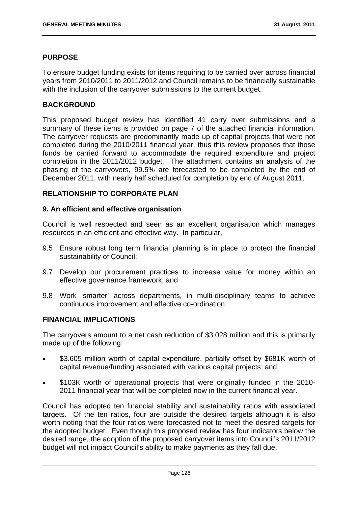## **PURPOSE**

To ensure budget funding exists for items requiring to be carried over across financial years from 2010/2011 to 2011/2012 and Council remains to be financially sustainable with the inclusion of the carryover submissions to the current budget.

## **BACKGROUND**

This proposed budget review has identified 41 carry over submissions and a summary of these items is provided on page 7 of the attached financial information. The carryover requests are predominantly made up of capital projects that were not completed during the 2010/2011 financial year, thus this review proposes that those funds be carried forward to accommodate the required expenditure and project completion in the 2011/2012 budget. The attachment contains an analysis of the phasing of the carryovers, 99.5% are forecasted to be completed by the end of December 2011, with nearly half scheduled for completion by end of August 2011.

## **RELATIONSHIP TO CORPORATE PLAN**

### **9. An efficient and effective organisation**

Council is well respected and seen as an excellent organisation which manages resources in an efficient and effective way. In particular,

- 9.5 Ensure robust long term financial planning is in place to protect the financial sustainability of Council;
- 9.7 Develop our procurement practices to increase value for money within an effective governance framework; and
- 9.8 Work 'smarter' across departments, in multi-disciplinary teams to achieve continuous improvement and effective co-ordination.

### **FINANCIAL IMPLICATIONS**

The carryovers amount to a net cash reduction of \$3.028 million and this is primarily made up of the following:

- \$3.605 million worth of capital expenditure, partially offset by \$681K worth of capital revenue/funding associated with various capital projects; and
- \$103K worth of operational projects that were originally funded in the 2010- 2011 financial year that will be completed now in the current financial year.

Council has adopted ten financial stability and sustainability ratios with associated targets. Of the ten ratios, four are outside the desired targets although it is also worth noting that the four ratios were forecasted not to meet the desired targets for the adopted budget. Even though this proposed review has four indicators below the desired range, the adoption of the proposed carryover items into Council's 2011/2012 budget will not impact Council's ability to make payments as they fall due.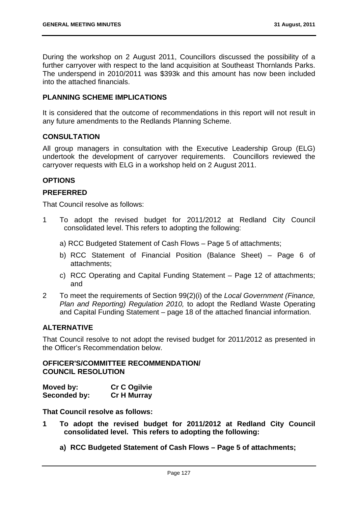During the workshop on 2 August 2011, Councillors discussed the possibility of a further carryover with respect to the land acquisition at Southeast Thornlands Parks. The underspend in 2010/2011 was \$393k and this amount has now been included into the attached financials.

## **PLANNING SCHEME IMPLICATIONS**

It is considered that the outcome of recommendations in this report will not result in any future amendments to the Redlands Planning Scheme.

## **CONSULTATION**

All group managers in consultation with the Executive Leadership Group (ELG) undertook the development of carryover requirements. Councillors reviewed the carryover requests with ELG in a workshop held on 2 August 2011.

# **OPTIONS**

## **PREFERRED**

That Council resolve as follows:

- 1 To adopt the revised budget for 2011/2012 at Redland City Council consolidated level. This refers to adopting the following:
	- a) RCC Budgeted Statement of Cash Flows Page 5 of attachments;
	- b) RCC Statement of Financial Position (Balance Sheet) Page 6 of attachments;
	- c) RCC Operating and Capital Funding Statement Page 12 of attachments; and
- 2 To meet the requirements of Section 99(2)(i) of the *Local Government (Finance, Plan and Reporting) Regulation 2010,* to adopt the Redland Waste Operating and Capital Funding Statement – page 18 of the attached financial information.

# **ALTERNATIVE**

That Council resolve to not adopt the revised budget for 2011/2012 as presented in the Officer's Recommendation below.

## **OFFICER'S/COMMITTEE RECOMMENDATION/ COUNCIL RESOLUTION**

| Moved by:    | <b>Cr C Ogilvie</b> |
|--------------|---------------------|
| Seconded by: | <b>Cr H Murray</b>  |

**That Council resolve as follows:** 

- **1 To adopt the revised budget for 2011/2012 at Redland City Council consolidated level. This refers to adopting the following:** 
	- **a) RCC Budgeted Statement of Cash Flows Page 5 of attachments;**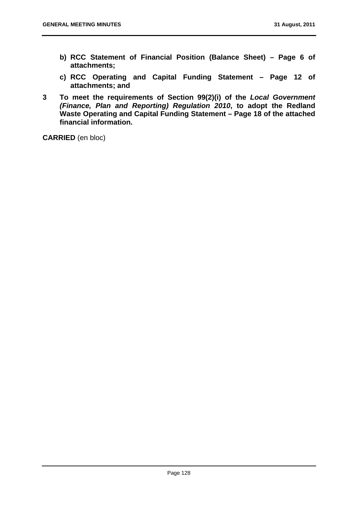- **b) RCC Statement of Financial Position (Balance Sheet) Page 6 of attachments;**
- **c) RCC Operating and Capital Funding Statement Page 12 of attachments; and**
- **3 To meet the requirements of Section 99(2)(i) of the** *Local Government (Finance, Plan and Reporting) Regulation 2010***, to adopt the Redland Waste Operating and Capital Funding Statement – Page 18 of the attached financial information.**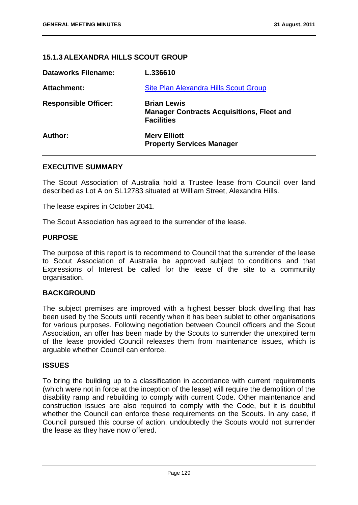# **15.1.3 ALEXANDRA HILLS SCOUT GROUP**

| <b>Dataworks Filename:</b>  | L.336610                                                                                    |
|-----------------------------|---------------------------------------------------------------------------------------------|
| Attachment:                 | Site Plan Alexandra Hills Scout Group                                                       |
| <b>Responsible Officer:</b> | <b>Brian Lewis</b><br><b>Manager Contracts Acquisitions, Fleet and</b><br><b>Facilities</b> |
| Author:                     | <b>Merv Elliott</b><br><b>Property Services Manager</b>                                     |

### **EXECUTIVE SUMMARY**

The Scout Association of Australia hold a Trustee lease from Council over land described as Lot A on SL12783 situated at William Street, Alexandra Hills.

The lease expires in October 2041.

The Scout Association has agreed to the surrender of the lease.

### **PURPOSE**

The purpose of this report is to recommend to Council that the surrender of the lease to Scout Association of Australia be approved subject to conditions and that Expressions of Interest be called for the lease of the site to a community organisation.

### **BACKGROUND**

The subject premises are improved with a highest besser block dwelling that has been used by the Scouts until recently when it has been sublet to other organisations for various purposes. Following negotiation between Council officers and the Scout Association, an offer has been made by the Scouts to surrender the unexpired term of the lease provided Council releases them from maintenance issues, which is arguable whether Council can enforce.

### **ISSUES**

To bring the building up to a classification in accordance with current requirements (which were not in force at the inception of the lease) will require the demolition of the disability ramp and rebuilding to comply with current Code. Other maintenance and construction issues are also required to comply with the Code, but it is doubtful whether the Council can enforce these requirements on the Scouts. In any case, if Council pursued this course of action, undoubtedly the Scouts would not surrender the lease as they have now offered.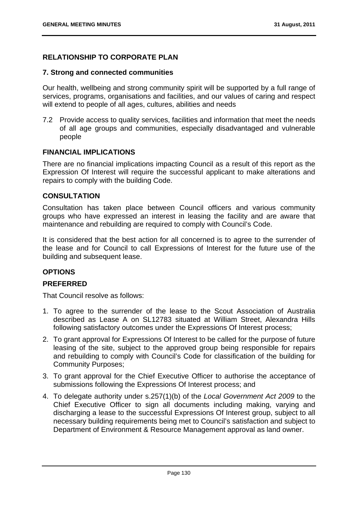# **RELATIONSHIP TO CORPORATE PLAN**

## **7. Strong and connected communities**

Our health, wellbeing and strong community spirit will be supported by a full range of services, programs, organisations and facilities, and our values of caring and respect will extend to people of all ages, cultures, abilities and needs

7.2 Provide access to quality services, facilities and information that meet the needs of all age groups and communities, especially disadvantaged and vulnerable people

## **FINANCIAL IMPLICATIONS**

There are no financial implications impacting Council as a result of this report as the Expression Of Interest will require the successful applicant to make alterations and repairs to comply with the building Code.

# **CONSULTATION**

Consultation has taken place between Council officers and various community groups who have expressed an interest in leasing the facility and are aware that maintenance and rebuilding are required to comply with Council's Code.

It is considered that the best action for all concerned is to agree to the surrender of the lease and for Council to call Expressions of Interest for the future use of the building and subsequent lease.

# **OPTIONS**

# **PREFERRED**

That Council resolve as follows:

- 1. To agree to the surrender of the lease to the Scout Association of Australia described as Lease A on SL12783 situated at William Street, Alexandra Hills following satisfactory outcomes under the Expressions Of Interest process;
- 2. To grant approval for Expressions Of Interest to be called for the purpose of future leasing of the site, subject to the approved group being responsible for repairs and rebuilding to comply with Council's Code for classification of the building for Community Purposes;
- 3. To grant approval for the Chief Executive Officer to authorise the acceptance of submissions following the Expressions Of Interest process; and
- 4. To delegate authority under s.257(1)(b) of the *Local Government Act 2009* to the Chief Executive Officer to sign all documents including making, varying and discharging a lease to the successful Expressions Of Interest group, subject to all necessary building requirements being met to Council's satisfaction and subject to Department of Environment & Resource Management approval as land owner.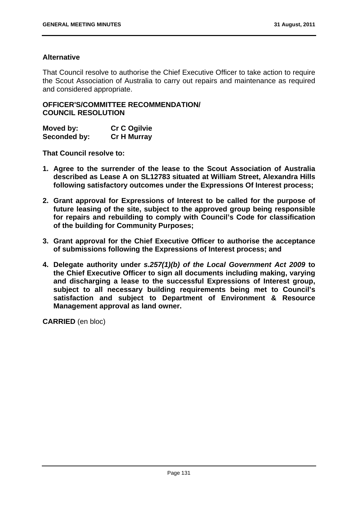# **Alternative**

That Council resolve to authorise the Chief Executive Officer to take action to require the Scout Association of Australia to carry out repairs and maintenance as required and considered appropriate.

**OFFICER'S/COMMITTEE RECOMMENDATION/ COUNCIL RESOLUTION** 

| Moved by:    | <b>Cr C Ogilvie</b> |
|--------------|---------------------|
| Seconded by: | <b>Cr H Murray</b>  |

**That Council resolve to:** 

- **1. Agree to the surrender of the lease to the Scout Association of Australia described as Lease A on SL12783 situated at William Street, Alexandra Hills following satisfactory outcomes under the Expressions Of Interest process;**
- **2. Grant approval for Expressions of Interest to be called for the purpose of future leasing of the site, subject to the approved group being responsible for repairs and rebuilding to comply with Council's Code for classification of the building for Community Purposes;**
- **3. Grant approval for the Chief Executive Officer to authorise the acceptance of submissions following the Expressions of Interest process; and**
- **4. Delegate authority under** *s.257(1)(b) of the Local Government Act 2009* **to the Chief Executive Officer to sign all documents including making, varying and discharging a lease to the successful Expressions of Interest group, subject to all necessary building requirements being met to Council's satisfaction and subject to Department of Environment & Resource Management approval as land owner.**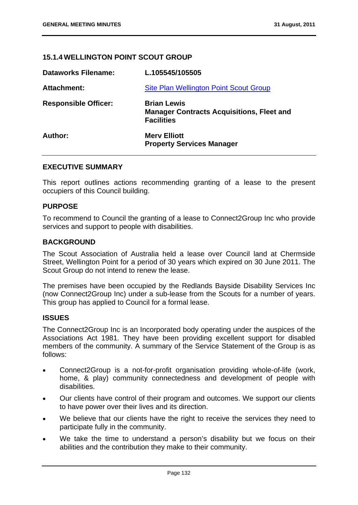# **15.1.4 WELLINGTON POINT SCOUT GROUP**

| <b>Dataworks Filename:</b>  | L.105545/105505                                                                             |
|-----------------------------|---------------------------------------------------------------------------------------------|
| Attachment:                 | Site Plan Wellington Point Scout Group                                                      |
| <b>Responsible Officer:</b> | <b>Brian Lewis</b><br><b>Manager Contracts Acquisitions, Fleet and</b><br><b>Facilities</b> |
| Author:                     | <b>Merv Elliott</b><br><b>Property Services Manager</b>                                     |

### **EXECUTIVE SUMMARY**

This report outlines actions recommending granting of a lease to the present occupiers of this Council building.

### **PURPOSE**

To recommend to Council the granting of a lease to Connect2Group Inc who provide services and support to people with disabilities.

#### **BACKGROUND**

The Scout Association of Australia held a lease over Council land at Chermside Street, Wellington Point for a period of 30 years which expired on 30 June 2011. The Scout Group do not intend to renew the lease.

The premises have been occupied by the Redlands Bayside Disability Services Inc (now Connect2Group Inc) under a sub-lease from the Scouts for a number of years. This group has applied to Council for a formal lease.

### **ISSUES**

The Connect2Group Inc is an Incorporated body operating under the auspices of the Associations Act 1981. They have been providing excellent support for disabled members of the community. A summary of the Service Statement of the Group is as follows:

- Connect2Group is a not-for-profit organisation providing whole-of-life (work, home, & play) community connectedness and development of people with disabilities.
- Our clients have control of their program and outcomes. We support our clients to have power over their lives and its direction.
- We believe that our clients have the right to receive the services they need to participate fully in the community.
- We take the time to understand a person's disability but we focus on their abilities and the contribution they make to their community.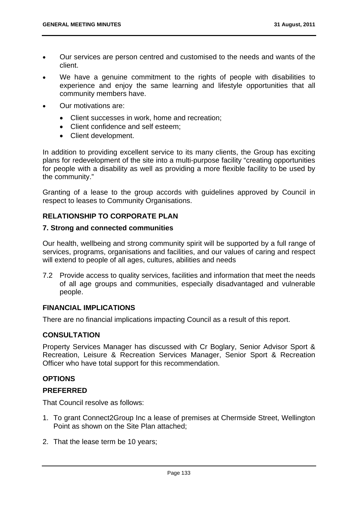- Our services are person centred and customised to the needs and wants of the client.
- We have a genuine commitment to the rights of people with disabilities to experience and enjoy the same learning and lifestyle opportunities that all community members have.
- Our motivations are:
	- Client successes in work, home and recreation;
	- Client confidence and self esteem;
	- Client development.

In addition to providing excellent service to its many clients, the Group has exciting plans for redevelopment of the site into a multi-purpose facility "creating opportunities for people with a disability as well as providing a more flexible facility to be used by the community."

Granting of a lease to the group accords with guidelines approved by Council in respect to leases to Community Organisations.

# **RELATIONSHIP TO CORPORATE PLAN**

### **7. Strong and connected communities**

Our health, wellbeing and strong community spirit will be supported by a full range of services, programs, organisations and facilities, and our values of caring and respect will extend to people of all ages, cultures, abilities and needs

7.2 Provide access to quality services, facilities and information that meet the needs of all age groups and communities, especially disadvantaged and vulnerable people.

## **FINANCIAL IMPLICATIONS**

There are no financial implications impacting Council as a result of this report.

### **CONSULTATION**

Property Services Manager has discussed with Cr Boglary, Senior Advisor Sport & Recreation, Leisure & Recreation Services Manager, Senior Sport & Recreation Officer who have total support for this recommendation.

# **OPTIONS**

### **PREFERRED**

That Council resolve as follows:

- 1. To grant Connect2Group Inc a lease of premises at Chermside Street, Wellington Point as shown on the Site Plan attached;
- 2. That the lease term be 10 years;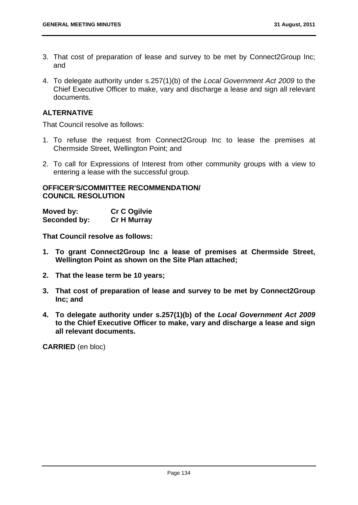- 3. That cost of preparation of lease and survey to be met by Connect2Group Inc; and
- 4. To delegate authority under s.257(1)(b) of the *Local Government Act 2009* to the Chief Executive Officer to make, vary and discharge a lease and sign all relevant documents.

# **ALTERNATIVE**

That Council resolve as follows:

- 1. To refuse the request from Connect2Group Inc to lease the premises at Chermside Street, Wellington Point; and
- 2. To call for Expressions of Interest from other community groups with a view to entering a lease with the successful group.

## **OFFICER'S/COMMITTEE RECOMMENDATION/ COUNCIL RESOLUTION**

| Moved by:    | <b>Cr C Ogilvie</b> |
|--------------|---------------------|
| Seconded by: | <b>Cr H Murray</b>  |

**That Council resolve as follows:** 

- **1. To grant Connect2Group Inc a lease of premises at Chermside Street, Wellington Point as shown on the Site Plan attached;**
- **2. That the lease term be 10 years;**
- **3. That cost of preparation of lease and survey to be met by Connect2Group Inc; and**
- **4. To delegate authority under s.257(1)(b) of the** *Local Government Act 2009* **to the Chief Executive Officer to make, vary and discharge a lease and sign all relevant documents.**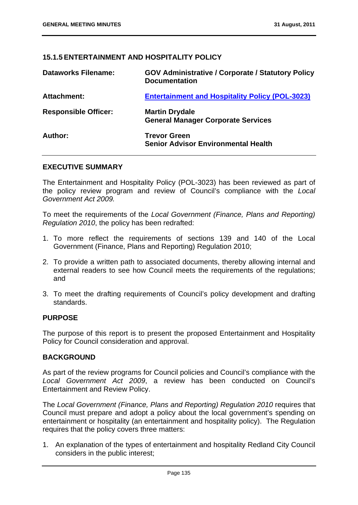# **15.1.5 ENTERTAINMENT AND HOSPITALITY POLICY**

| <b>Dataworks Filename:</b>  | <b>GOV Administrative / Corporate / Statutory Policy</b><br><b>Documentation</b> |
|-----------------------------|----------------------------------------------------------------------------------|
| <b>Attachment:</b>          | <b>Entertainment and Hospitality Policy (POL-3023)</b>                           |
| <b>Responsible Officer:</b> | <b>Martin Drydale</b><br><b>General Manager Corporate Services</b>               |
| Author:                     | <b>Trevor Green</b><br><b>Senior Advisor Environmental Health</b>                |

### **EXECUTIVE SUMMARY**

The Entertainment and Hospitality Policy (POL-3023) has been reviewed as part of the policy review program and review of Council's compliance with the *Local Government Act 2009.*

To meet the requirements of the *Local Government (Finance, Plans and Reporting) Regulation 2010*, the policy has been redrafted:

- 1. To more reflect the requirements of sections 139 and 140 of the Local Government (Finance, Plans and Reporting) Regulation 2010;
- 2. To provide a written path to associated documents, thereby allowing internal and external readers to see how Council meets the requirements of the regulations; and
- 3. To meet the drafting requirements of Council's policy development and drafting standards.

### **PURPOSE**

The purpose of this report is to present the proposed Entertainment and Hospitality Policy for Council consideration and approval.

### **BACKGROUND**

As part of the review programs for Council policies and Council's compliance with the *Local Government Act 2009*, a review has been conducted on Council's Entertainment and Review Policy.

The *Local Government (Finance, Plans and Reporting) Regulation 2010* requires that Council must prepare and adopt a policy about the local government's spending on entertainment or hospitality (an entertainment and hospitality policy). The Regulation requires that the policy covers three matters:

1. An explanation of the types of entertainment and hospitality Redland City Council considers in the public interest;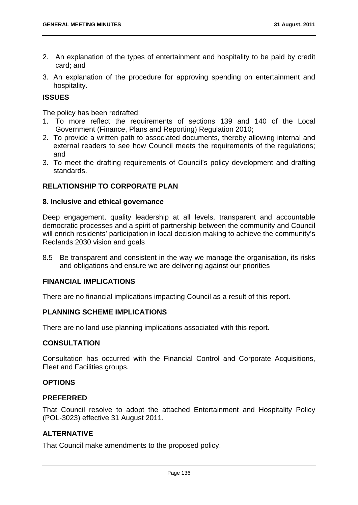- 2. An explanation of the types of entertainment and hospitality to be paid by credit card; and
- 3. An explanation of the procedure for approving spending on entertainment and hospitality.

## **ISSUES**

The policy has been redrafted:

- 1. To more reflect the requirements of sections 139 and 140 of the Local Government (Finance, Plans and Reporting) Regulation 2010;
- 2. To provide a written path to associated documents, thereby allowing internal and external readers to see how Council meets the requirements of the regulations; and
- 3. To meet the drafting requirements of Council's policy development and drafting standards.

# **RELATIONSHIP TO CORPORATE PLAN**

### **8. Inclusive and ethical governance**

Deep engagement, quality leadership at all levels, transparent and accountable democratic processes and a spirit of partnership between the community and Council will enrich residents' participation in local decision making to achieve the community's Redlands 2030 vision and goals

8.5 Be transparent and consistent in the way we manage the organisation, its risks and obligations and ensure we are delivering against our priorities

### **FINANCIAL IMPLICATIONS**

There are no financial implications impacting Council as a result of this report.

# **PLANNING SCHEME IMPLICATIONS**

There are no land use planning implications associated with this report.

### **CONSULTATION**

Consultation has occurred with the Financial Control and Corporate Acquisitions, Fleet and Facilities groups.

### **OPTIONS**

### **PREFERRED**

That Council resolve to adopt the attached Entertainment and Hospitality Policy (POL-3023) effective 31 August 2011.

### **ALTERNATIVE**

That Council make amendments to the proposed policy.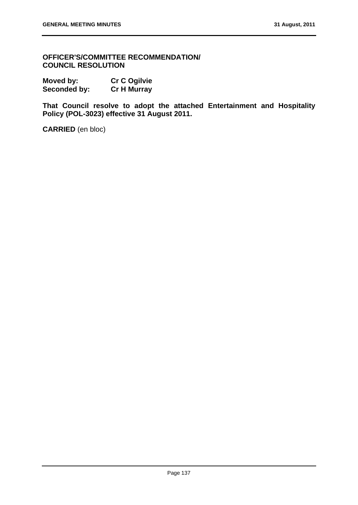**OFFICER'S/COMMITTEE RECOMMENDATION/ COUNCIL RESOLUTION** 

| Moved by:           | <b>Cr C Ogilvie</b> |
|---------------------|---------------------|
| <b>Seconded by:</b> | <b>Cr H Murray</b>  |

**That Council resolve to adopt the attached Entertainment and Hospitality Policy (POL-3023) effective 31 August 2011.**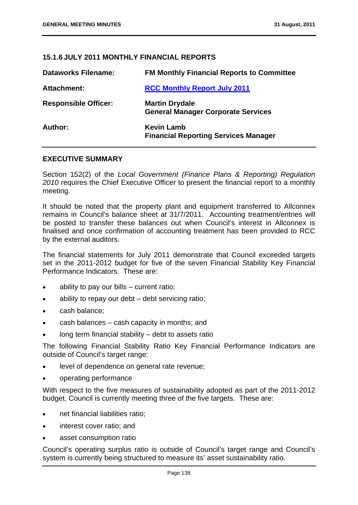# **15.1.6 JULY 2011 MONTHLY FINANCIAL REPORTS**

| <b>Dataworks Filename:</b>  | <b>FM Monthly Financial Reports to Committee</b>                   |
|-----------------------------|--------------------------------------------------------------------|
| Attachment:                 | <b>RCC Monthly Report July 2011</b>                                |
| <b>Responsible Officer:</b> | <b>Martin Drydale</b><br><b>General Manager Corporate Services</b> |
| Author:                     | <b>Kevin Lamb</b><br><b>Financial Reporting Services Manager</b>   |

## **EXECUTIVE SUMMARY**

Section 152(2) of the *Local Government (Finance Plans & Reporting) Regulation 2010* requires the Chief Executive Officer to present the financial report to a monthly meeting.

It should be noted that the property plant and equipment transferred to Allconnex remains in Council's balance sheet at 31/7/2011. Accounting treatment/entries will be posted to transfer these balances out when Council's interest in Allconnex is finalised and once confirmation of accounting treatment has been provided to RCC by the external auditors.

The financial statements for July 2011 demonstrate that Council exceeded targets set in the 2011-2012 budget for five of the seven Financial Stability Key Financial Performance Indicators. These are:

- ability to pay our bills current ratio:
- ability to repay our debt debt servicing ratio;
- cash balance;
- cash balances cash capacity in months; and
- long term financial stability debt to assets ratio

The following Financial Stability Ratio Key Financial Performance Indicators are outside of Council's target range:

- level of dependence on general rate revenue;
- operating performance

With respect to the five measures of sustainability adopted as part of the 2011-2012 budget, Council is currently meeting three of the five targets. These are:

- net financial liabilities ratio;
- interest cover ratio; and
- asset consumption ratio

Council's operating surplus ratio is outside of Council's target range and Council's system is currently being structured to measure its' asset sustainability ratio.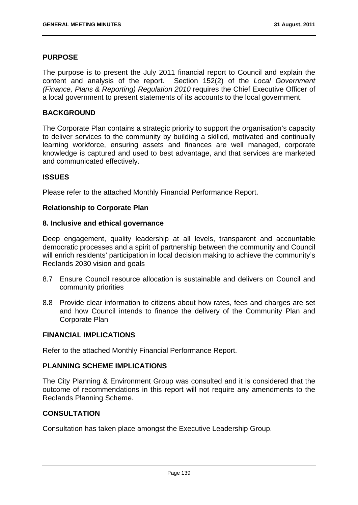### **PURPOSE**

The purpose is to present the July 2011 financial report to Council and explain the content and analysis of the report. Section 152(2) of the *Local Government (Finance, Plans & Reporting) Regulation 2010* requires the Chief Executive Officer of a local government to present statements of its accounts to the local government.

### **BACKGROUND**

The Corporate Plan contains a strategic priority to support the organisation's capacity to deliver services to the community by building a skilled, motivated and continually learning workforce, ensuring assets and finances are well managed, corporate knowledge is captured and used to best advantage, and that services are marketed and communicated effectively.

### **ISSUES**

Please refer to the attached Monthly Financial Performance Report.

### **Relationship to Corporate Plan**

### **8. Inclusive and ethical governance**

Deep engagement, quality leadership at all levels, transparent and accountable democratic processes and a spirit of partnership between the community and Council will enrich residents' participation in local decision making to achieve the community's Redlands 2030 vision and goals

- 8.7 Ensure Council resource allocation is sustainable and delivers on Council and community priorities
- 8.8 Provide clear information to citizens about how rates, fees and charges are set and how Council intends to finance the delivery of the Community Plan and Corporate Plan

### **FINANCIAL IMPLICATIONS**

Refer to the attached Monthly Financial Performance Report.

### **PLANNING SCHEME IMPLICATIONS**

The City Planning & Environment Group was consulted and it is considered that the outcome of recommendations in this report will not require any amendments to the Redlands Planning Scheme.

# **CONSULTATION**

Consultation has taken place amongst the Executive Leadership Group.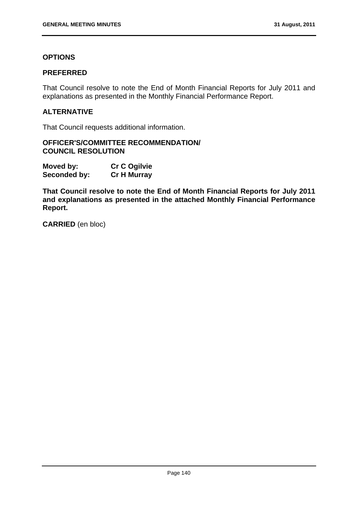# **OPTIONS**

### **PREFERRED**

That Council resolve to note the End of Month Financial Reports for July 2011 and explanations as presented in the Monthly Financial Performance Report.

# **ALTERNATIVE**

That Council requests additional information.

### **OFFICER'S/COMMITTEE RECOMMENDATION/ COUNCIL RESOLUTION**

| Moved by:    | <b>Cr C Ogilvie</b> |
|--------------|---------------------|
| Seconded by: | <b>Cr H Murray</b>  |

**That Council resolve to note the End of Month Financial Reports for July 2011 and explanations as presented in the attached Monthly Financial Performance Report.** 

**CARRIED** (en bloc)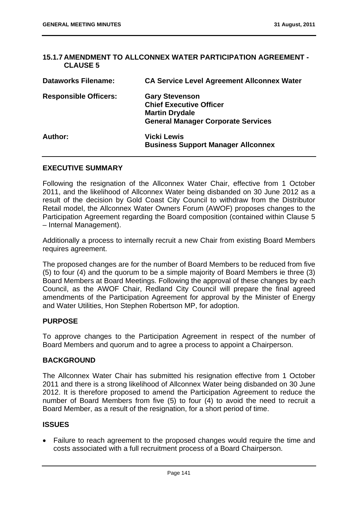### **15.1.7 AMENDMENT TO ALLCONNEX WATER PARTICIPATION AGREEMENT - CLAUSE 5**

| <b>Dataworks Filename:</b>   | <b>CA Service Level Agreement Allconnex Water</b>                                                                             |
|------------------------------|-------------------------------------------------------------------------------------------------------------------------------|
| <b>Responsible Officers:</b> | <b>Gary Stevenson</b><br><b>Chief Executive Officer</b><br><b>Martin Drydale</b><br><b>General Manager Corporate Services</b> |
| Author:                      | <b>Vicki Lewis</b><br><b>Business Support Manager Allconnex</b>                                                               |

# **EXECUTIVE SUMMARY**

Following the resignation of the Allconnex Water Chair, effective from 1 October 2011, and the likelihood of Allconnex Water being disbanded on 30 June 2012 as a result of the decision by Gold Coast City Council to withdraw from the Distributor Retail model, the Allconnex Water Owners Forum (AWOF) proposes changes to the Participation Agreement regarding the Board composition (contained within Clause 5 – Internal Management).

Additionally a process to internally recruit a new Chair from existing Board Members requires agreement.

The proposed changes are for the number of Board Members to be reduced from five (5) to four (4) and the quorum to be a simple majority of Board Members ie three (3) Board Members at Board Meetings. Following the approval of these changes by each Council, as the AWOF Chair, Redland City Council will prepare the final agreed amendments of the Participation Agreement for approval by the Minister of Energy and Water Utilities, Hon Stephen Robertson MP, for adoption.

### **PURPOSE**

To approve changes to the Participation Agreement in respect of the number of Board Members and quorum and to agree a process to appoint a Chairperson.

# **BACKGROUND**

The Allconnex Water Chair has submitted his resignation effective from 1 October 2011 and there is a strong likelihood of Allconnex Water being disbanded on 30 June 2012. It is therefore proposed to amend the Participation Agreement to reduce the number of Board Members from five (5) to four (4) to avoid the need to recruit a Board Member, as a result of the resignation, for a short period of time.

# **ISSUES**

 Failure to reach agreement to the proposed changes would require the time and costs associated with a full recruitment process of a Board Chairperson.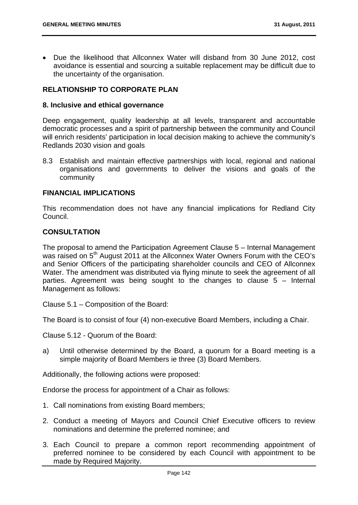• Due the likelihood that Allconnex Water will disband from 30 June 2012, cost avoidance is essential and sourcing a suitable replacement may be difficult due to the uncertainty of the organisation.

# **RELATIONSHIP TO CORPORATE PLAN**

#### **8. Inclusive and ethical governance**

Deep engagement, quality leadership at all levels, transparent and accountable democratic processes and a spirit of partnership between the community and Council will enrich residents' participation in local decision making to achieve the community's Redlands 2030 vision and goals

8.3 Establish and maintain effective partnerships with local, regional and national organisations and governments to deliver the visions and goals of the community

#### **FINANCIAL IMPLICATIONS**

This recommendation does not have any financial implications for Redland City Council.

### **CONSULTATION**

The proposal to amend the Participation Agreement Clause 5 – Internal Management was raised on 5<sup>th</sup> August 2011 at the Allconnex Water Owners Forum with the CEO's and Senior Officers of the participating shareholder councils and CEO of Allconnex Water. The amendment was distributed via flying minute to seek the agreement of all parties. Agreement was being sought to the changes to clause 5 – Internal Management as follows:

Clause 5.1 – Composition of the Board:

The Board is to consist of four (4) non-executive Board Members, including a Chair.

Clause 5.12 - Quorum of the Board:

a) Until otherwise determined by the Board, a quorum for a Board meeting is a simple majority of Board Members ie three (3) Board Members.

Additionally, the following actions were proposed:

Endorse the process for appointment of a Chair as follows:

- 1. Call nominations from existing Board members;
- 2. Conduct a meeting of Mayors and Council Chief Executive officers to review nominations and determine the preferred nominee; and
- 3. Each Council to prepare a common report recommending appointment of preferred nominee to be considered by each Council with appointment to be made by Required Majority.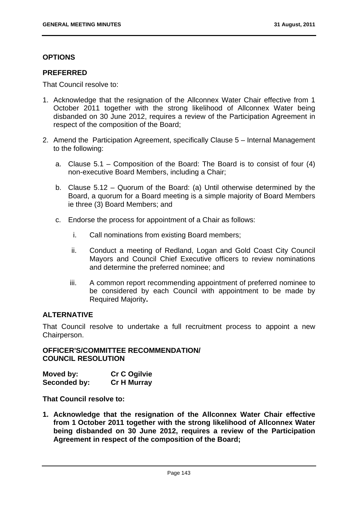# **OPTIONS**

### **PREFERRED**

That Council resolve to:

- 1. Acknowledge that the resignation of the Allconnex Water Chair effective from 1 October 2011 together with the strong likelihood of Allconnex Water being disbanded on 30 June 2012, requires a review of the Participation Agreement in respect of the composition of the Board;
- 2. Amend the Participation Agreement, specifically Clause 5 Internal Management to the following:
	- a. Clause 5.1 Composition of the Board: The Board is to consist of four (4) non-executive Board Members, including a Chair;
	- b. Clause 5.12 Quorum of the Board: (a) Until otherwise determined by the Board, a quorum for a Board meeting is a simple majority of Board Members ie three (3) Board Members; and
	- c. Endorse the process for appointment of a Chair as follows:
		- i. Call nominations from existing Board members;
		- ii. Conduct a meeting of Redland, Logan and Gold Coast City Council Mayors and Council Chief Executive officers to review nominations and determine the preferred nominee; and
		- iii. A common report recommending appointment of preferred nominee to be considered by each Council with appointment to be made by Required Majority**.**

# **ALTERNATIVE**

That Council resolve to undertake a full recruitment process to appoint a new Chairperson.

### **OFFICER'S/COMMITTEE RECOMMENDATION/ COUNCIL RESOLUTION**

| Moved by:    | <b>Cr C Ogilvie</b> |
|--------------|---------------------|
| Seconded by: | <b>Cr H Murray</b>  |

**That Council resolve to:** 

**1. Acknowledge that the resignation of the Allconnex Water Chair effective from 1 October 2011 together with the strong likelihood of Allconnex Water being disbanded on 30 June 2012, requires a review of the Participation Agreement in respect of the composition of the Board;**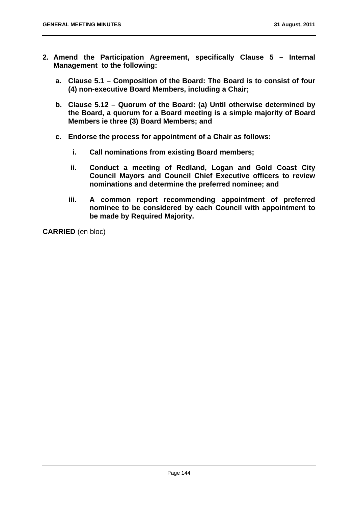- **2. Amend the Participation Agreement, specifically Clause 5 Internal Management to the following:** 
	- **a. Clause 5.1 Composition of the Board: The Board is to consist of four (4) non-executive Board Members, including a Chair;**
	- **b. Clause 5.12 Quorum of the Board: (a) Until otherwise determined by the Board, a quorum for a Board meeting is a simple majority of Board Members ie three (3) Board Members; and**
	- **c. Endorse the process for appointment of a Chair as follows:** 
		- **i. Call nominations from existing Board members;**
		- **ii. Conduct a meeting of Redland, Logan and Gold Coast City Council Mayors and Council Chief Executive officers to review nominations and determine the preferred nominee; and**
		- **iii. A common report recommending appointment of preferred nominee to be considered by each Council with appointment to be made by Required Majority.**

**CARRIED** (en bloc)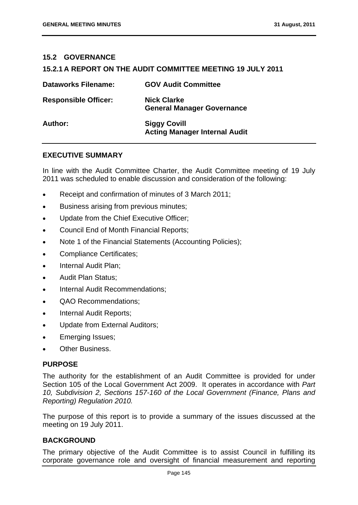### **15.2 GOVERNANCE**

### **15.2.1 A REPORT ON THE AUDIT COMMITTEE MEETING 19 JULY 2011**

| <b>Dataworks Filename:</b>  | <b>GOV Audit Committee</b>                                  |
|-----------------------------|-------------------------------------------------------------|
| <b>Responsible Officer:</b> | <b>Nick Clarke</b><br><b>General Manager Governance</b>     |
| Author:                     | <b>Siggy Covill</b><br><b>Acting Manager Internal Audit</b> |

### **EXECUTIVE SUMMARY**

In line with the Audit Committee Charter, the Audit Committee meeting of 19 July 2011 was scheduled to enable discussion and consideration of the following:

- Receipt and confirmation of minutes of 3 March 2011;
- **Business arising from previous minutes;**
- Update from the Chief Executive Officer;
- Council End of Month Financial Reports;
- Note 1 of the Financial Statements (Accounting Policies);
- Compliance Certificates;
- Internal Audit Plan;
- Audit Plan Status;
- Internal Audit Recommendations;
- QAO Recommendations;
- Internal Audit Reports;
- Update from External Auditors:
- Emerging Issues;
- Other Business.

#### **PURPOSE**

The authority for the establishment of an Audit Committee is provided for under Section 105 of the Local Government Act 2009. It operates in accordance with *Part 10, Subdivision 2, Sections 157-160 of the Local Government (Finance, Plans and Reporting) Regulation 2010.*

The purpose of this report is to provide a summary of the issues discussed at the meeting on 19 July 2011.

#### **BACKGROUND**

The primary objective of the Audit Committee is to assist Council in fulfilling its corporate governance role and oversight of financial measurement and reporting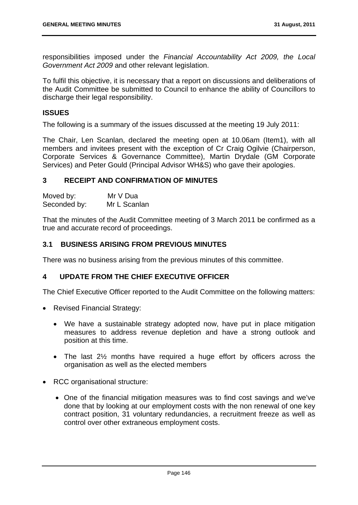responsibilities imposed under the *Financial Accountability Act 2009, the Local Government Act 2009* and other relevant legislation.

To fulfil this objective, it is necessary that a report on discussions and deliberations of the Audit Committee be submitted to Council to enhance the ability of Councillors to discharge their legal responsibility.

### **ISSUES**

The following is a summary of the issues discussed at the meeting 19 July 2011:

The Chair, Len Scanlan, declared the meeting open at 10.06am (Item1), with all members and invitees present with the exception of Cr Craig Ogilvie (Chairperson, Corporate Services & Governance Committee), Martin Drydale (GM Corporate Services) and Peter Gould (Principal Advisor WH&S) who gave their apologies.

### **3 RECEIPT AND CONFIRMATION OF MINUTES**

Moved by: Mr V Dua Seconded by: Mr L Scanlan

That the minutes of the Audit Committee meeting of 3 March 2011 be confirmed as a true and accurate record of proceedings.

# **3.1 BUSINESS ARISING FROM PREVIOUS MINUTES**

There was no business arising from the previous minutes of this committee.

# **4 UPDATE FROM THE CHIEF EXECUTIVE OFFICER**

The Chief Executive Officer reported to the Audit Committee on the following matters:

- Revised Financial Strategy:
	- We have a sustainable strategy adopted now, have put in place mitigation measures to address revenue depletion and have a strong outlook and position at this time.
	- The last 2<sup>1/2</sup> months have required a huge effort by officers across the organisation as well as the elected members
- RCC organisational structure:
	- One of the financial mitigation measures was to find cost savings and we've done that by looking at our employment costs with the non renewal of one key contract position, 31 voluntary redundancies, a recruitment freeze as well as control over other extraneous employment costs.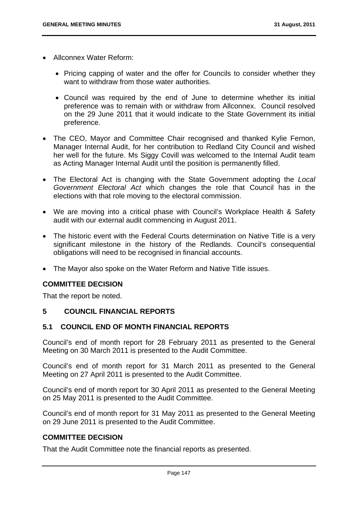- Allconnex Water Reform:
	- Pricing capping of water and the offer for Councils to consider whether they want to withdraw from those water authorities.
	- Council was required by the end of June to determine whether its initial preference was to remain with or withdraw from Allconnex. Council resolved on the 29 June 2011 that it would indicate to the State Government its initial preference.
- The CEO, Mayor and Committee Chair recognised and thanked Kylie Fernon, Manager Internal Audit, for her contribution to Redland City Council and wished her well for the future. Ms Siggy Covill was welcomed to the Internal Audit team as Acting Manager Internal Audit until the position is permanently filled.
- The Electoral Act is changing with the State Government adopting the *Local Government Electoral Act* which changes the role that Council has in the elections with that role moving to the electoral commission.
- We are moving into a critical phase with Council's Workplace Health & Safety audit with our external audit commencing in August 2011.
- The historic event with the Federal Courts determination on Native Title is a very significant milestone in the history of the Redlands. Council's consequential obligations will need to be recognised in financial accounts.
- The Mayor also spoke on the Water Reform and Native Title issues.

That the report be noted.

# **5 COUNCIL FINANCIAL REPORTS**

# **5.1 COUNCIL END OF MONTH FINANCIAL REPORTS**

Council's end of month report for 28 February 2011 as presented to the General Meeting on 30 March 2011 is presented to the Audit Committee.

Council's end of month report for 31 March 2011 as presented to the General Meeting on 27 April 2011 is presented to the Audit Committee.

Council's end of month report for 30 April 2011 as presented to the General Meeting on 25 May 2011 is presented to the Audit Committee.

Council's end of month report for 31 May 2011 as presented to the General Meeting on 29 June 2011 is presented to the Audit Committee.

# **COMMITTEE DECISION**

That the Audit Committee note the financial reports as presented.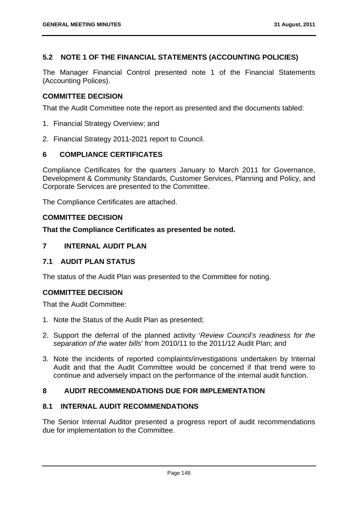# **5.2 NOTE 1 OF THE FINANCIAL STATEMENTS (ACCOUNTING POLICIES)**

The Manager Financial Control presented note 1 of the Financial Statements (Accounting Polices).

# **COMMITTEE DECISION**

That the Audit Committee note the report as presented and the documents tabled:

- 1. Financial Strategy Overview; and
- 2. Financial Strategy 2011-2021 report to Council.

# **6 COMPLIANCE CERTIFICATES**

Compliance Certificates for the quarters January to March 2011 for Governance, Development & Community Standards, Customer Services, Planning and Policy, and Corporate Services are presented to the Committee.

The Compliance Certificates are attached.

### **COMMITTEE DECISION**

### **That the Compliance Certificates as presented be noted.**

# **7 INTERNAL AUDIT PLAN**

# **7.1 AUDIT PLAN STATUS**

The status of the Audit Plan was presented to the Committee for noting.

# **COMMITTEE DECISION**

That the Audit Committee:

- 1. Note the Status of the Audit Plan as presented;
- 2. Support the deferral of the planned activity '*Review Council's readiness for the separation of the water bills*' from 2010/11 to the 2011/12 Audit Plan; and
- 3. Note the incidents of reported complaints/investigations undertaken by Internal Audit and that the Audit Committee would be concerned if that trend were to continue and adversely impact on the performance of the internal audit function.

# **8 AUDIT RECOMMENDATIONS DUE FOR IMPLEMENTATION**

# **8.1 INTERNAL AUDIT RECOMMENDATIONS**

The Senior Internal Auditor presented a progress report of audit recommendations due for implementation to the Committee.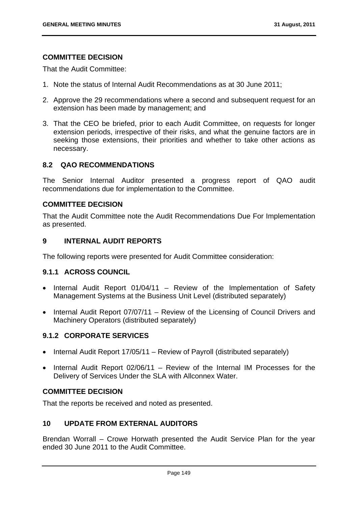That the Audit Committee:

- 1. Note the status of Internal Audit Recommendations as at 30 June 2011;
- 2. Approve the 29 recommendations where a second and subsequent request for an extension has been made by management; and
- 3. That the CEO be briefed, prior to each Audit Committee, on requests for longer extension periods, irrespective of their risks, and what the genuine factors are in seeking those extensions, their priorities and whether to take other actions as necessary.

### **8.2 QAO RECOMMENDATIONS**

The Senior Internal Auditor presented a progress report of QAO audit recommendations due for implementation to the Committee.

# **COMMITTEE DECISION**

That the Audit Committee note the Audit Recommendations Due For Implementation as presented.

# **9 INTERNAL AUDIT REPORTS**

The following reports were presented for Audit Committee consideration:

### **9.1.1 ACROSS COUNCIL**

- Internal Audit Report 01/04/11 Review of the Implementation of Safety Management Systems at the Business Unit Level (distributed separately)
- Internal Audit Report 07/07/11 Review of the Licensing of Council Drivers and Machinery Operators (distributed separately)

# **9.1.2 CORPORATE SERVICES**

- Internal Audit Report 17/05/11 Review of Payroll (distributed separately)
- Internal Audit Report 02/06/11 Review of the Internal IM Processes for the Delivery of Services Under the SLA with Allconnex Water.

# **COMMITTEE DECISION**

That the reports be received and noted as presented.

# **10 UPDATE FROM EXTERNAL AUDITORS**

Brendan Worrall – Crowe Horwath presented the Audit Service Plan for the year ended 30 June 2011 to the Audit Committee.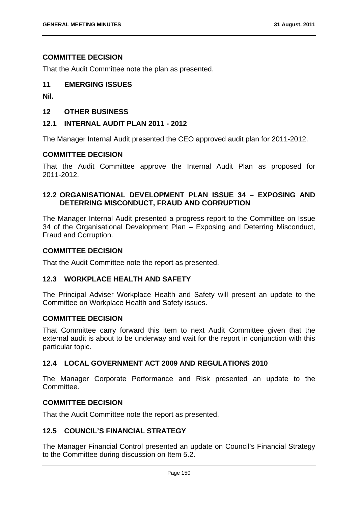That the Audit Committee note the plan as presented.

### **11 EMERGING ISSUES**

**Nil.** 

# **12 OTHER BUSINESS**

### **12.1 INTERNAL AUDIT PLAN 2011 - 2012**

The Manager Internal Audit presented the CEO approved audit plan for 2011-2012.

## **COMMITTEE DECISION**

That the Audit Committee approve the Internal Audit Plan as proposed for 2011-2012.

# **12.2 ORGANISATIONAL DEVELOPMENT PLAN ISSUE 34 – EXPOSING AND DETERRING MISCONDUCT, FRAUD AND CORRUPTION**

The Manager Internal Audit presented a progress report to the Committee on Issue 34 of the Organisational Development Plan – Exposing and Deterring Misconduct, Fraud and Corruption.

### **COMMITTEE DECISION**

That the Audit Committee note the report as presented.

### **12.3 WORKPLACE HEALTH AND SAFETY**

The Principal Adviser Workplace Health and Safety will present an update to the Committee on Workplace Health and Safety issues.

### **COMMITTEE DECISION**

That Committee carry forward this item to next Audit Committee given that the external audit is about to be underway and wait for the report in conjunction with this particular topic.

### **12.4 LOCAL GOVERNMENT ACT 2009 AND REGULATIONS 2010**

The Manager Corporate Performance and Risk presented an update to the Committee.

### **COMMITTEE DECISION**

That the Audit Committee note the report as presented.

## **12.5 COUNCIL'S FINANCIAL STRATEGY**

The Manager Financial Control presented an update on Council's Financial Strategy to the Committee during discussion on Item 5.2.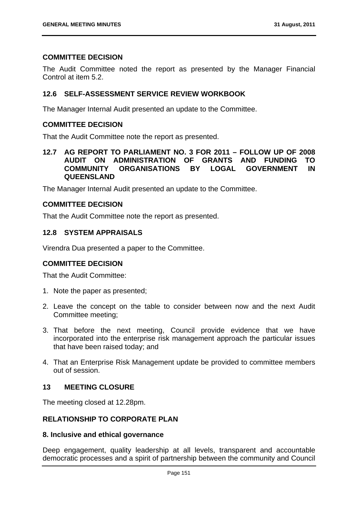The Audit Committee noted the report as presented by the Manager Financial Control at item 5.2.

### **12.6 SELF-ASSESSMENT SERVICE REVIEW WORKBOOK**

The Manager Internal Audit presented an update to the Committee.

### **COMMITTEE DECISION**

That the Audit Committee note the report as presented.

### **12.7 AG REPORT TO PARLIAMENT NO. 3 FOR 2011 – FOLLOW UP OF 2008 AUDIT ON ADMINISTRATION OF GRANTS AND FUNDING TO COMMUNITY ORGANISATIONS BY LOGAL GOVERNMENT IN QUEENSLAND**

The Manager Internal Audit presented an update to the Committee.

# **COMMITTEE DECISION**

That the Audit Committee note the report as presented.

### **12.8 SYSTEM APPRAISALS**

Virendra Dua presented a paper to the Committee.

### **COMMITTEE DECISION**

That the Audit Committee:

- 1. Note the paper as presented;
- 2. Leave the concept on the table to consider between now and the next Audit Committee meeting;
- 3. That before the next meeting, Council provide evidence that we have incorporated into the enterprise risk management approach the particular issues that have been raised today; and
- 4. That an Enterprise Risk Management update be provided to committee members out of session.

### **13 MEETING CLOSURE**

The meeting closed at 12.28pm.

### **RELATIONSHIP TO CORPORATE PLAN**

### **8. Inclusive and ethical governance**

Deep engagement, quality leadership at all levels, transparent and accountable democratic processes and a spirit of partnership between the community and Council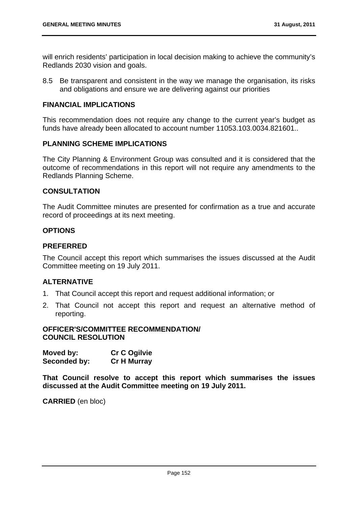will enrich residents' participation in local decision making to achieve the community's Redlands 2030 vision and goals.

8.5 Be transparent and consistent in the way we manage the organisation, its risks and obligations and ensure we are delivering against our priorities

### **FINANCIAL IMPLICATIONS**

This recommendation does not require any change to the current year's budget as funds have already been allocated to account number 11053.103.0034.821601..

# **PI ANNING SCHEME IMPLICATIONS**

The City Planning & Environment Group was consulted and it is considered that the outcome of recommendations in this report will not require any amendments to the Redlands Planning Scheme.

### **CONSULTATION**

The Audit Committee minutes are presented for confirmation as a true and accurate record of proceedings at its next meeting.

### **OPTIONS**

### **PREFERRED**

The Council accept this report which summarises the issues discussed at the Audit Committee meeting on 19 July 2011.

### **ALTERNATIVE**

- 1. That Council accept this report and request additional information; or
- 2. That Council not accept this report and request an alternative method of reporting.

#### **OFFICER'S/COMMITTEE RECOMMENDATION/ COUNCIL RESOLUTION**

| Moved by:    | <b>Cr C Ogilvie</b> |
|--------------|---------------------|
| Seconded by: | <b>Cr H Murray</b>  |

**That Council resolve to accept this report which summarises the issues discussed at the Audit Committee meeting on 19 July 2011.** 

**CARRIED** (en bloc)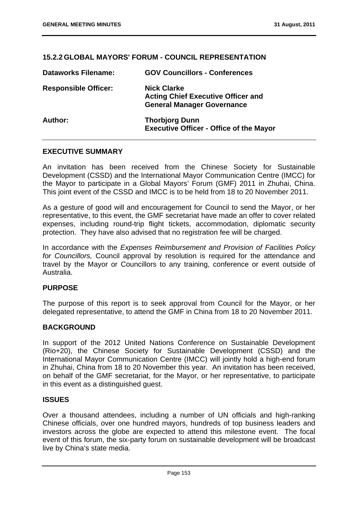## **15.2.2 GLOBAL MAYORS' FORUM - COUNCIL REPRESENTATION**

| <b>Dataworks Filename:</b>  | <b>GOV Councillors - Conferences</b>                                                                 |
|-----------------------------|------------------------------------------------------------------------------------------------------|
| <b>Responsible Officer:</b> | <b>Nick Clarke</b><br><b>Acting Chief Executive Officer and</b><br><b>General Manager Governance</b> |
| Author:                     | <b>Thorbjorg Dunn</b><br><b>Executive Officer - Office of the Mayor</b>                              |

### **EXECUTIVE SUMMARY**

An invitation has been received from the Chinese Society for Sustainable Development (CSSD) and the International Mayor Communication Centre (IMCC) for the Mayor to participate in a Global Mayors' Forum (GMF) 2011 in Zhuhai, China. This joint event of the CSSD and IMCC is to be held from 18 to 20 November 2011.

As a gesture of good will and encouragement for Council to send the Mayor, or her representative, to this event, the GMF secretariat have made an offer to cover related expenses, including round-trip flight tickets, accommodation, diplomatic security protection. They have also advised that no registration fee will be charged.

In accordance with the *Expenses Reimbursement and Provision of Facilities Policy for Councillors,* Council approval by resolution is required for the attendance and travel by the Mayor or Councillors to any training, conference or event outside of Australia.

### **PURPOSE**

The purpose of this report is to seek approval from Council for the Mayor, or her delegated representative, to attend the GMF in China from 18 to 20 November 2011.

### **BACKGROUND**

In support of the 2012 United Nations Conference on Sustainable Development (Rio+20), the Chinese Society for Sustainable Development (CSSD) and the International Mayor Communication Centre (IMCC) will jointly hold a high-end forum in Zhuhai, China from 18 to 20 November this year. An invitation has been received, on behalf of the GMF secretariat, for the Mayor, or her representative, to participate in this event as a distinguished guest.

### **ISSUES**

Over a thousand attendees, including a number of UN officials and high-ranking Chinese officials, over one hundred mayors, hundreds of top business leaders and investors across the globe are expected to attend this milestone event. The focal event of this forum, the six-party forum on sustainable development will be broadcast live by China's state media.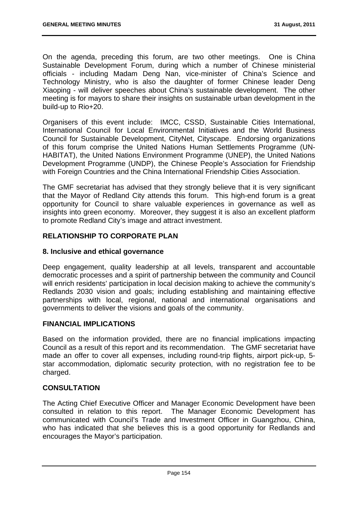On the agenda, preceding this forum, are two other meetings. One is China Sustainable Development Forum, during which a number of Chinese ministerial officials - including Madam Deng Nan, vice-minister of China's Science and Technology Ministry, who is also the daughter of former Chinese leader Deng Xiaoping - will deliver speeches about China's sustainable development. The other meeting is for mayors to share their insights on sustainable urban development in the build-up to Rio+20.

Organisers of this event include: IMCC, CSSD, Sustainable Cities International, International Council for Local Environmental Initiatives and the World Business Council for Sustainable Development, CityNet, Cityscape. Endorsing organizations of this forum comprise the United Nations Human Settlements Programme (UN-HABITAT), the United Nations Environment Programme (UNEP), the United Nations Development Programme (UNDP), the Chinese People's Association for Friendship with Foreign Countries and the China International Friendship Cities Association.

The GMF secretariat has advised that they strongly believe that it is very significant that the Mayor of Redland City attends this forum. This high-end forum is a great opportunity for Council to share valuable experiences in governance as well as insights into green economy. Moreover, they suggest it is also an excellent platform to promote Redland City's image and attract investment.

# **RELATIONSHIP TO CORPORATE PLAN**

# **8. Inclusive and ethical governance**

Deep engagement, quality leadership at all levels, transparent and accountable democratic processes and a spirit of partnership between the community and Council will enrich residents' participation in local decision making to achieve the community's Redlands 2030 vision and goals; including establishing and maintaining effective partnerships with local, regional, national and international organisations and governments to deliver the visions and goals of the community.

# **FINANCIAL IMPLICATIONS**

Based on the information provided, there are no financial implications impacting Council as a result of this report and its recommendation. The GMF secretariat have made an offer to cover all expenses, including round-trip flights, airport pick-up, 5 star accommodation, diplomatic security protection, with no registration fee to be charged.

# **CONSULTATION**

The Acting Chief Executive Officer and Manager Economic Development have been consulted in relation to this report. The Manager Economic Development has communicated with Council's Trade and Investment Officer in Guangzhou, China, who has indicated that she believes this is a good opportunity for Redlands and encourages the Mayor's participation.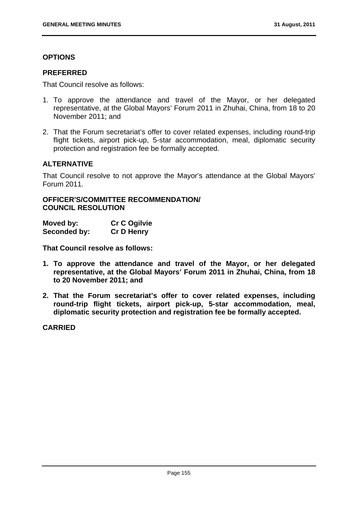# **OPTIONS**

### **PREFERRED**

That Council resolve as follows:

- 1. To approve the attendance and travel of the Mayor, or her delegated representative, at the Global Mayors' Forum 2011 in Zhuhai, China, from 18 to 20 November 2011; and
- 2. That the Forum secretariat's offer to cover related expenses, including round-trip flight tickets, airport pick-up, 5-star accommodation, meal, diplomatic security protection and registration fee be formally accepted.

# **ALTERNATIVE**

That Council resolve to not approve the Mayor's attendance at the Global Mayors' Forum 2011.

**OFFICER'S/COMMITTEE RECOMMENDATION/ COUNCIL RESOLUTION** 

| Moved by:    | <b>Cr C Ogilvie</b> |
|--------------|---------------------|
| Seconded by: | <b>Cr D Henry</b>   |

**That Council resolve as follows:** 

- **1. To approve the attendance and travel of the Mayor, or her delegated representative, at the Global Mayors' Forum 2011 in Zhuhai, China, from 18 to 20 November 2011; and**
- **2. That the Forum secretariat's offer to cover related expenses, including round-trip flight tickets, airport pick-up, 5-star accommodation, meal, diplomatic security protection and registration fee be formally accepted.**

**CARRIED**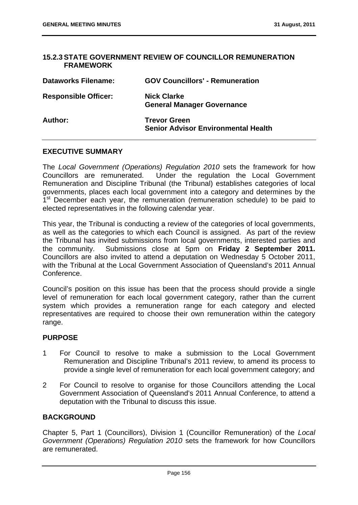### **15.2.3 STATE GOVERNMENT REVIEW OF COUNCILLOR REMUNERATION FRAMEWORK**

| <b>Dataworks Filename:</b>  | <b>GOV Councillors' - Remuneration</b>                            |
|-----------------------------|-------------------------------------------------------------------|
| <b>Responsible Officer:</b> | <b>Nick Clarke</b><br><b>General Manager Governance</b>           |
| Author:                     | <b>Trevor Green</b><br><b>Senior Advisor Environmental Health</b> |

# **EXECUTIVE SUMMARY**

The *Local Government (Operations) Regulation 2010* sets the framework for how Councillors are remunerated. Under the regulation the Local Government Remuneration and Discipline Tribunal (the Tribunal) establishes categories of local governments, places each local government into a category and determines by the 1<sup>st</sup> December each year, the remuneration (remuneration schedule) to be paid to elected representatives in the following calendar year.

This year, the Tribunal is conducting a review of the categories of local governments, as well as the categories to which each Council is assigned. As part of the review the Tribunal has invited submissions from local governments, interested parties and the community. Submissions close at 5pm on **Friday 2 September 2011.**  Councillors are also invited to attend a deputation on Wednesday 5 October 2011, with the Tribunal at the Local Government Association of Queensland's 2011 Annual Conference.

Council's position on this issue has been that the process should provide a single level of remuneration for each local government category, rather than the current system which provides a remuneration range for each category and elected representatives are required to choose their own remuneration within the category range.

### **PURPOSE**

- 1 For Council to resolve to make a submission to the Local Government Remuneration and Discipline Tribunal's 2011 review, to amend its process to provide a single level of remuneration for each local government category; and
- 2 For Council to resolve to organise for those Councillors attending the Local Government Association of Queensland's 2011 Annual Conference, to attend a deputation with the Tribunal to discuss this issue.

# **BACKGROUND**

Chapter 5, Part 1 (Councillors), Division 1 (Councillor Remuneration) of the *Local Government (Operations) Regulation 2010* sets the framework for how Councillors are remunerated.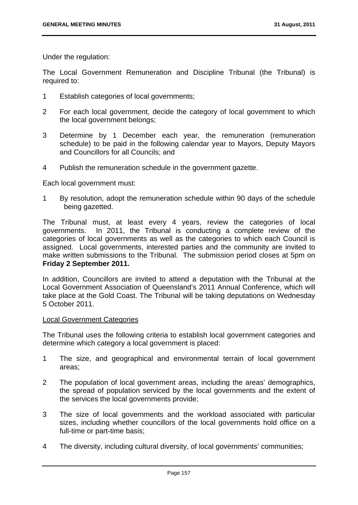Under the regulation:

The Local Government Remuneration and Discipline Tribunal (the Tribunal) is required to:

- 1 Establish categories of local governments;
- 2 For each local government, decide the category of local government to which the local government belongs;
- 3 Determine by 1 December each year, the remuneration (remuneration schedule) to be paid in the following calendar year to Mayors, Deputy Mayors and Councillors for all Councils; and
- 4 Publish the remuneration schedule in the government gazette.

Each local government must:

1 By resolution, adopt the remuneration schedule within 90 days of the schedule being gazetted.

The Tribunal must, at least every 4 years, review the categories of local governments. In 2011, the Tribunal is conducting a complete review of the categories of local governments as well as the categories to which each Council is assigned. Local governments, interested parties and the community are invited to make written submissions to the Tribunal. The submission period closes at 5pm on **Friday 2 September 2011.**

In addition, Councillors are invited to attend a deputation with the Tribunal at the Local Government Association of Queensland's 2011 Annual Conference, which will take place at the Gold Coast. The Tribunal will be taking deputations on Wednesday 5 October 2011.

#### Local Government Categories

The Tribunal uses the following criteria to establish local government categories and determine which category a local government is placed:

- 1 The size, and geographical and environmental terrain of local government areas;
- 2 The population of local government areas, including the areas' demographics, the spread of population serviced by the local governments and the extent of the services the local governments provide;
- 3 The size of local governments and the workload associated with particular sizes, including whether councillors of the local governments hold office on a full-time or part-time basis;
- 4 The diversity, including cultural diversity, of local governments' communities;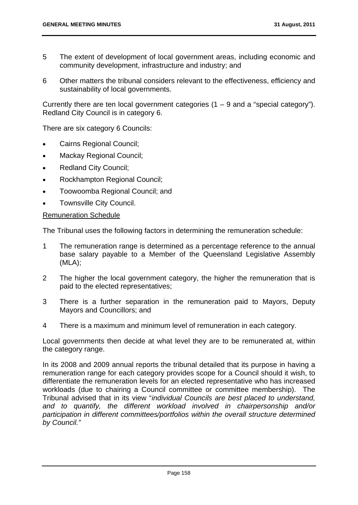- 5 The extent of development of local government areas, including economic and community development, infrastructure and industry; and
- 6 Other matters the tribunal considers relevant to the effectiveness, efficiency and sustainability of local governments.

Currently there are ten local government categories  $(1 - 9)$  and a "special category"). Redland City Council is in category 6.

There are six category 6 Councils:

- Cairns Regional Council;
- Mackay Regional Council;
- Redland City Council;
- Rockhampton Regional Council;
- Toowoomba Regional Council; and
- Townsville City Council.

### Remuneration Schedule

The Tribunal uses the following factors in determining the remuneration schedule:

- 1 The remuneration range is determined as a percentage reference to the annual base salary payable to a Member of the Queensland Legislative Assembly (MLA);
- 2 The higher the local government category, the higher the remuneration that is paid to the elected representatives;
- 3 There is a further separation in the remuneration paid to Mayors, Deputy Mayors and Councillors; and
- 4 There is a maximum and minimum level of remuneration in each category.

Local governments then decide at what level they are to be remunerated at, within the category range.

In its 2008 and 2009 annual reports the tribunal detailed that its purpose in having a remuneration range for each category provides scope for a Council should it wish, to differentiate the remuneration levels for an elected representative who has increased workloads (due to chairing a Council committee or committee membership). The Tribunal advised that in its view "*individual Councils are best placed to understand, and to quantify, the different workload involved in chairpersonship and/or participation in different committees/portfolios within the overall structure determined by Council."*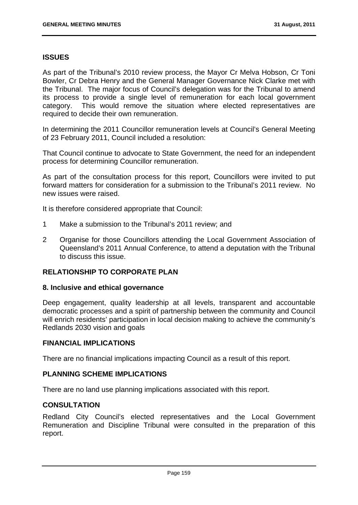### **ISSUES**

As part of the Tribunal's 2010 review process, the Mayor Cr Melva Hobson, Cr Toni Bowler, Cr Debra Henry and the General Manager Governance Nick Clarke met with the Tribunal. The major focus of Council's delegation was for the Tribunal to amend its process to provide a single level of remuneration for each local government category. This would remove the situation where elected representatives are required to decide their own remuneration.

In determining the 2011 Councillor remuneration levels at Council's General Meeting of 23 February 2011, Council included a resolution:

That Council continue to advocate to State Government, the need for an independent process for determining Councillor remuneration.

As part of the consultation process for this report, Councillors were invited to put forward matters for consideration for a submission to the Tribunal's 2011 review. No new issues were raised.

It is therefore considered appropriate that Council:

- 1 Make a submission to the Tribunal's 2011 review; and
- 2 Organise for those Councillors attending the Local Government Association of Queensland's 2011 Annual Conference, to attend a deputation with the Tribunal to discuss this issue.

### **RELATIONSHIP TO CORPORATE PLAN**

### **8. Inclusive and ethical governance**

Deep engagement, quality leadership at all levels, transparent and accountable democratic processes and a spirit of partnership between the community and Council will enrich residents' participation in local decision making to achieve the community's Redlands 2030 vision and goals

### **FINANCIAL IMPLICATIONS**

There are no financial implications impacting Council as a result of this report.

### **PLANNING SCHEME IMPLICATIONS**

There are no land use planning implications associated with this report.

### **CONSULTATION**

Redland City Council's elected representatives and the Local Government Remuneration and Discipline Tribunal were consulted in the preparation of this report.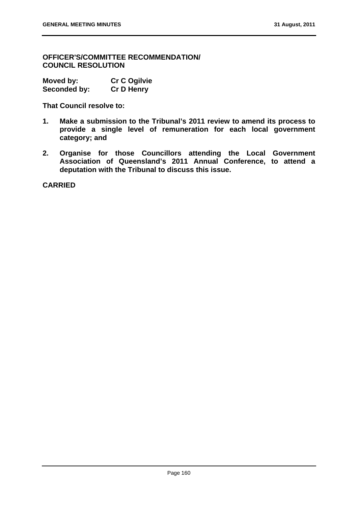**OFFICER'S/COMMITTEE RECOMMENDATION/ COUNCIL RESOLUTION** 

| Moved by:    | <b>Cr C Ogilvie</b> |
|--------------|---------------------|
| Seconded by: | <b>Cr D Henry</b>   |

**That Council resolve to:** 

- **1. Make a submission to the Tribunal's 2011 review to amend its process to provide a single level of remuneration for each local government category; and**
- **2. Organise for those Councillors attending the Local Government Association of Queensland's 2011 Annual Conference, to attend a deputation with the Tribunal to discuss this issue.**

**CARRIED**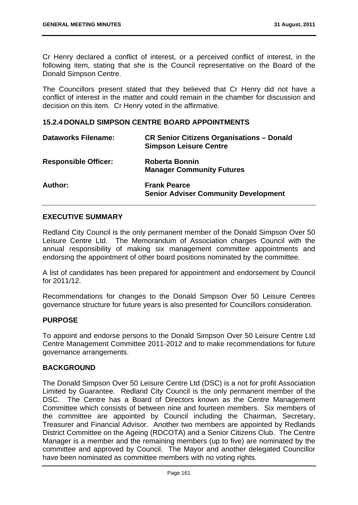Cr Henry declared a conflict of interest, or a perceived conflict of interest, in the following item, stating that she is the Council representative on the Board of the Donald Simpson Centre.

The Councillors present stated that they believed that Cr Henry did not have a conflict of interest in the matter and could remain in the chamber for discussion and decision on this item. Cr Henry voted in the affirmative.

### **15.2.4 DONALD SIMPSON CENTRE BOARD APPOINTMENTS**

| <b>Dataworks Filename:</b>  | <b>CR Senior Citizens Organisations - Donald</b><br><b>Simpson Leisure Centre</b> |
|-----------------------------|-----------------------------------------------------------------------------------|
| <b>Responsible Officer:</b> | <b>Roberta Bonnin</b><br><b>Manager Community Futures</b>                         |
| Author:                     | <b>Frank Pearce</b><br><b>Senior Adviser Community Development</b>                |

### **EXECUTIVE SUMMARY**

Redland City Council is the only permanent member of the Donald Simpson Over 50 Leisure Centre Ltd. The Memorandum of Association charges Council with the annual responsibility of making six management committee appointments and endorsing the appointment of other board positions nominated by the committee.

A list of candidates has been prepared for appointment and endorsement by Council for 2011/12.

Recommendations for changes to the Donald Simpson Over 50 Leisure Centres governance structure for future years is also presented for Councillors consideration.

### **PURPOSE**

To appoint and endorse persons to the Donald Simpson Over 50 Leisure Centre Ltd Centre Management Committee 2011-2012 and to make recommendations for future governance arrangements.

### **BACKGROUND**

The Donald Simpson Over 50 Leisure Centre Ltd (DSC) is a not for profit Association Limited by Guarantee. Redland City Council is the only permanent member of the DSC. The Centre has a Board of Directors known as the Centre Management Committee which consists of between nine and fourteen members. Six members of the committee are appointed by Council including the Chairman, Secretary, Treasurer and Financial Advisor. Another two members are appointed by Redlands District Committee on the Ageing (RDCOTA) and a Senior Citizens Club. The Centre Manager is a member and the remaining members (up to five) are nominated by the committee and approved by Council. The Mayor and another delegated Councillor have been nominated as committee members with no voting rights.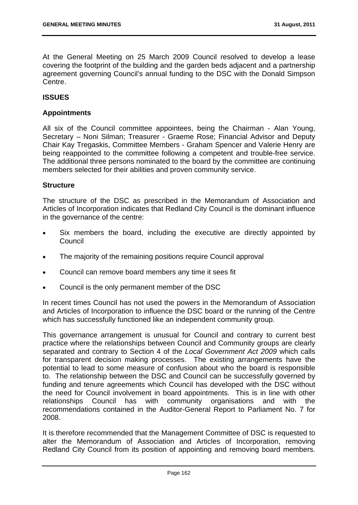At the General Meeting on 25 March 2009 Council resolved to develop a lease covering the footprint of the building and the garden beds adjacent and a partnership agreement governing Council's annual funding to the DSC with the Donald Simpson Centre.

# **ISSUES**

# **Appointments**

All six of the Council committee appointees, being the Chairman - Alan Young, Secretary – Noni Silman; Treasurer - Graeme Rose; Financial Advisor and Deputy Chair Kay Tregaskis, Committee Members - Graham Spencer and Valerie Henry are being reappointed to the committee following a competent and trouble-free service. The additional three persons nominated to the board by the committee are continuing members selected for their abilities and proven community service.

### **Structure**

The structure of the DSC as prescribed in the Memorandum of Association and Articles of Incorporation indicates that Redland City Council is the dominant influence in the governance of the centre:

- Six members the board, including the executive are directly appointed by Council
- The majority of the remaining positions require Council approval
- Council can remove board members any time it sees fit
- Council is the only permanent member of the DSC

In recent times Council has not used the powers in the Memorandum of Association and Articles of Incorporation to influence the DSC board or the running of the Centre which has successfully functioned like an independent community group.

This governance arrangement is unusual for Council and contrary to current best practice where the relationships between Council and Community groups are clearly separated and contrary to Section 4 of the *Local Government Act 2009* which calls for transparent decision making processes. The existing arrangements have the potential to lead to some measure of confusion about who the board is responsible to. The relationship between the DSC and Council can be successfully governed by funding and tenure agreements which Council has developed with the DSC without the need for Council involvement in board appointments. This is in line with other relationships Council has with community organisations and with the recommendations contained in the Auditor-General Report to Parliament No. 7 for 2008.

It is therefore recommended that the Management Committee of DSC is requested to alter the Memorandum of Association and Articles of Incorporation, removing Redland City Council from its position of appointing and removing board members.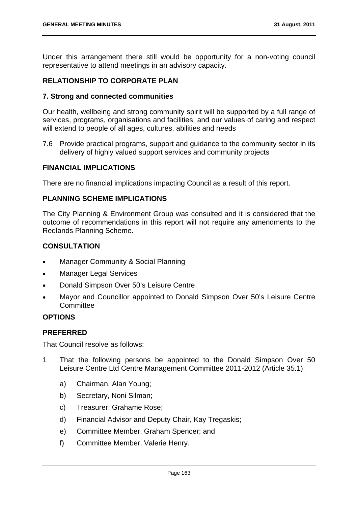Under this arrangement there still would be opportunity for a non-voting council representative to attend meetings in an advisory capacity.

# **RELATIONSHIP TO CORPORATE PLAN**

### **7. Strong and connected communities**

Our health, wellbeing and strong community spirit will be supported by a full range of services, programs, organisations and facilities, and our values of caring and respect will extend to people of all ages, cultures, abilities and needs

7.6 Provide practical programs, support and guidance to the community sector in its delivery of highly valued support services and community projects

# **FINANCIAL IMPLICATIONS**

There are no financial implications impacting Council as a result of this report.

# **PLANNING SCHEME IMPLICATIONS**

The City Planning & Environment Group was consulted and it is considered that the outcome of recommendations in this report will not require any amendments to the Redlands Planning Scheme.

# **CONSULTATION**

- Manager Community & Social Planning
- Manager Legal Services
- Donald Simpson Over 50's Leisure Centre
- Mayor and Councillor appointed to Donald Simpson Over 50's Leisure Centre **Committee**

### **OPTIONS**

# **PREFERRED**

That Council resolve as follows:

- 1 That the following persons be appointed to the Donald Simpson Over 50 Leisure Centre Ltd Centre Management Committee 2011-2012 (Article 35.1):
	- a) Chairman, Alan Young;
	- b) Secretary, Noni Silman;
	- c) Treasurer, Grahame Rose;
	- d) Financial Advisor and Deputy Chair, Kay Tregaskis;
	- e) Committee Member, Graham Spencer; and
	- f) Committee Member, Valerie Henry.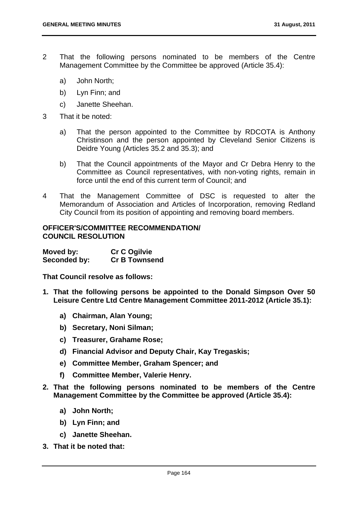- 2 That the following persons nominated to be members of the Centre Management Committee by the Committee be approved (Article 35.4):
	- a) John North;
	- b) Lyn Finn; and
	- c) Janette Sheehan.
- 3 That it be noted:
	- a) That the person appointed to the Committee by RDCOTA is Anthony Christinson and the person appointed by Cleveland Senior Citizens is Deidre Young (Articles 35.2 and 35.3); and
	- b) That the Council appointments of the Mayor and Cr Debra Henry to the Committee as Council representatives, with non-voting rights, remain in force until the end of this current term of Council; and
- 4 That the Management Committee of DSC is requested to alter the Memorandum of Association and Articles of Incorporation, removing Redland City Council from its position of appointing and removing board members.

### **OFFICER'S/COMMITTEE RECOMMENDATION/ COUNCIL RESOLUTION**

| Moved by:    | <b>Cr C Ogilvie</b>  |
|--------------|----------------------|
| Seconded by: | <b>Cr B Townsend</b> |

**That Council resolve as follows:** 

- **1. That the following persons be appointed to the Donald Simpson Over 50 Leisure Centre Ltd Centre Management Committee 2011-2012 (Article 35.1):** 
	- **a) Chairman, Alan Young;**
	- **b) Secretary, Noni Silman;**
	- **c) Treasurer, Grahame Rose;**
	- **d) Financial Advisor and Deputy Chair, Kay Tregaskis;**
	- **e) Committee Member, Graham Spencer; and**
	- **f) Committee Member, Valerie Henry.**
- **2. That the following persons nominated to be members of the Centre Management Committee by the Committee be approved (Article 35.4):** 
	- **a) John North;**
	- **b) Lyn Finn; and**
	- **c) Janette Sheehan.**
- **3. That it be noted that:**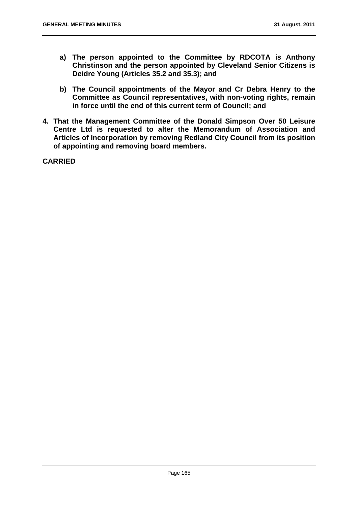- **a) The person appointed to the Committee by RDCOTA is Anthony Christinson and the person appointed by Cleveland Senior Citizens is Deidre Young (Articles 35.2 and 35.3); and**
- **b) The Council appointments of the Mayor and Cr Debra Henry to the Committee as Council representatives, with non-voting rights, remain in force until the end of this current term of Council; and**
- **4. That the Management Committee of the Donald Simpson Over 50 Leisure Centre Ltd is requested to alter the Memorandum of Association and Articles of Incorporation by removing Redland City Council from its position of appointing and removing board members.**

**CARRIED**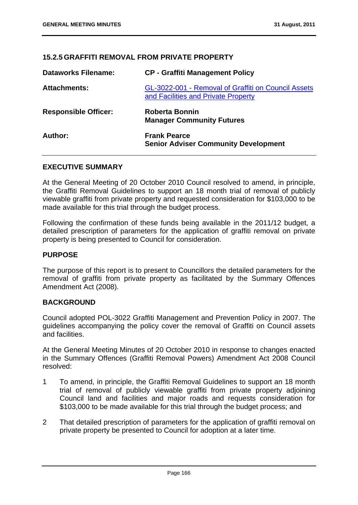# **15.2.5 GRAFFITI REMOVAL FROM PRIVATE PROPERTY**

| <b>Dataworks Filename:</b>  | <b>CP - Graffiti Management Policy</b>                                                     |
|-----------------------------|--------------------------------------------------------------------------------------------|
| <b>Attachments:</b>         | GL-3022-001 - Removal of Graffiti on Council Assets<br>and Facilities and Private Property |
| <b>Responsible Officer:</b> | <b>Roberta Bonnin</b><br><b>Manager Community Futures</b>                                  |
| Author:                     | <b>Frank Pearce</b><br><b>Senior Adviser Community Development</b>                         |

### **EXECUTIVE SUMMARY**

At the General Meeting of 20 October 2010 Council resolved to amend, in principle, the Graffiti Removal Guidelines to support an 18 month trial of removal of publicly viewable graffiti from private property and requested consideration for \$103,000 to be made available for this trial through the budget process.

Following the confirmation of these funds being available in the 2011/12 budget, a detailed prescription of parameters for the application of graffiti removal on private property is being presented to Council for consideration.

### **PURPOSE**

The purpose of this report is to present to Councillors the detailed parameters for the removal of graffiti from private property as facilitated by the Summary Offences Amendment Act (2008).

# **BACKGROUND**

Council adopted POL-3022 Graffiti Management and Prevention Policy in 2007. The guidelines accompanying the policy cover the removal of Graffiti on Council assets and facilities.

At the General Meeting Minutes of 20 October 2010 in response to changes enacted in the Summary Offences (Graffiti Removal Powers) Amendment Act 2008 Council resolved:

- 1 To amend, in principle, the Graffiti Removal Guidelines to support an 18 month trial of removal of publicly viewable graffiti from private property adjoining Council land and facilities and major roads and requests consideration for \$103,000 to be made available for this trial through the budget process; and
- 2 That detailed prescription of parameters for the application of graffiti removal on private property be presented to Council for adoption at a later time.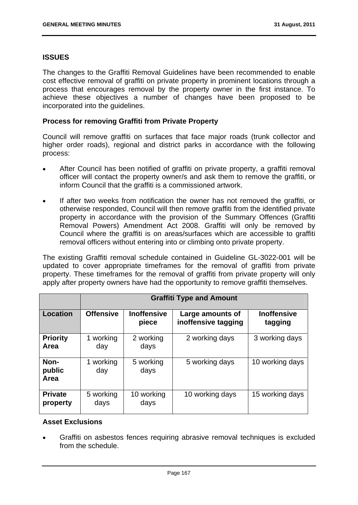# **ISSUES**

The changes to the Graffiti Removal Guidelines have been recommended to enable cost effective removal of graffiti on private property in prominent locations through a process that encourages removal by the property owner in the first instance. To achieve these objectives a number of changes have been proposed to be incorporated into the guidelines.

### **Process for removing Graffiti from Private Property**

Council will remove graffiti on surfaces that face major roads (trunk collector and higher order roads), regional and district parks in accordance with the following process:

- After Council has been notified of graffiti on private property, a graffiti removal officer will contact the property owner/s and ask them to remove the graffiti, or inform Council that the graffiti is a commissioned artwork.
- If after two weeks from notification the owner has not removed the graffiti, or otherwise responded, Council will then remove graffiti from the identified private property in accordance with the provision of the Summary Offences (Graffiti Removal Powers) Amendment Act 2008. Graffiti will only be removed by Council where the graffiti is on areas/surfaces which are accessible to graffiti removal officers without entering into or climbing onto private property.

The existing Graffiti removal schedule contained in Guideline GL-3022-001 will be updated to cover appropriate timeframes for the removal of graffiti from private property. These timeframes for the removal of graffiti from private property will only apply after property owners have had the opportunity to remove graffiti themselves.

|                            | <b>Graffiti Type and Amount</b> |                             |                                         |                               |
|----------------------------|---------------------------------|-----------------------------|-----------------------------------------|-------------------------------|
| Location                   | <b>Offensive</b>                | <b>Inoffensive</b><br>piece | Large amounts of<br>inoffensive tagging | <b>Inoffensive</b><br>tagging |
| <b>Priority</b><br>Area    | 1 working<br>day                | 2 working<br>days           | 2 working days                          | 3 working days                |
| Non-<br>public<br>Area     | 1 working<br>day                | 5 working<br>days           | 5 working days                          | 10 working days               |
| <b>Private</b><br>property | 5 working<br>days               | 10 working<br>days          | 10 working days                         | 15 working days               |

### **Asset Exclusions**

 Graffiti on asbestos fences requiring abrasive removal techniques is excluded from the schedule.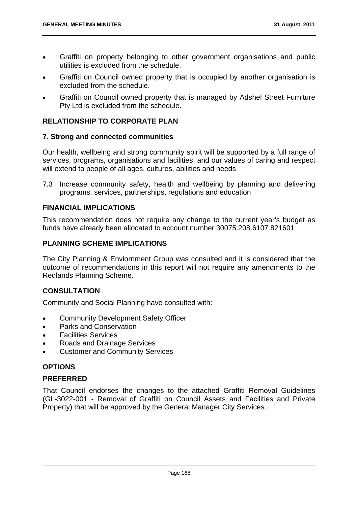- Graffiti on property belonging to other government organisations and public utilities is excluded from the schedule.
- Graffiti on Council owned property that is occupied by another organisation is excluded from the schedule.
- Graffiti on Council owned property that is managed by Adshel Street Furniture Pty Ltd is excluded from the schedule.

# **RELATIONSHIP TO CORPORATE PLAN**

### **7. Strong and connected communities**

Our health, wellbeing and strong community spirit will be supported by a full range of services, programs, organisations and facilities, and our values of caring and respect will extend to people of all ages, cultures, abilities and needs

7.3 Increase community safety, health and wellbeing by planning and delivering programs, services, partnerships, regulations and education

# **FINANCIAL IMPLICATIONS**

This recommendation does not require any change to the current year's budget as funds have already been allocated to account number 30075.208.6107.821601

### **PLANNING SCHEME IMPLICATIONS**

The City Planning & Enviornment Group was consulted and it is considered that the outcome of recommendations in this report will not require any amendments to the Redlands Planning Scheme.

# **CONSULTATION**

Community and Social Planning have consulted with:

- Community Development Safety Officer
- Parks and Conservation
- Facilities Services
- Roads and Drainage Services
- Customer and Community Services

# **OPTIONS**

# **PREFERRED**

That Council endorses the changes to the attached Graffiti Removal Guidelines (GL-3022-001 - Removal of Graffiti on Council Assets and Facilities and Private Property) that will be approved by the General Manager City Services.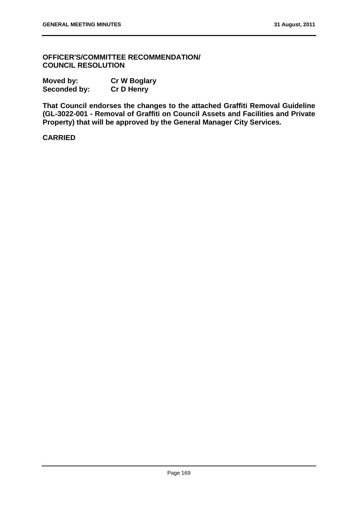**OFFICER'S/COMMITTEE RECOMMENDATION/ COUNCIL RESOLUTION** 

| Moved by:           | <b>Cr W Boglary</b> |  |
|---------------------|---------------------|--|
| <b>Seconded by:</b> | <b>Cr D Henry</b>   |  |

**That Council endorses the changes to the attached Graffiti Removal Guideline (GL-3022-001 - Removal of Graffiti on Council Assets and Facilities and Private Property) that will be approved by the General Manager City Services.** 

**CARRIED**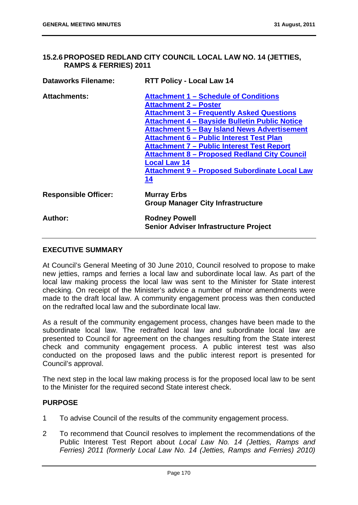### **15.2.6 PROPOSED REDLAND CITY COUNCIL LOCAL LAW NO. 14 (JETTIES, RAMPS & FERRIES) 2011**

| <b>Dataworks Filename:</b>  | <b>RTT Policy - Local Law 14</b>                                                                                                                                                                                                                                                                                                                                                                                                                                                                    |  |
|-----------------------------|-----------------------------------------------------------------------------------------------------------------------------------------------------------------------------------------------------------------------------------------------------------------------------------------------------------------------------------------------------------------------------------------------------------------------------------------------------------------------------------------------------|--|
| <b>Attachments:</b>         | <b>Attachment 1 - Schedule of Conditions</b><br><b>Attachment 2 – Poster</b><br><b>Attachment 3 – Frequently Asked Questions</b><br><b>Attachment 4 - Bayside Bulletin Public Notice</b><br><b>Attachment 5 - Bay Island News Advertisement</b><br><b>Attachment 6 - Public Interest Test Plan</b><br><b>Attachment 7 - Public Interest Test Report</b><br><b>Attachment 8 - Proposed Redland City Council</b><br><b>Local Law 14</b><br><b>Attachment 9 - Proposed Subordinate Local Law</b><br>14 |  |
| <b>Responsible Officer:</b> | <b>Murray Erbs</b><br><b>Group Manager City Infrastructure</b>                                                                                                                                                                                                                                                                                                                                                                                                                                      |  |
| Author:                     | <b>Rodney Powell</b><br><b>Senior Adviser Infrastructure Project</b>                                                                                                                                                                                                                                                                                                                                                                                                                                |  |

# **EXECUTIVE SUMMARY**

At Council's General Meeting of 30 June 2010, Council resolved to propose to make new jetties, ramps and ferries a local law and subordinate local law. As part of the local law making process the local law was sent to the Minister for State interest checking. On receipt of the Minister's advice a number of minor amendments were made to the draft local law. A community engagement process was then conducted on the redrafted local law and the subordinate local law.

As a result of the community engagement process, changes have been made to the subordinate local law. The redrafted local law and subordinate local law are presented to Council for agreement on the changes resulting from the State interest check and community engagement process. A public interest test was also conducted on the proposed laws and the public interest report is presented for Council's approval.

The next step in the local law making process is for the proposed local law to be sent to the Minister for the required second State interest check.

### **PURPOSE**

- 1 To advise Council of the results of the community engagement process.
- 2 To recommend that Council resolves to implement the recommendations of the Public Interest Test Report about *Local Law No. 14 (Jetties, Ramps and Ferries) 2011 (formerly Local Law No. 14 (Jetties, Ramps and Ferries) 2010)*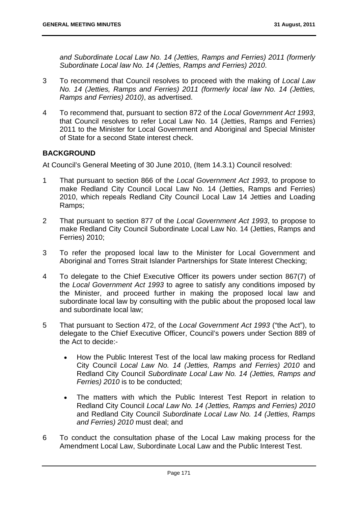*and Subordinate Local Law No. 14 (Jetties, Ramps and Ferries) 2011 (formerly Subordinate Local law No. 14 (Jetties, Ramps and Ferries) 2010*.

- 3 To recommend that Council resolves to proceed with the making of *Local Law No. 14 (Jetties, Ramps and Ferries) 2011 (formerly local law No. 14 (Jetties, Ramps and Ferries) 2010)*, as advertised.
- 4 To recommend that, pursuant to section 872 of the *Local Government Act 1993*, that Council resolves to refer Local Law No. 14 (Jetties, Ramps and Ferries) 2011 to the Minister for Local Government and Aboriginal and Special Minister of State for a second State interest check.

# **BACKGROUND**

At Council's General Meeting of 30 June 2010, (Item 14.3.1) Council resolved:

- 1 That pursuant to section 866 of the *Local Government Act 1993*, to propose to make Redland City Council Local Law No. 14 (Jetties, Ramps and Ferries) 2010, which repeals Redland City Council Local Law 14 Jetties and Loading Ramps;
- 2 That pursuant to section 877 of the *Local Government Act 1993*, to propose to make Redland City Council Subordinate Local Law No. 14 (Jetties, Ramps and Ferries) 2010;
- 3 To refer the proposed local law to the Minister for Local Government and Aboriginal and Torres Strait Islander Partnerships for State Interest Checking;
- 4 To delegate to the Chief Executive Officer its powers under section 867(7) of the *Local Government Act 1993* to agree to satisfy any conditions imposed by the Minister, and proceed further in making the proposed local law and subordinate local law by consulting with the public about the proposed local law and subordinate local law;
- 5 That pursuant to Section 472, of the *Local Government Act 1993* ("the Act"), to delegate to the Chief Executive Officer, Council's powers under Section 889 of the Act to decide:-
	- How the Public Interest Test of the local law making process for Redland City Council *Local Law No. 14 (Jetties, Ramps and Ferries) 2010* and Redland City Council *Subordinate Local Law No. 14 (Jetties, Ramps and Ferries) 2010* is to be conducted;
	- The matters with which the Public Interest Test Report in relation to Redland City Council *Local Law No. 14 (Jetties, Ramps and Ferries) 2010*  and Redland City Council *Subordinate Local Law No. 14 (Jetties, Ramps and Ferries) 2010* must deal; and
- 6 To conduct the consultation phase of the Local Law making process for the Amendment Local Law, Subordinate Local Law and the Public Interest Test.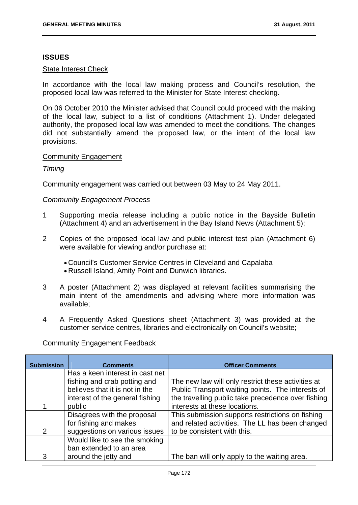### **ISSUES**

#### State Interest Check

In accordance with the local law making process and Council's resolution, the proposed local law was referred to the Minister for State Interest checking.

On 06 October 2010 the Minister advised that Council could proceed with the making of the local law, subject to a list of conditions (Attachment 1). Under delegated authority, the proposed local law was amended to meet the conditions. The changes did not substantially amend the proposed law, or the intent of the local law provisions.

### Community Engagement

### *Timing*

Community engagement was carried out between 03 May to 24 May 2011.

### *Community Engagement Process*

- 1 Supporting media release including a public notice in the Bayside Bulletin (Attachment 4) and an advertisement in the Bay Island News (Attachment 5);
- 2 Copies of the proposed local law and public interest test plan (Attachment 6) were available for viewing and/or purchase at:
	- Council's Customer Service Centres in Cleveland and Capalaba
	- Russell Island, Amity Point and Dunwich libraries.
- 3 A poster (Attachment 2) was displayed at relevant facilities summarising the main intent of the amendments and advising where more information was available;
- 4 A Frequently Asked Questions sheet (Attachment 3) was provided at the customer service centres, libraries and electronically on Council's website;

Community Engagement Feedback

| <b>Submission</b> | <b>Comments</b>                 | <b>Officer Comments</b>                            |
|-------------------|---------------------------------|----------------------------------------------------|
|                   | Has a keen interest in cast net |                                                    |
|                   | fishing and crab potting and    | The new law will only restrict these activities at |
|                   | believes that it is not in the  | Public Transport waiting points. The interests of  |
|                   | interest of the general fishing | the travelling public take precedence over fishing |
|                   | public                          | interests at these locations.                      |
|                   | Disagrees with the proposal     | This submission supports restrictions on fishing   |
|                   | for fishing and makes           | and related activities. The LL has been changed    |
| 2                 | suggestions on various issues   | to be consistent with this.                        |
|                   | Would like to see the smoking   |                                                    |
|                   | ban extended to an area         |                                                    |
| 3                 | around the jetty and            | The ban will only apply to the waiting area.       |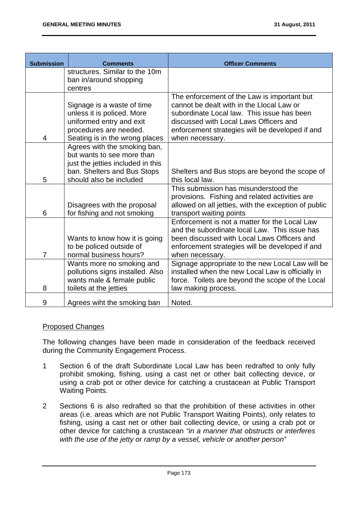| <b>Submission</b> | <b>Comments</b>                                                                                                                                  | <b>Officer Comments</b>                                                                                                                                                                                                                                |
|-------------------|--------------------------------------------------------------------------------------------------------------------------------------------------|--------------------------------------------------------------------------------------------------------------------------------------------------------------------------------------------------------------------------------------------------------|
|                   | structures. Similar to the 10m                                                                                                                   |                                                                                                                                                                                                                                                        |
|                   | ban in/around shopping<br>centres                                                                                                                |                                                                                                                                                                                                                                                        |
| 4                 | Signage is a waste of time<br>unless it is policed. More<br>uniformed entry and exit<br>procedures are needed.<br>Seating is in the wrong places | The enforcement of the Law is important but<br>cannot be dealt with in the Llocal Law or<br>subordinate Local law. This issue has been<br>discussed with Local Laws Officers and<br>enforcement strategies will be developed if and<br>when necessary. |
|                   | Agrees with the smoking ban,<br>but wants to see more than<br>just the jetties included in this<br>ban. Shelters and Bus Stops                   | Shelters and Bus stops are beyond the scope of                                                                                                                                                                                                         |
| 5                 | should also be included                                                                                                                          | this local law.                                                                                                                                                                                                                                        |
| 6                 | Disagrees with the proposal<br>for fishing and not smoking                                                                                       | This submission has misunderstood the<br>provisions. Fishing and related activities are<br>allowed on all jetties, with the exception of public<br>transport waiting points                                                                            |
| $\overline{7}$    | Wants to know how it is going<br>to be policed outside of<br>normal business hours?                                                              | Enforcement is not a matter for the Local Law<br>and the subordinate local Law. This issue has<br>been discussed with Local Laws Officers and<br>enforcement strategies will be developed if and<br>when necessary.                                    |
| 8                 | Wants more no smoking and<br>pollutions signs installed. Also<br>wants male & female public<br>toilets at the jetties                            | Signage appropriate to the new Local Law will be<br>installed when the new Local Law is officially in<br>force. Toilets are beyond the scope of the Local<br>law making process.                                                                       |
| 9                 | Agrees wiht the smoking ban                                                                                                                      | Noted.                                                                                                                                                                                                                                                 |

# Proposed Changes

The following changes have been made in consideration of the feedback received during the Community Engagement Process.

- 1 Section 6 of the draft Subordinate Local Law has been redrafted to only fully prohibit smoking, fishing, using a cast net or other bait collecting device, or using a crab pot or other device for catching a crustacean at Public Transport Waiting Points.
- 2 Sections 6 is also redrafted so that the prohibition of these activities in other areas (i.e. areas which are not Public Transport Waiting Points), only relates to fishing, using a cast net or other bait collecting device, or using a crab pot or other device for catching a crustacean *"in a manner that obstructs or interferes with the use of the jetty or ramp by a vessel, vehicle or another person"*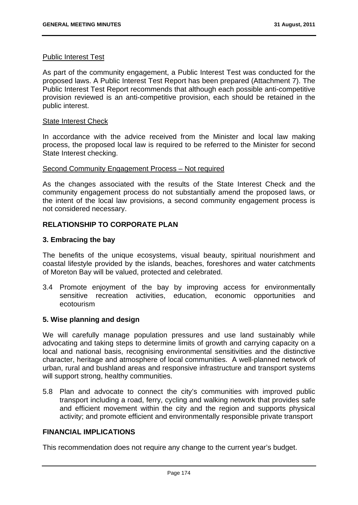#### Public Interest Test

As part of the community engagement, a Public Interest Test was conducted for the proposed laws. A Public Interest Test Report has been prepared (Attachment 7). The Public Interest Test Report recommends that although each possible anti-competitive provision reviewed is an anti-competitive provision, each should be retained in the public interest.

#### State Interest Check

In accordance with the advice received from the Minister and local law making process, the proposed local law is required to be referred to the Minister for second State Interest checking.

#### Second Community Engagement Process – Not required

As the changes associated with the results of the State Interest Check and the community engagement process do not substantially amend the proposed laws, or the intent of the local law provisions, a second community engagement process is not considered necessary.

### **RELATIONSHIP TO CORPORATE PLAN**

### **3. Embracing the bay**

The benefits of the unique ecosystems, visual beauty, spiritual nourishment and coastal lifestyle provided by the islands, beaches, foreshores and water catchments of Moreton Bay will be valued, protected and celebrated.

3.4 Promote enjoyment of the bay by improving access for environmentally sensitive recreation activities, education, economic opportunities and ecotourism

### **5. Wise planning and design**

We will carefully manage population pressures and use land sustainably while advocating and taking steps to determine limits of growth and carrying capacity on a local and national basis, recognising environmental sensitivities and the distinctive character, heritage and atmosphere of local communities. A well-planned network of urban, rural and bushland areas and responsive infrastructure and transport systems will support strong, healthy communities.

5.8 Plan and advocate to connect the city's communities with improved public transport including a road, ferry, cycling and walking network that provides safe and efficient movement within the city and the region and supports physical activity; and promote efficient and environmentally responsible private transport

# **FINANCIAL IMPLICATIONS**

This recommendation does not require any change to the current year's budget.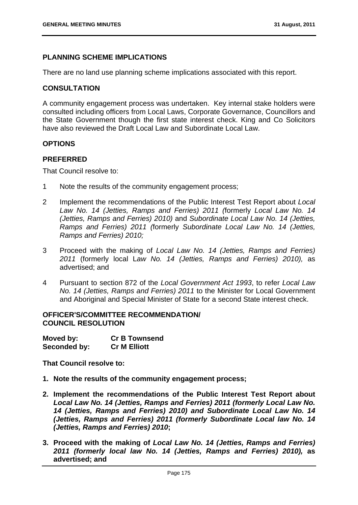# **PLANNING SCHEME IMPLICATIONS**

There are no land use planning scheme implications associated with this report.

# **CONSULTATION**

A community engagement process was undertaken. Key internal stake holders were consulted including officers from Local Laws, Corporate Governance, Councillors and the State Government though the first state interest check. King and Co Solicitors have also reviewed the Draft Local Law and Subordinate Local Law.

# **OPTIONS**

# **PREFERRED**

That Council resolve to:

- 1 Note the results of the community engagement process;
- 2 Implement the recommendations of the Public Interest Test Report about *Local Law No. 14 (Jetties, Ramps and Ferries) 2011 (*formerly *Local Law No. 14 (Jetties, Ramps and Ferries) 2010)* and *Subordinate Local Law No. 14 (Jetties, Ramps and Ferries) 2011 (*formerly *Subordinate Local Law No. 14 (Jetties, Ramps and Ferries) 2010;*
- 3 Proceed with the making of *Local Law No. 14 (Jetties, Ramps and Ferries) 2011* (formerly local L*aw No. 14 (Jetties, Ramps and Ferries) 2010),* as advertised; and
- 4 Pursuant to section 872 of the *Local Government Act 1993*, to refer *Local Law No. 14 (Jetties, Ramps and Ferries) 2011* to the Minister for Local Government and Aboriginal and Special Minister of State for a second State interest check.

#### **OFFICER'S/COMMITTEE RECOMMENDATION/ COUNCIL RESOLUTION**

| Moved by:    | <b>Cr B Townsend</b> |
|--------------|----------------------|
| Seconded by: | <b>Cr M Elliott</b>  |

**That Council resolve to:** 

- **1. Note the results of the community engagement process;**
- **2. Implement the recommendations of the Public Interest Test Report about**  *Local Law No. 14 (Jetties, Ramps and Ferries) 2011 (formerly Local Law No. 14 (Jetties, Ramps and Ferries) 2010) and Subordinate Local Law No. 14 (Jetties, Ramps and Ferries) 2011 (formerly Subordinate Local law No. 14 (Jetties, Ramps and Ferries) 2010***;**
- **3. Proceed with the making of** *Local Law No. 14 (Jetties, Ramps and Ferries) 2011 (formerly local law No. 14 (Jetties, Ramps and Ferries) 2010),* **as advertised; and**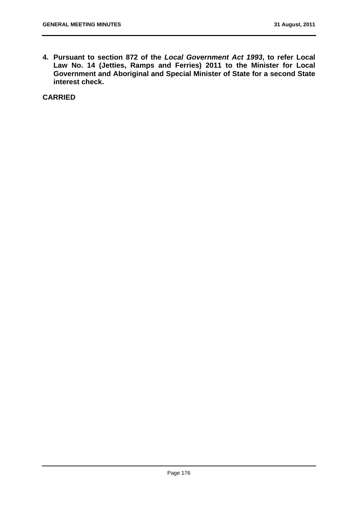**4. Pursuant to section 872 of the** *Local Government Act 1993***, to refer Local Law No. 14 (Jetties, Ramps and Ferries) 2011 to the Minister for Local Government and Aboriginal and Special Minister of State for a second State interest check.** 

**CARRIED**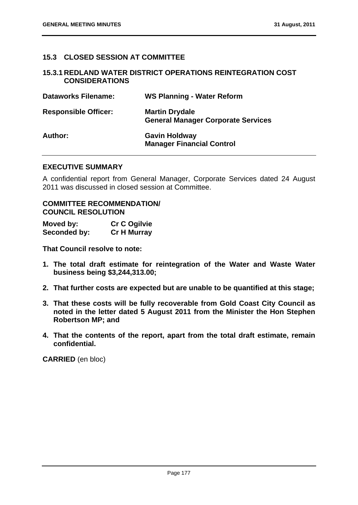# **15.3 CLOSED SESSION AT COMMITTEE**

#### **15.3.1 REDLAND WATER DISTRICT OPERATIONS REINTEGRATION COST CONSIDERATIONS**

| <b>Dataworks Filename:</b>  | <b>WS Planning - Water Reform</b>                                  |
|-----------------------------|--------------------------------------------------------------------|
| <b>Responsible Officer:</b> | <b>Martin Drydale</b><br><b>General Manager Corporate Services</b> |
| Author:                     | <b>Gavin Holdway</b><br><b>Manager Financial Control</b>           |

#### **EXECUTIVE SUMMARY**

A confidential report from General Manager, Corporate Services dated 24 August 2011 was discussed in closed session at Committee.

# **COMMITTEE RECOMMENDATION/ COUNCIL RESOLUTION**

| Moved by:    | <b>Cr C Ogilvie</b> |
|--------------|---------------------|
| Seconded by: | <b>Cr H Murray</b>  |

**That Council resolve to note:** 

- **1. The total draft estimate for reintegration of the Water and Waste Water business being \$3,244,313.00;**
- **2. That further costs are expected but are unable to be quantified at this stage;**
- **3. That these costs will be fully recoverable from Gold Coast City Council as noted in the letter dated 5 August 2011 from the Minister the Hon Stephen Robertson MP; and**
- **4. That the contents of the report, apart from the total draft estimate, remain confidential.**

**CARRIED** (en bloc)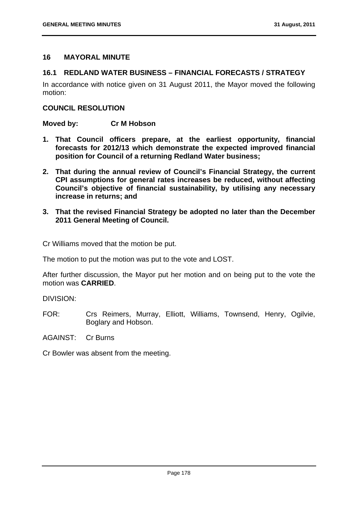# **16 MAYORAL MINUTE**

### **16.1 REDLAND WATER BUSINESS – FINANCIAL FORECASTS / STRATEGY**

In accordance with notice given on 31 August 2011, the Mayor moved the following motion:

#### **COUNCIL RESOLUTION**

**Moved by: Cr M Hobson** 

- **1. That Council officers prepare, at the earliest opportunity, financial forecasts for 2012/13 which demonstrate the expected improved financial position for Council of a returning Redland Water business;**
- **2. That during the annual review of Council's Financial Strategy, the current CPI assumptions for general rates increases be reduced, without affecting Council's objective of financial sustainability, by utilising any necessary increase in returns; and**
- **3. That the revised Financial Strategy be adopted no later than the December 2011 General Meeting of Council.**

Cr Williams moved that the motion be put.

The motion to put the motion was put to the vote and LOST.

After further discussion, the Mayor put her motion and on being put to the vote the motion was **CARRIED**.

DIVISION:

FOR: Crs Reimers, Murray, Elliott, Williams, Townsend, Henry, Ogilvie, Boglary and Hobson.

AGAINST: Cr Burns

Cr Bowler was absent from the meeting.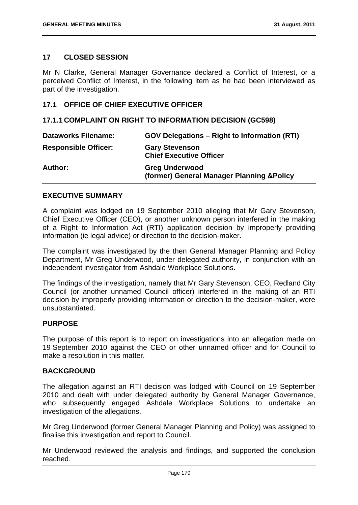### **17 CLOSED SESSION**

Mr N Clarke, General Manager Governance declared a Conflict of Interest, or a perceived Conflict of Interest, in the following item as he had been interviewed as part of the investigation.

### **17.1 OFFICE OF CHIEF EXECUTIVE OFFICER**

#### **17.1.1 COMPLAINT ON RIGHT TO INFORMATION DECISION (GC598)**

| <b>Dataworks Filename:</b>  | <b>GOV Delegations - Right to Information (RTI)</b>                 |
|-----------------------------|---------------------------------------------------------------------|
| <b>Responsible Officer:</b> | <b>Gary Stevenson</b><br><b>Chief Executive Officer</b>             |
| <b>Author:</b>              | <b>Greg Underwood</b><br>(former) General Manager Planning & Policy |

#### **EXECUTIVE SUMMARY**

A complaint was lodged on 19 September 2010 alleging that Mr Gary Stevenson, Chief Executive Officer (CEO), or another unknown person interfered in the making of a Right to Information Act (RTI) application decision by improperly providing information (ie legal advice) or direction to the decision-maker.

The complaint was investigated by the then General Manager Planning and Policy Department, Mr Greg Underwood, under delegated authority, in conjunction with an independent investigator from Ashdale Workplace Solutions.

The findings of the investigation, namely that Mr Gary Stevenson, CEO, Redland City Council (or another unnamed Council officer) interfered in the making of an RTI decision by improperly providing information or direction to the decision-maker, were unsubstantiated.

#### **PURPOSE**

The purpose of this report is to report on investigations into an allegation made on 19 September 2010 against the CEO or other unnamed officer and for Council to make a resolution in this matter.

#### **BACKGROUND**

The allegation against an RTI decision was lodged with Council on 19 September 2010 and dealt with under delegated authority by General Manager Governance, who subsequently engaged Ashdale Workplace Solutions to undertake an investigation of the allegations.

Mr Greg Underwood (former General Manager Planning and Policy) was assigned to finalise this investigation and report to Council.

Mr Underwood reviewed the analysis and findings, and supported the conclusion reached.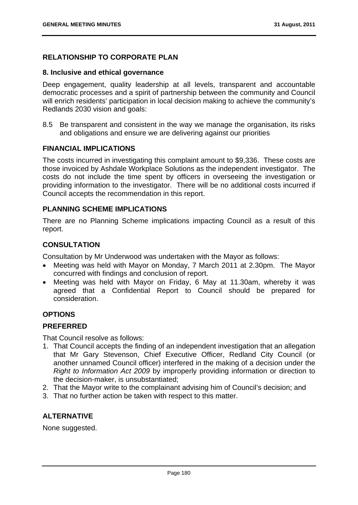# **RELATIONSHIP TO CORPORATE PLAN**

#### **8. Inclusive and ethical governance**

Deep engagement, quality leadership at all levels, transparent and accountable democratic processes and a spirit of partnership between the community and Council will enrich residents' participation in local decision making to achieve the community's Redlands 2030 vision and goals:

8.5 Be transparent and consistent in the way we manage the organisation, its risks and obligations and ensure we are delivering against our priorities

### **FINANCIAL IMPLICATIONS**

The costs incurred in investigating this complaint amount to \$9,336. These costs are those invoiced by Ashdale Workplace Solutions as the independent investigator. The costs do not include the time spent by officers in overseeing the investigation or providing information to the investigator. There will be no additional costs incurred if Council accepts the recommendation in this report.

### **PLANNING SCHEME IMPLICATIONS**

There are no Planning Scheme implications impacting Council as a result of this report.

# **CONSULTATION**

Consultation by Mr Underwood was undertaken with the Mayor as follows:

- Meeting was held with Mayor on Monday, 7 March 2011 at 2.30pm. The Mayor concurred with findings and conclusion of report.
- Meeting was held with Mayor on Friday, 6 May at 11.30am, whereby it was agreed that a Confidential Report to Council should be prepared for consideration.

# **OPTIONS**

# **PREFERRED**

That Council resolve as follows:

- 1. That Council accepts the finding of an independent investigation that an allegation that Mr Gary Stevenson, Chief Executive Officer, Redland City Council (or another unnamed Council officer) interfered in the making of a decision under the *Right to Information Act 2009* by improperly providing information or direction to the decision-maker, is unsubstantiated;
- 2. That the Mayor write to the complainant advising him of Council's decision; and
- 3. That no further action be taken with respect to this matter.

# **ALTERNATIVE**

None suggested.